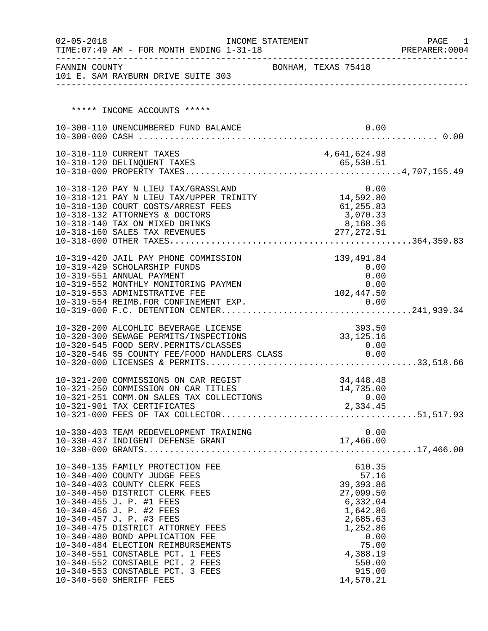| $02 - 05 - 2018$ | TIME: 07:49 AM - FOR MONTH ENDING 1-31-18                              | INCOME STATEMENT                                                                                        | PAGE<br>1<br>PREPARER: 0004 |
|------------------|------------------------------------------------------------------------|---------------------------------------------------------------------------------------------------------|-----------------------------|
|                  | FANNIN COUNTY<br>101 E. SAM RAYBURN DRIVE SUITE 303                    | BONHAM, TEXAS 75418                                                                                     |                             |
|                  |                                                                        |                                                                                                         |                             |
|                  |                                                                        |                                                                                                         |                             |
|                  | ***** INCOME ACCOUNTS *****                                            |                                                                                                         |                             |
|                  | 10-300-110 UNENCUMBERED FUND BALANCE                                   | 0.00                                                                                                    |                             |
|                  |                                                                        |                                                                                                         |                             |
|                  | 10-310-110 CURRENT TAXES                                               | 4,641,624.98                                                                                            |                             |
|                  |                                                                        |                                                                                                         |                             |
|                  |                                                                        |                                                                                                         |                             |
|                  |                                                                        |                                                                                                         |                             |
|                  |                                                                        | 10-318-120 PAY N LIEU TAX/GRASSLAND 0.00<br>10-318-121 PAY N LIEU TAX/UPPER TRINITY 14,592.80           |                             |
|                  | 10-318-130 COURT COSTS/ARREST FEES                                     | 61,255.83                                                                                               |                             |
|                  | 10-318-132 ATTORNEYS & DOCTORS                                         | 3,070.33                                                                                                |                             |
|                  | 10-318-140 TAX ON MIXED DRINKS<br>10-318-160 SALES TAX REVENUES        | 8,168.36<br>277, 272.51                                                                                 |                             |
|                  |                                                                        |                                                                                                         |                             |
|                  |                                                                        |                                                                                                         |                             |
|                  | 10-319-420 JAIL PAY PHONE COMMISSION                                   | 139,491.84                                                                                              |                             |
|                  | 10-319-429 SCHOLARSHIP FUNDS<br>10-319-551 ANNUAL PAYMENT              | 0.00<br>0.00                                                                                            |                             |
|                  | 10-319-552 MONTHLY MONITORING PAYMEN                                   | 0.00                                                                                                    |                             |
|                  | 10-319-553 ADMINISTRATIVE FEE                                          | 102,447.50                                                                                              |                             |
|                  |                                                                        |                                                                                                         |                             |
|                  |                                                                        |                                                                                                         |                             |
|                  | 10-320-200 ALCOHLIC BEVERAGE LICENSE                                   | 393.50                                                                                                  |                             |
|                  | 10-320-300 SEWAGE PERMITS/INSPECTIONS                                  | 33, 125. 16                                                                                             |                             |
|                  | 10-320-545 FOOD SERV.PERMITS/CLASSES                                   | 0.00<br>10-320-545 FOOD SERV.PERMITS/CLASSES 0.00<br>10-320-546 \$5 COUNTY FEE/FOOD HANDLERS CLASS 0.00 |                             |
|                  |                                                                        |                                                                                                         |                             |
|                  |                                                                        |                                                                                                         |                             |
|                  | 10-321-200 COMMISSIONS ON CAR REGIST                                   | 34, 448. 48                                                                                             |                             |
|                  | 10-321-250 COMMISSION ON CAR TITLES                                    | 14,735.00                                                                                               |                             |
|                  | 10-321-251 COMM.ON SALES TAX COLLECTIONS                               | 0.00<br>2,334.45                                                                                        |                             |
|                  | 10-321-901 TAX CERTIFICATES                                            |                                                                                                         |                             |
|                  |                                                                        |                                                                                                         |                             |
|                  |                                                                        | 0.00                                                                                                    |                             |
|                  |                                                                        |                                                                                                         |                             |
|                  |                                                                        |                                                                                                         |                             |
|                  | 10-340-135 FAMILY PROTECTION FEE                                       | 610.35                                                                                                  |                             |
|                  | 10-340-400 COUNTY JUDGE FEES                                           | 57.16                                                                                                   |                             |
|                  | 10-340-403 COUNTY CLERK FEES                                           | 39, 393.86                                                                                              |                             |
|                  | 10-340-450 DISTRICT CLERK FEES<br>10-340-455 J. P. #1 FEES             | 27,099.50<br>6,332.04                                                                                   |                             |
|                  | 10-340-456 J. P. #2 FEES                                               | 1,642.86                                                                                                |                             |
|                  | 10-340-457 J. P. #3 FEES                                               | 2,685.63                                                                                                |                             |
|                  | 10-340-475 DISTRICT ATTORNEY FEES                                      | 1,252.86                                                                                                |                             |
|                  | 10-340-480 BOND APPLICATION FEE                                        | 0.00                                                                                                    |                             |
|                  | 10-340-484 ELECTION REIMBURSEMENTS<br>10-340-551 CONSTABLE PCT. 1 FEES | 75.00<br>4,388.19                                                                                       |                             |
|                  | 10-340-552 CONSTABLE PCT. 2 FEES                                       | 550.00                                                                                                  |                             |
|                  | 10-340-553 CONSTABLE PCT. 3 FEES                                       | 915.00                                                                                                  |                             |
|                  | 10-340-560 SHERIFF FEES                                                | 14,570.21                                                                                               |                             |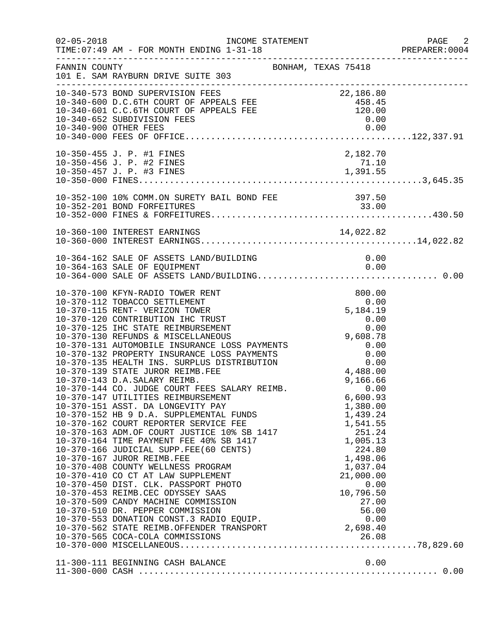| $02 - 05 - 2018$ | INCOME STATEMENT<br>TIME: 07:49 AM - FOR MONTH ENDING 1-31-18                                                                                                                                                                                                                                                                                                                                                                                                                                                                                                                                                                                                                                                                                                                         |                                                                                                                                                                  | PAGE<br>$\sim$ 2<br>PREPARER: 0004 |
|------------------|---------------------------------------------------------------------------------------------------------------------------------------------------------------------------------------------------------------------------------------------------------------------------------------------------------------------------------------------------------------------------------------------------------------------------------------------------------------------------------------------------------------------------------------------------------------------------------------------------------------------------------------------------------------------------------------------------------------------------------------------------------------------------------------|------------------------------------------------------------------------------------------------------------------------------------------------------------------|------------------------------------|
| FANNIN COUNTY    | BONHAM, TEXAS 75418<br>101 E. SAM RAYBURN DRIVE SUITE 303                                                                                                                                                                                                                                                                                                                                                                                                                                                                                                                                                                                                                                                                                                                             |                                                                                                                                                                  |                                    |
|                  | 10-340-573 BOND SUPERVISION FEES<br>10-340-600 D.C.6TH COURT OF APPEALS FEE 458.45<br>10-340-601 C.C.6TH COURT OF APPEALS FEE 458.45<br>10-340-652 SUBDIVISION FEES 0.00<br>10-340-652 SUBDIVISION FEES 0.00<br>10-340-000 OTUPD PFFC 0.                                                                                                                                                                                                                                                                                                                                                                                                                                                                                                                                              |                                                                                                                                                                  |                                    |
|                  | 10-350-455 J. P. #1 FINES<br>10-350-456 J. P. #2 FINES                                                                                                                                                                                                                                                                                                                                                                                                                                                                                                                                                                                                                                                                                                                                | 2,182.70<br>71.10                                                                                                                                                |                                    |
|                  |                                                                                                                                                                                                                                                                                                                                                                                                                                                                                                                                                                                                                                                                                                                                                                                       |                                                                                                                                                                  |                                    |
|                  |                                                                                                                                                                                                                                                                                                                                                                                                                                                                                                                                                                                                                                                                                                                                                                                       |                                                                                                                                                                  |                                    |
|                  |                                                                                                                                                                                                                                                                                                                                                                                                                                                                                                                                                                                                                                                                                                                                                                                       | 0.00                                                                                                                                                             |                                    |
|                  | 10-370-100 KFYN-RADIO TOWER RENT<br>10-370-112 TOBACCO SETTLEMENT<br>10-370-144 CO. JUDGE COURT FEES SALARY REIMB.<br>10-370-147 UTILITIES REIMBURSEMENT<br>10-370-151 ASST. DA LONGEVITY PAY<br>10-370-162 COURT REPORTER SERVICE FEE<br>10-370-163 ADM.OF COURT JUSTICE 10% SB 1417<br>10-370-164 TIME PAYMENT FEE 40% SB 1417<br>10-370-166 JUDICIAL SUPP.FEE(60 CENTS)<br>10-370-167 JUROR REIMB.FEE<br>10-370-408 COUNTY MILLER<br>10-370-408 COUNTY WELLNESS PROGRAM<br>10-370-410 CO CT AT LAW SUPPLEMENT<br>10-370-450 DIST. CLK. PASSPORT PHOTO<br>10-370-453 REIMB.CEC ODYSSEY SAAS<br>10-370-509 CANDY MACHINE COMMISSION<br>10-370-510 DR. PEPPER COMMISSION 56.00<br>10-370-553 DONATION CONST.3 RADIO EQUIP. 0.00<br>10-370-562 STATE REIMB.OFFENDER TRANSPORT 2,698.40 | 800.00<br>0.00<br>0.00<br>6,600.93<br>1,380.00<br>1,439.24<br>1,541.55<br>251.24<br>1,005.13<br>224.80<br>1,498.06<br>1,037.04<br>21,000.00<br>0.00<br>10,796.50 |                                    |
|                  |                                                                                                                                                                                                                                                                                                                                                                                                                                                                                                                                                                                                                                                                                                                                                                                       | 0.00                                                                                                                                                             |                                    |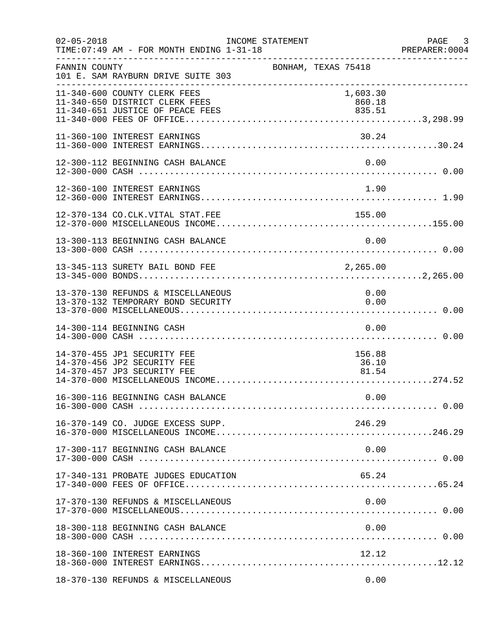| $02 - 05 - 2018$ | TIME: 07:49 AM - FOR MONTH ENDING 1-31-18                                                          | INCOME STATEMENT    |                              |      | PAGE 3<br>PREPARER:0004 |
|------------------|----------------------------------------------------------------------------------------------------|---------------------|------------------------------|------|-------------------------|
| FANNIN COUNTY    | 101 E. SAM RAYBURN DRIVE SUITE 303                                                                 | BONHAM, TEXAS 75418 |                              |      |                         |
|                  | 11-340-600 COUNTY CLERK FEES<br>11-340-650 DISTRICT CLERK FEES<br>11-340-651 JUSTICE OF PEACE FEES |                     | 1,603.30<br>860.18<br>835.51 |      |                         |
|                  | 11-360-100 INTEREST EARNINGS                                                                       |                     | 30.24                        |      |                         |
|                  | 12-300-112 BEGINNING CASH BALANCE                                                                  |                     |                              | 0.00 |                         |
|                  | 12-360-100 INTEREST EARNINGS                                                                       |                     | 1.90                         |      |                         |
|                  | 12-370-134 CO.CLK.VITAL STAT.FEE                                                                   |                     | 155.00                       |      |                         |
|                  | 13-300-113 BEGINNING CASH BALANCE                                                                  |                     |                              | 0.00 |                         |
|                  | 13-345-113 SURETY BAIL BOND FEE                                                                    | 2, 265.00           |                              |      |                         |
|                  | 13-370-130 REFUNDS & MISCELLANEOUS<br>13-370-132 TEMPORARY BOND SECURITY                           |                     | 0.00                         | 0.00 |                         |
|                  | 14-300-114 BEGINNING CASH                                                                          |                     |                              | 0.00 |                         |
|                  | 14-370-455 JP1 SECURITY FEE<br>14-370-456 JP2 SECURITY FEE<br>14-370-457 JP3 SECURITY FEE          |                     | 156.88<br>36.10<br>81.54     |      |                         |
|                  |                                                                                                    |                     |                              |      |                         |
|                  | 16-370-149 CO. JUDGE EXCESS SUPP.                                                                  |                     | 246.29                       |      |                         |
|                  | 17-300-117 BEGINNING CASH BALANCE                                                                  |                     |                              | 0.00 |                         |
|                  | 17-340-131 PROBATE JUDGES EDUCATION                                                                |                     | 65.24                        |      |                         |
|                  | 17-370-130 REFUNDS & MISCELLANEOUS                                                                 |                     |                              | 0.00 |                         |
|                  | 18-300-118 BEGINNING CASH BALANCE                                                                  |                     |                              | 0.00 |                         |
|                  | 18-360-100 INTEREST EARNINGS                                                                       |                     | 12.12                        |      |                         |
|                  | 18-370-130 REFUNDS & MISCELLANEOUS                                                                 |                     |                              | 0.00 |                         |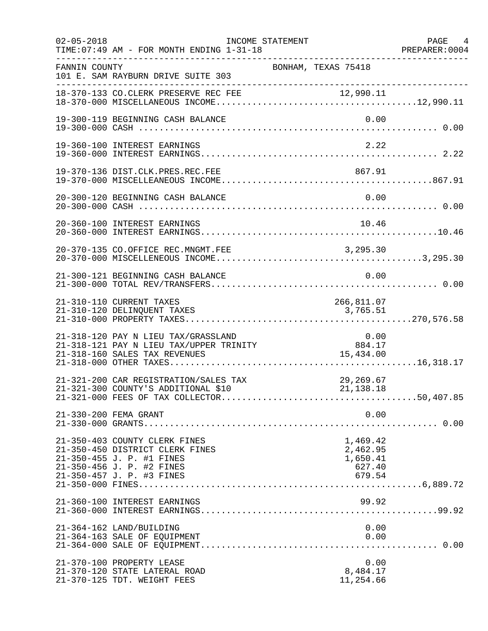| $02 - 05 - 2018$<br>----------------- | TIME: 07:49 AM - FOR MONTH ENDING 1-31-18                                                                                                               | INCOME STATEMENT                              |                                                      | PAGE 4<br>PREPARER: 0004 |
|---------------------------------------|---------------------------------------------------------------------------------------------------------------------------------------------------------|-----------------------------------------------|------------------------------------------------------|--------------------------|
| FANNIN COUNTY                         | 101 E. SAM RAYBURN DRIVE SUITE 303                                                                                                                      | BONHAM, TEXAS 75418                           |                                                      |                          |
|                                       |                                                                                                                                                         |                                               |                                                      |                          |
|                                       | 19-300-119 BEGINNING CASH BALANCE                                                                                                                       |                                               | 0.00                                                 |                          |
|                                       | 19-360-100 INTEREST EARNINGS                                                                                                                            |                                               | 2.22                                                 |                          |
|                                       | 19-370-136 DIST.CLK.PRES.REC.FEE                                                                                                                        |                                               | 867.91                                               |                          |
|                                       | 20-300-120 BEGINNING CASH BALANCE                                                                                                                       |                                               | 0.00                                                 |                          |
|                                       | 20-360-100 INTEREST EARNINGS                                                                                                                            |                                               | 10.46                                                |                          |
|                                       | 20-370-135 CO.OFFICE REC.MNGMT.FEE                                                                                                                      |                                               | 3, 295.30                                            |                          |
|                                       | 21-300-121 BEGINNING CASH BALANCE                                                                                                                       |                                               | 0.00                                                 |                          |
|                                       | 21-310-110 CURRENT TAXES<br>21-310-120 DELINQUENT TAXES                                                                                                 |                                               | 266,811.07<br>3,765.51                               |                          |
|                                       | 21-318-120 PAY N LIEU TAX/GRASSLAND<br>21-318-121 PAY N LIEU TAX/UPPER TRINITY<br>21-318-160 SALES TAX REVENUES                                         | 0.00<br>11.NITY 884<br>15,434.00<br>15,434.00 | 0.00                                                 |                          |
|                                       | 21-321-200 CAR REGISTRATION/SALES TAX<br>21-321-300 COUNTY'S ADDITIONAL \$10                                                                            |                                               | 29,269.67<br>21, 138.18                              |                          |
|                                       | 21-330-200 FEMA GRANT                                                                                                                                   |                                               | 0.00                                                 |                          |
|                                       | 21-350-403 COUNTY CLERK FINES<br>21-350-450 DISTRICT CLERK FINES<br>21-350-455 J. P. #1 FINES<br>21-350-456 J. P. #2 FINES<br>21-350-457 J. P. #3 FINES |                                               | 1,469.42<br>2,462.95<br>1,650.41<br>627.40<br>679.54 |                          |
|                                       | 21-360-100 INTEREST EARNINGS                                                                                                                            |                                               | 99.92                                                |                          |
|                                       | 21-364-162 LAND/BUILDING<br>21-364-163 SALE OF EQUIPMENT                                                                                                |                                               | 0.00<br>0.00                                         |                          |
|                                       | 21-370-100 PROPERTY LEASE<br>21-370-120 STATE LATERAL ROAD<br>21-370-125 TDT. WEIGHT FEES                                                               |                                               | 0.00<br>8,484.17<br>11,254.66                        |                          |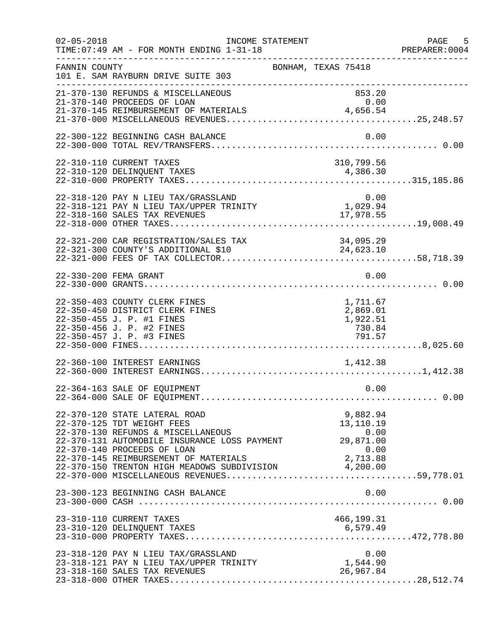| $02 - 05 - 2018$ | INCOME STATEMENT<br>TIME: 07:49 AM - FOR MONTH ENDING 1-31-18                                                                                                                                                                                                                  |                                                    | PAGE 5<br>PREPARER:0004 |
|------------------|--------------------------------------------------------------------------------------------------------------------------------------------------------------------------------------------------------------------------------------------------------------------------------|----------------------------------------------------|-------------------------|
| FANNIN COUNTY    | 101 E. SAM RAYBURN DRIVE SUITE 303                                                                                                                                                                                                                                             | BONHAM, TEXAS 75418                                |                         |
|                  | 21-370-130 REFUNDS & MISCELLANEOUS<br>21-370-140 PROCEEDS OF LOAN<br>21-370-145 REIMBURSEMENT OF MATERIALS                                                                                                                                                                     | 853.20<br>0.00<br>4,656.54                         |                         |
|                  | 22-300-122 BEGINNING CASH BALANCE                                                                                                                                                                                                                                              | 0.00                                               |                         |
|                  | 22-310-110 CURRENT TAXES                                                                                                                                                                                                                                                       | 310,799.56                                         |                         |
|                  | 0.00 0.10 141 IN THE TAX/GRASSLAND 0.00<br>22-318-121 PAY N LIEU TAX/UPPER TRINITY 1,029.94<br>22-318-160 SALES TAX REVENUES                                                                                                                                                   | 17,978.55                                          |                         |
|                  | 11 111 100 CAR REGISTRATION/SALES TAX<br>22-321-300 COUNTY'S ADDITIONAL \$10<br>22-321-000 EEEC OF TALL IN                                                                                                                                                                     | 34,095.29<br>24,623.10                             |                         |
|                  | 22-330-200 FEMA GRANT                                                                                                                                                                                                                                                          | 0.00                                               |                         |
|                  | 22-350-403 COUNTY CLERK FINES<br>22-350-450 DISTRICT CLERK FINES<br>22-350-455 J. P. #1 FINES<br>22-350-456 J. P. #2 FINES                                                                                                                                                     | 1,711.67<br>2,869.01<br>1,922.51<br>730.84         |                         |
|                  | 22-360-100 INTEREST EARNINGS                                                                                                                                                                                                                                                   | 1,412.38                                           |                         |
|                  | 22-364-163 SALE OF EQUIPMENT                                                                                                                                                                                                                                                   | 0.00                                               |                         |
|                  | 22-370-120 STATE LATERAL ROAD<br>22-370-125 TDT WEIGHT FEES<br>22-370-130 REFUNDS & MISCELLANEOUS<br>22-370-131 AUTOMOBILE INSURANCE LOSS PAYMENT<br>22-370-140 PROCEEDS OF LOAN<br>22-370-145 REIMBURSEMENT OF MATERIALS 22-370-150 TRENTON HIGH MEADOWS SUBDIVISION 4,200.00 | 9,882.94<br>13,110.19<br>0.00<br>29,871.00<br>0.00 |                         |
|                  | 23-300-123 BEGINNING CASH BALANCE                                                                                                                                                                                                                                              | 0.00                                               |                         |
|                  | 23-310-110 CURRENT TAXES                                                                                                                                                                                                                                                       | 466,199.31                                         |                         |
|                  | 23-318-120 PAY N LIEU TAX/GRASSLAND<br>23-318-121 PAY N LIEU TAX/UPPER TRINITY<br>23-318-160 SALES TAX REVENUES                                                                                                                                                                | 0.00<br>1,544.90<br>26,967.84                      |                         |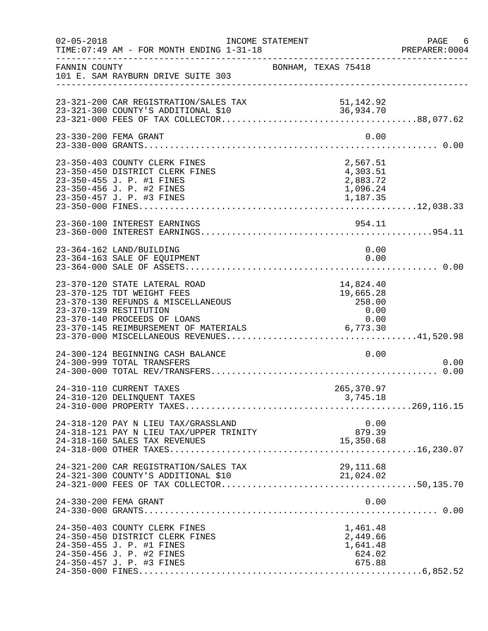| $02 - 05 - 2018$ | INCOME STATEMENT<br>TIME: 07:49 AM - FOR MONTH ENDING 1-31-18                                                                                               |  |                                                               |              | PAGE 6<br>PREPARER:0004 |
|------------------|-------------------------------------------------------------------------------------------------------------------------------------------------------------|--|---------------------------------------------------------------|--------------|-------------------------|
| FANNIN COUNTY    | 101 E. SAM RAYBURN DRIVE SUITE 303                                                                                                                          |  | BONHAM, TEXAS 75418                                           |              |                         |
|                  |                                                                                                                                                             |  |                                                               |              |                         |
|                  | 23-330-200 FEMA GRANT                                                                                                                                       |  |                                                               | 0.00         |                         |
|                  | 23-350-403 COUNTY CLERK FINES<br>23-350-450 DISTRICT CLERK FINES<br>23-350-455 J. P. #1 FINES<br>23-350-456 J. P. #2 FINES                                  |  | 2,567.51<br>4,303.51<br>2,883.72<br>1,096.24                  |              |                         |
|                  | 23-360-100 INTEREST EARNINGS                                                                                                                                |  | 954.11                                                        |              |                         |
|                  | 23-364-162 LAND/BUILDING<br>23-364-163 SALE OF EQUIPMENT                                                                                                    |  |                                                               | 0.00<br>0.00 |                         |
|                  | 23-370-120 STATE LATERAL ROAD<br>23-370-125 TDT WEIGHT FEES<br>23-370-130 REFUNDS & MISCELLANEOUS<br>23-370-139 RESTITUTION<br>23-370-140 PROCEEDS OF LOANS |  | 14,824.40<br>11,021:10<br>19,665.28<br>258.00<br>0.00<br>0.00 |              |                         |
|                  | 24-300-124 BEGINNING CASH BALANCE<br>24-300-999 TOTAL TRANSFERS                                                                                             |  |                                                               | 0.00         | 0.00                    |
|                  | 24-310-110 CURRENT TAXES<br>24-310-120 DELINQUENT TAXES                                                                                                     |  | 265, 370.97<br>3,745.18                                       |              |                         |
|                  | 24-318-120 PAY N LIEU TAX/GRASSLAND<br>0.00<br>24-318-121 PAY N LIEU TAX/UPPER TRINITY 879.39<br>24-318-160 SALES TAX REVENUES                              |  | 15,350.68                                                     | 0.00         |                         |
|                  | 24-321-200 CAR REGISTRATION/SALES TAX<br>24-321-300 COUNTY'S ADDITIONAL \$10                                                                                |  | 29, 111.68<br>21,024.02                                       |              |                         |
|                  | 24-330-200 FEMA GRANT                                                                                                                                       |  |                                                               | 0.00         |                         |
|                  | 24-350-403 COUNTY CLERK FINES<br>24-350-450 DISTRICT CLERK FINES<br>24-350-455 J. P. #1 FINES<br>24-350-456 J. P. #2 FINES<br>24-350-457 J. P. #3 FINES     |  | 1,461.48<br>2,449.66<br>1,641.48<br>624.02<br>675.88          |              |                         |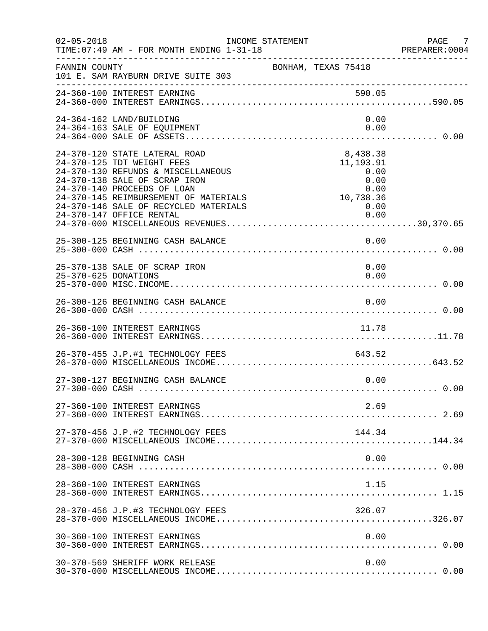| $02 - 05 - 2018$     | INCOME STATEMENT<br>TIME: 07:49 AM - FOR MONTH ENDING 1-31-18                                                                                                                                                                                                                   |                                                                            | PAGE 7<br>PREPARER:0004 |
|----------------------|---------------------------------------------------------------------------------------------------------------------------------------------------------------------------------------------------------------------------------------------------------------------------------|----------------------------------------------------------------------------|-------------------------|
| FANNIN COUNTY        | 101 E. SAM RAYBURN DRIVE SUITE 303                                                                                                                                                                                                                                              | BONHAM, TEXAS 75418                                                        |                         |
|                      |                                                                                                                                                                                                                                                                                 |                                                                            |                         |
|                      | 24-364-162 LAND/BUILDING<br>24-364-163 SALE OF EQUIPMENT                                                                                                                                                                                                                        | 0.00<br>0.00                                                               |                         |
|                      | 24-370-120 STATE LATERAL ROAD<br>24-370-125 TDT WEIGHT FEES<br>24-370-130 REFUNDS & MISCELLANEOUS<br>24-370-138 SALE OF SCRAP IRON<br>24-370-140 PROCEEDS OF LOAN<br>24-370-145 REIMBURSEMENT OF MATERIALS<br>24-370-146 SALE OF RECYCLED MATERIALS<br>24-370-147 OFFICE RENTAL | 8,438.38<br>11,193.91<br>0.00<br>0.00<br>0.00<br>10,738.36<br>0.00<br>0.00 |                         |
|                      | 25-300-125 BEGINNING CASH BALANCE                                                                                                                                                                                                                                               | 0.00                                                                       |                         |
| 25-370-625 DONATIONS | 25-370-138 SALE OF SCRAP IRON                                                                                                                                                                                                                                                   | 0.00<br>0.00                                                               |                         |
|                      | 26-300-126 BEGINNING CASH BALANCE                                                                                                                                                                                                                                               | 0.00                                                                       |                         |
|                      |                                                                                                                                                                                                                                                                                 |                                                                            |                         |
|                      | 26-370-455 J.P.#1 TECHNOLOGY FEES                                                                                                                                                                                                                                               | 643.52                                                                     |                         |
|                      | 27-300-127 BEGINNING CASH BALANCE                                                                                                                                                                                                                                               | 0.00                                                                       |                         |
|                      | 27-360-100 INTEREST EARNINGS                                                                                                                                                                                                                                                    | 2.69                                                                       |                         |
|                      | 27-370-456 J.P.#2 TECHNOLOGY FEES                                                                                                                                                                                                                                               | 144.34                                                                     |                         |
|                      | 28-300-128 BEGINNING CASH                                                                                                                                                                                                                                                       | 0.00                                                                       |                         |
|                      | 28-360-100 INTEREST EARNINGS                                                                                                                                                                                                                                                    | 1.15                                                                       |                         |
|                      | 28-370-456 J.P.#3 TECHNOLOGY FEES                                                                                                                                                                                                                                               | 326.07                                                                     |                         |
|                      | 30-360-100 INTEREST EARNINGS                                                                                                                                                                                                                                                    | 0.00                                                                       |                         |
|                      | 30-370-569 SHERIFF WORK RELEASE                                                                                                                                                                                                                                                 | 0.00                                                                       |                         |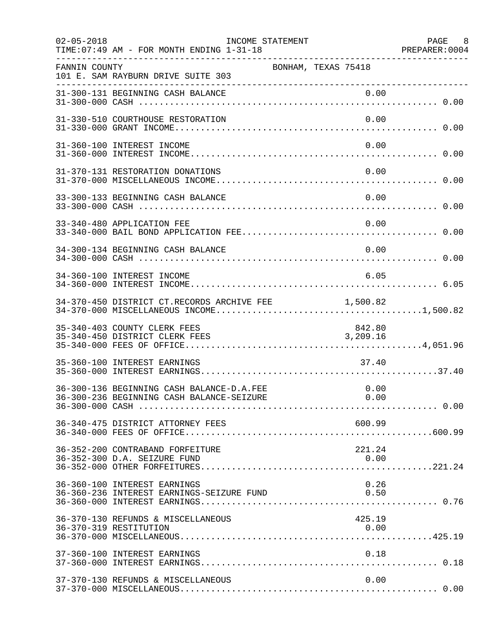| $02 - 05 - 2018$ | INCOME STATEMENT<br>TIME: 07:49 AM - FOR MONTH ENDING 1-31-18             |                     |                    | PAGE 8<br>PREPARER:0004 |
|------------------|---------------------------------------------------------------------------|---------------------|--------------------|-------------------------|
| FANNIN COUNTY    | 101 E. SAM RAYBURN DRIVE SUITE 303                                        | BONHAM, TEXAS 75418 |                    |                         |
|                  | 31-300-131 BEGINNING CASH BALANCE                                         |                     | 0.00               |                         |
|                  | 31-330-510 COURTHOUSE RESTORATION                                         |                     | 0.00               |                         |
|                  | 31-360-100 INTEREST INCOME                                                |                     | 0.00               |                         |
|                  | 31-370-131 RESTORATION DONATIONS                                          |                     | 0.00               |                         |
|                  | 33-300-133 BEGINNING CASH BALANCE                                         |                     | 0.00               |                         |
|                  | 33-340-480 APPLICATION FEE                                                |                     | 0.00               |                         |
|                  | 34-300-134 BEGINNING CASH BALANCE                                         |                     | 0.00               |                         |
|                  | 34-360-100 INTEREST INCOME                                                |                     | 6.05               |                         |
|                  | 34-370-450 DISTRICT CT.RECORDS ARCHIVE FEE                                | 1,500.82            |                    |                         |
|                  | 35-340-403 COUNTY CLERK FEES<br>35-340-450 DISTRICT CLERK FEES            |                     | 842.80<br>3,209.16 |                         |
|                  | 35-360-100 INTEREST EARNINGS                                              |                     | 37.40              |                         |
|                  | 36-300-136 BEGINNING CASH BALANCE-D.A.FEE                                 |                     | 0.00               |                         |
|                  | 36-340-475 DISTRICT ATTORNEY FEES                                         |                     | 600.99             |                         |
|                  | 36-352-200 CONTRABAND FORFEITURE<br>36-352-300 D.A. SEIZURE FUND          |                     | 221.24<br>0.00     |                         |
|                  | 36-360-100 INTEREST EARNINGS<br>36-360-236 INTEREST EARNINGS-SEIZURE FUND |                     | 0.26<br>0.50       |                         |
|                  | 36-370-130 REFUNDS & MISCELLANEOUS<br>36-370-319 RESTITUTION              |                     | 425.19<br>0.00     |                         |
|                  | 37-360-100 INTEREST EARNINGS                                              |                     | 0.18               |                         |
|                  | 37-370-130 REFUNDS & MISCELLANEOUS                                        |                     | 0.00               |                         |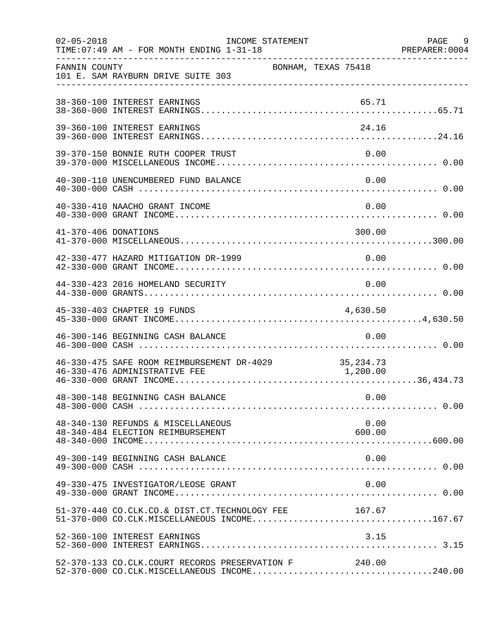| $02 - 05 - 2018$     | INCOME STATEMENT<br>TIME: 07:49 AM - FOR MONTH ENDING 1-31-18                                        |                     | PAGE 9 |
|----------------------|------------------------------------------------------------------------------------------------------|---------------------|--------|
| FANNIN COUNTY        | 101 E. SAM RAYBURN DRIVE SUITE 303                                                                   | BONHAM, TEXAS 75418 |        |
|                      | 38-360-100 INTEREST EARNINGS                                                                         | 65.71               |        |
|                      | 39-360-100 INTEREST EARNINGS                                                                         | 24.16               |        |
|                      | 39-370-150 BONNIE RUTH COOPER TRUST                                                                  | 0.00                |        |
|                      | 40-300-110 UNENCUMBERED FUND BALANCE                                                                 | 0.00                |        |
|                      | 40-330-410 NAACHO GRANT INCOME                                                                       | 0.00                |        |
| 41-370-406 DONATIONS |                                                                                                      | 300.00              |        |
|                      | 42-330-477 HAZARD MITIGATION DR-1999                                                                 | 0.00                |        |
|                      | 44-330-423 2016 HOMELAND SECURITY                                                                    | 0.00                |        |
|                      | 45-330-403 CHAPTER 19 FUNDS                                                                          | 4,630.50            |        |
|                      | 46-300-146 BEGINNING CASH BALANCE                                                                    | 0.00                |        |
|                      | 46-330-475 SAFE ROOM REIMBURSEMENT DR-4029 35,234.73<br>46-330-476 ADMINISTRATIVE FEE                | 1,200.00            |        |
|                      |                                                                                                      | 0.00                |        |
|                      | 48-340-130 REFUNDS & MISCELLANEOUS                                                                   | 0.00                |        |
|                      | 49-300-149 BEGINNING CASH BALANCE                                                                    | 0.00                |        |
|                      | 49-330-475 INVESTIGATOR/LEOSE GRANT                                                                  | 0.00                |        |
|                      | 51-370-440 CO.CLK.CO.& DIST.CT.TECHNOLOGY FEE 167.67<br>51-370-000 CO.CLK.MISCELLANEOUS INCOME167.67 |                     |        |
|                      | 52-360-100 INTEREST EARNINGS                                                                         | 3.15                |        |
|                      | 52-370-133 CO.CLK.COURT RECORDS PRESERVATION F                                                       | 240.00              |        |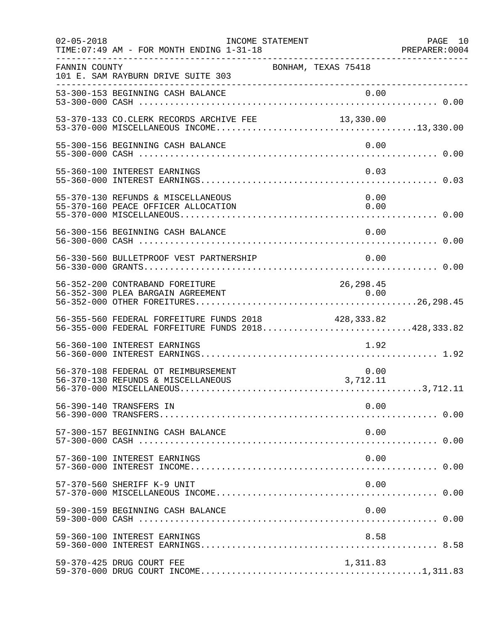| $02 - 05 - 2018$ | TIME: 07:49 AM - FOR MONTH ENDING 1-31-18                                                                                                             | INCOME STATEMENT    | PAGE 10<br>PREPARER: 0004 |
|------------------|-------------------------------------------------------------------------------------------------------------------------------------------------------|---------------------|---------------------------|
| FANNIN COUNTY    | 101 E. SAM RAYBURN DRIVE SUITE 303                                                                                                                    | BONHAM, TEXAS 75418 |                           |
|                  |                                                                                                                                                       |                     |                           |
|                  |                                                                                                                                                       |                     |                           |
|                  | 55-300-156 BEGINNING CASH BALANCE                                                                                                                     | 0.00                |                           |
|                  | 55-360-100 INTEREST EARNINGS                                                                                                                          | 0.03                |                           |
|                  | 55-370-130 REFUNDS & MISCELLANEOUS<br>55-370-160 PEACE OFFICER ALLOCATION                                                                             | 0.00<br>0.00        |                           |
|                  | 56-300-156 BEGINNING CASH BALANCE                                                                                                                     | 0.00                |                           |
|                  | 56-330-560 BULLETPROOF VEST PARTNERSHIP                                                                                                               | 0.00                |                           |
|                  | 56-352-200 CONTRABAND FOREITURE<br>56-352-300 PLEA BARGAIN AGREEMENT                                                                                  | 26, 298.45          |                           |
|                  | 56-355-560 FEDERAL FORFEITURE FUNDS 2018<br>56-355-560 FEDERAL FORFEITURE FUNDS 2018 428,333.82<br>56-355-000 FEDERAL FORFEITURE FUNDS 2018428,333.82 |                     |                           |
|                  | 56-360-100 INTEREST EARNINGS                                                                                                                          | 1.92                |                           |
|                  | 56-370-108 FEDERAL OT REIMBURSEMENT<br>56-370-130 REFUNDS & MISCELLANEOUS                                                                             | $0.00$<br>3,712.11  |                           |
|                  | 56-390-140 TRANSFERS IN                                                                                                                               | 0.00                |                           |
|                  | 57-300-157 BEGINNING CASH BALANCE                                                                                                                     | 0.00                |                           |
|                  | 57-360-100 INTEREST EARNINGS                                                                                                                          | 0.00                |                           |
|                  | 57-370-560 SHERIFF K-9 UNIT                                                                                                                           | 0.00                |                           |
|                  | 59-300-159 BEGINNING CASH BALANCE                                                                                                                     | 0.00                |                           |
|                  | 59-360-100 INTEREST EARNINGS                                                                                                                          | 8.58                |                           |
|                  | 59-370-425 DRUG COURT FEE                                                                                                                             | 1,311.83            |                           |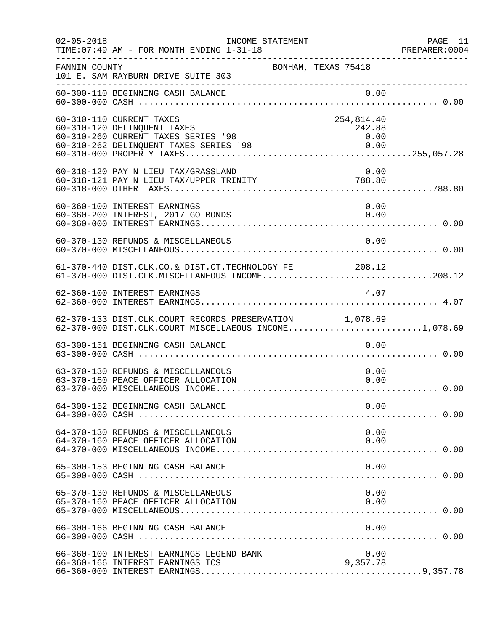| $02 - 05 - 2018$ | INCOME STATEMENT<br>TIME: 07:49 AM - FOR MONTH ENDING 1-31-18                                                                            |                                      | PAGE 11<br>PREPARER:0004 |
|------------------|------------------------------------------------------------------------------------------------------------------------------------------|--------------------------------------|--------------------------|
| FANNIN COUNTY    | BONHAM, TEXAS 75418<br>101 E. SAM RAYBURN DRIVE SUITE 303                                                                                |                                      |                          |
|                  | 60-300-110 BEGINNING CASH BALANCE                                                                                                        |                                      |                          |
|                  | 60-310-110 CURRENT TAXES<br>60-310-120 DELINQUENT TAXES<br>60-310-260 CURRENT TAXES SERIES '98<br>60-310-262 DELINQUENT TAXES SERIES '98 | 254,814.40<br>242.88<br>0.00<br>0.00 |                          |
|                  | 60-318-120 PAY N LIEU TAX/GRASSLAND<br>60-318-121 PAY N LIEU TAX/UPPER TRINITY                                                           | 0.00<br>788.80                       |                          |
|                  | 60-360-100 INTEREST EARNINGS<br>60-360-200 INTEREST, 2017 GO BONDS                                                                       | 0.00<br>0.00                         |                          |
|                  | 60-370-130 REFUNDS & MISCELLANEOUS                                                                                                       | 0.00                                 |                          |
|                  | 61-370-440 DIST.CLK.CO.& DIST.CT.TECHNOLOGY FE 208.12<br>61-370-000 DIST.CLK.MISCELLANEOUS INCOME208.12                                  |                                      |                          |
|                  | 62-360-100 INTEREST EARNINGS                                                                                                             | 4.07                                 |                          |
|                  | 62-370-133 DIST.CLK.COURT RECORDS PRESERVATION 1,078.69<br>62-370-000 DIST.CLK.COURT MISCELLAEOUS INCOME1,078.69                         |                                      |                          |
|                  | 63-300-151 BEGINNING CASH BALANCE                                                                                                        | 0.00                                 |                          |
|                  | 63-370-130 REFUNDS & MISCELLANEOUS<br>63-370-160 PEACE OFFICER ALLOCATION                                                                | 0.00<br>0.00                         |                          |
|                  | 64-300-152 BEGINNING CASH BALANCE                                                                                                        | 0.00                                 |                          |
|                  | 64-370-130 REFUNDS & MISCELLANEOUS<br>64-370-160 PEACE OFFICER ALLOCATION                                                                | 0.00<br>0.00                         |                          |
|                  | 65-300-153 BEGINNING CASH BALANCE                                                                                                        | 0.00                                 |                          |
|                  | 65-370-130 REFUNDS & MISCELLANEOUS<br>65-370-160 PEACE OFFICER ALLOCATION                                                                | 0.00<br>0.00                         |                          |
|                  | 66-300-166 BEGINNING CASH BALANCE                                                                                                        | 0.00                                 |                          |
|                  | 66-360-100 INTEREST EARNINGS LEGEND BANK<br>66-360-166 INTEREST EARNINGS ICS                                                             | 0.00<br>9,357.78                     |                          |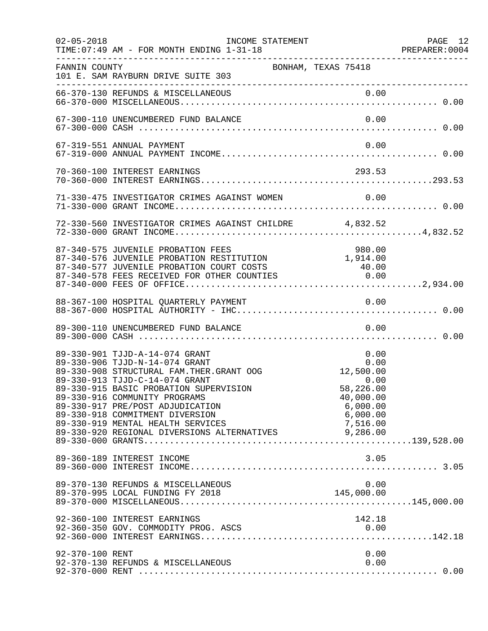| $02 - 05 - 2018$ | INCOME STATEMENT<br>TIME: 07:49 AM - FOR MONTH ENDING 1-31-18                                                                                                                                                                                                                                                                                                                                   |                                                                                                 | PAGE 12<br>PREPARER: 0004 |
|------------------|-------------------------------------------------------------------------------------------------------------------------------------------------------------------------------------------------------------------------------------------------------------------------------------------------------------------------------------------------------------------------------------------------|-------------------------------------------------------------------------------------------------|---------------------------|
| FANNIN COUNTY    | BONHAM, TEXAS 75418<br>101 E. SAM RAYBURN DRIVE SUITE 303                                                                                                                                                                                                                                                                                                                                       |                                                                                                 |                           |
|                  |                                                                                                                                                                                                                                                                                                                                                                                                 |                                                                                                 |                           |
|                  | 67-300-110 UNENCUMBERED FUND BALANCE                                                                                                                                                                                                                                                                                                                                                            | 0.00                                                                                            |                           |
|                  | 67-319-551 ANNUAL PAYMENT                                                                                                                                                                                                                                                                                                                                                                       | 0.00                                                                                            |                           |
|                  | 70-360-100 INTEREST EARNINGS                                                                                                                                                                                                                                                                                                                                                                    | 293.53                                                                                          |                           |
|                  |                                                                                                                                                                                                                                                                                                                                                                                                 |                                                                                                 |                           |
|                  | 72-330-560 INVESTIGATOR CRIMES AGAINST CHILDRE 4,832.52                                                                                                                                                                                                                                                                                                                                         |                                                                                                 |                           |
|                  | 87-340-575 JUVENILE PROBATION FEES<br>87-340-576 JUVENILE PROBATION RESTITUTION 1,914.00<br>87-340-577 JUVENILE PROBATION COURT COSTS<br>87-340-578 FEES RECEIVED FOR OTHER COUNTIES 0.00                                                                                                                                                                                                       | 980.00                                                                                          |                           |
|                  |                                                                                                                                                                                                                                                                                                                                                                                                 |                                                                                                 |                           |
|                  | 89-300-110 UNENCUMBERED FUND BALANCE                                                                                                                                                                                                                                                                                                                                                            | 0.00                                                                                            |                           |
|                  | 89-330-901 TJJD-A-14-074 GRANT<br>89-330-906 TJJD-N-14-074 GRANT<br>89-330-908 STRUCTURAL FAM. THER. GRANT OOG<br>89-330-913 TJJD-C-14-074 GRANT<br>89-330-915 BASIC PROBATION SUPERVISION<br>89-330-916 COMMUNITY PROGRAMS<br>89-330-917 PRE/POST ADJUDICATION<br>89-330-918 COMMITMENT DIVERSION<br>89-330-919 MENTAL HEALTH SERVICES<br>89-330-920 REGIONAL DIVERSIONS ALTERNATIVES 9,286.00 | 0.00<br>0.00<br>12,500.00<br>0.00<br>58,226.00<br>40,000.00<br>6,000.00<br>6,000.00<br>7,516.00 |                           |
|                  | 89-360-189 INTEREST INCOME                                                                                                                                                                                                                                                                                                                                                                      | 3.05                                                                                            |                           |
|                  | 89-370-130 REFUNDS & MISCELLANEOUS                                                                                                                                                                                                                                                                                                                                                              | 0.00                                                                                            |                           |
|                  | 92-360-100 INTEREST EARNINGS                                                                                                                                                                                                                                                                                                                                                                    | 142.18                                                                                          |                           |
| 92-370-100 RENT  | 92-370-130 REFUNDS & MISCELLANEOUS                                                                                                                                                                                                                                                                                                                                                              | 0.00<br>0.00                                                                                    |                           |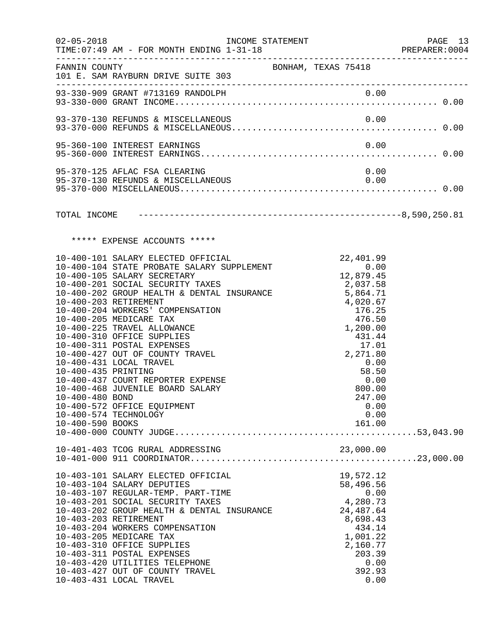|                                                            |                                                                                                                                                                                                                                                                                                                                                                                                                                                                                                                                                                                                 |                                                                                                                                                                                                     | PAGE 13<br>PREPARER: 0004 |
|------------------------------------------------------------|-------------------------------------------------------------------------------------------------------------------------------------------------------------------------------------------------------------------------------------------------------------------------------------------------------------------------------------------------------------------------------------------------------------------------------------------------------------------------------------------------------------------------------------------------------------------------------------------------|-----------------------------------------------------------------------------------------------------------------------------------------------------------------------------------------------------|---------------------------|
| FANNIN COUNTY                                              | 101 E. SAM RAYBURN DRIVE SUITE 303                                                                                                                                                                                                                                                                                                                                                                                                                                                                                                                                                              | BONHAM, TEXAS 75418                                                                                                                                                                                 |                           |
|                                                            |                                                                                                                                                                                                                                                                                                                                                                                                                                                                                                                                                                                                 |                                                                                                                                                                                                     |                           |
|                                                            | 93-370-130 REFUNDS & MISCELLANEOUS                                                                                                                                                                                                                                                                                                                                                                                                                                                                                                                                                              | 0.00                                                                                                                                                                                                |                           |
|                                                            |                                                                                                                                                                                                                                                                                                                                                                                                                                                                                                                                                                                                 |                                                                                                                                                                                                     |                           |
|                                                            | 95-370-125 AFLAC FSA CLEARING<br>95-370-130 REFUNDS & MISCELLANEOUS                                                                                                                                                                                                                                                                                                                                                                                                                                                                                                                             | 0.00<br>0.00                                                                                                                                                                                        |                           |
|                                                            |                                                                                                                                                                                                                                                                                                                                                                                                                                                                                                                                                                                                 |                                                                                                                                                                                                     |                           |
|                                                            | ***** EXPENSE ACCOUNTS *****                                                                                                                                                                                                                                                                                                                                                                                                                                                                                                                                                                    |                                                                                                                                                                                                     |                           |
| 10-400-435 PRINTING<br>10-400-480 BOND<br>10-400-590 BOOKS | 10-400-101 SALARY ELECTED OFFICIAL<br>10-400-104 STATE PROBATE SALARY SUPPLEMENT<br>10-400-105 SALARY SECRETARY<br>10-400-201 SOCIAL SECURITY TAXES<br>10-400-202 GROUP HEALTH & DENTAL INSURANCE<br>5,864.71<br>10-400-203 RETIREMENT<br>10-400-204 WORKERS' COMPENSATION<br>10-400-205 MEDICARE TAX<br>10-400-225 TRAVEL ALLOWANCE<br>10-400-310 OFFICE SUPPLIES<br>10-400-311 POSTAL EXPENSES<br>10-400-427 OUT OF COUNTY TRAVEL<br>10-400-431 LOCAL TRAVEL<br>10-400-437 COURT REPORTER EXPENSE<br>10-400-468 JUVENILE BOARD SALARY<br>10-400-572 OFFICE EQUIPMENT<br>10-400-574 TECHNOLOGY | 22,401.99<br>4,020.67<br>176.25<br>476.50<br>1,200.00<br>431.44<br>$\begin{array}{c} 17.01 \\ 17.01 \\ 2,271.80 \end{array}$<br>0.00<br>58.50<br>0.00<br>800.00<br>247.00<br>0.00<br>0.00<br>161.00 |                           |
|                                                            | 10-401-403 TCOG RURAL ADDRESSING                                                                                                                                                                                                                                                                                                                                                                                                                                                                                                                                                                |                                                                                                                                                                                                     |                           |
|                                                            | 10-403-101 SALARY ELECTED OFFICIAL<br>10-403-104 SALARY DEPUTIES<br>10-403-107 REGULAR-TEMP. PART-TIME<br>10-403-201 SOCIAL SECURITY TAXES<br>10-403-202 GROUP HEALTH & DENTAL INSURANCE<br>10-403-203 RETIREMENT<br>10-403-204 WORKERS COMPENSATION<br>10-403-205 MEDICARE TAX<br>10-403-310 OFFICE SUPPLIES<br>10-403-311 POSTAL EXPENSES<br>10-403-420 UTILITIES TELEPHONE<br>10-403-427 OUT OF COUNTY TRAVEL                                                                                                                                                                                | 19,572.12<br>58,496.56<br>0.00<br>4,280.73<br>24,487.64<br>8,698.43<br>434.14<br>1,001.22<br>2,160.77<br>203.39<br>0.00<br>392.93                                                                   |                           |
|                                                            | 10-403-431 LOCAL TRAVEL                                                                                                                                                                                                                                                                                                                                                                                                                                                                                                                                                                         | 0.00                                                                                                                                                                                                |                           |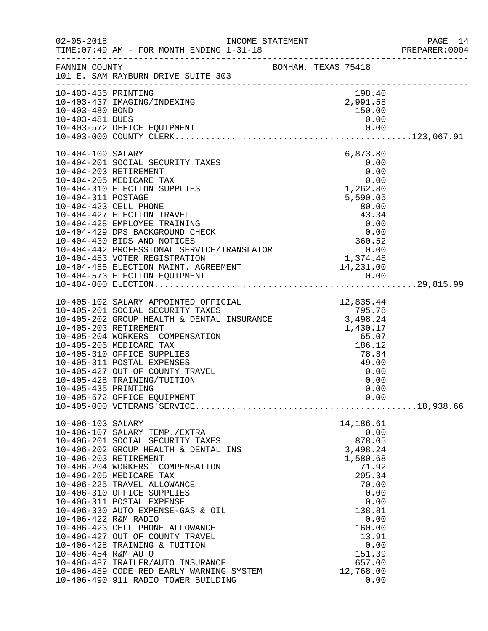| $02 - 05 - 2018$     | INCOME STATEMENT<br>TIME: 07:49 AM - FOR MONTH ENDING 1-31-18                                                                                                                                                                                |  |                      | PAGE 14<br>PAGE 14<br>PREPARER:0004 |
|----------------------|----------------------------------------------------------------------------------------------------------------------------------------------------------------------------------------------------------------------------------------------|--|----------------------|-------------------------------------|
| FANNIN COUNTY        | BONHAM, TEXAS 75418<br>101 E. SAM RAYBURN DRIVE SUITE 303                                                                                                                                                                                    |  |                      |                                     |
| 10-403-435 PRINTING  |                                                                                                                                                                                                                                              |  | 198.40               |                                     |
| 10-403-480 BOND      | 10-403-437 IMAGING/INDEXING                                                                                                                                                                                                                  |  | 2,991.58<br>150.00   |                                     |
| 10-403-481 DUES      |                                                                                                                                                                                                                                              |  | 0.00                 |                                     |
|                      |                                                                                                                                                                                                                                              |  |                      |                                     |
|                      |                                                                                                                                                                                                                                              |  |                      |                                     |
| 10-404-109 SALARY    |                                                                                                                                                                                                                                              |  | 6,873.80             |                                     |
|                      | 10-404-201 SOCIAL SECURITY TAXES                                                                                                                                                                                                             |  | 0.00                 |                                     |
|                      | 10-404-203 RETIREMENT                                                                                                                                                                                                                        |  | 0.00                 |                                     |
|                      | 10-404-205 MEDICARE TAX<br>10-404-310 ELECTION SUPPLIES                                                                                                                                                                                      |  | $0.00$<br>1,262.80   |                                     |
| 10-404-311 POSTAGE   |                                                                                                                                                                                                                                              |  | 5,590.05             |                                     |
|                      | 10-404-423 CELL PHONE                                                                                                                                                                                                                        |  | 80.00                |                                     |
|                      |                                                                                                                                                                                                                                              |  |                      |                                     |
|                      |                                                                                                                                                                                                                                              |  |                      |                                     |
|                      |                                                                                                                                                                                                                                              |  |                      |                                     |
|                      |                                                                                                                                                                                                                                              |  |                      |                                     |
|                      |                                                                                                                                                                                                                                              |  |                      |                                     |
|                      |                                                                                                                                                                                                                                              |  |                      |                                     |
|                      |                                                                                                                                                                                                                                              |  |                      |                                     |
|                      | 10-404-423 CELL PHONE<br>10-404-427 ELECTION TRAVEL<br>10-404-423 EMPLOYEE TRAINING<br>10-404-429 DPS BACKGROUND CHECK<br>10-404-429 DPS BACKGROUND CHECK<br>10-404-429 DPS BACKGROUND CHECK<br>10-404-429 DPS BACKGROUND CHECK<br>10-404-44 |  |                      |                                     |
|                      | 10-405-102 SALARY APPOINTED OFFICIAL 10-405-201 SOCIAL SECURITY TAXES 10-405-202 GROUP HEALTH & DENTAL INSURANCE 3,498.24<br>10-405-202 GROUP HEALTH & DENTAL INSURANCE 3,498.24<br>10-405-203 RETIREMENT 10-405-204 WORKERS' COMPEN         |  |                      |                                     |
|                      |                                                                                                                                                                                                                                              |  |                      |                                     |
|                      |                                                                                                                                                                                                                                              |  |                      |                                     |
|                      |                                                                                                                                                                                                                                              |  |                      |                                     |
|                      |                                                                                                                                                                                                                                              |  |                      |                                     |
|                      | 10-405-310 OFFICE SUPPLIES                                                                                                                                                                                                                   |  | 78.84                |                                     |
|                      | 10-405-311 POSTAL EXPENSES                                                                                                                                                                                                                   |  | 49.00                |                                     |
|                      | 10-405-427 OUT OF COUNTY TRAVEL                                                                                                                                                                                                              |  | 0.00                 |                                     |
|                      | 10-405-428 TRAINING/TUITION                                                                                                                                                                                                                  |  | 0.00                 |                                     |
| 10-405-435 PRINTING  |                                                                                                                                                                                                                                              |  | 0.00                 |                                     |
|                      |                                                                                                                                                                                                                                              |  |                      |                                     |
|                      |                                                                                                                                                                                                                                              |  |                      |                                     |
| 10-406-103 SALARY    |                                                                                                                                                                                                                                              |  | 14,186.61            |                                     |
|                      | 10-406-107 SALARY TEMP./EXTRA                                                                                                                                                                                                                |  | 0.00                 |                                     |
|                      | 10-406-201 SOCIAL SECURITY TAXES<br>10-406-202 GROUP HEALTH & DENTAL INS                                                                                                                                                                     |  | 878.05               |                                     |
|                      | 10-406-203 RETIREMENT                                                                                                                                                                                                                        |  | 3,498.24<br>1,580.68 |                                     |
|                      | 10-406-204 WORKERS' COMPENSATION                                                                                                                                                                                                             |  | 71.92                |                                     |
|                      | 10-406-205 MEDICARE TAX                                                                                                                                                                                                                      |  | 205.34               |                                     |
|                      | 10-406-225 TRAVEL ALLOWANCE                                                                                                                                                                                                                  |  | 70.00                |                                     |
|                      | 10-406-310 OFFICE SUPPLIES                                                                                                                                                                                                                   |  | 0.00                 |                                     |
|                      | 10-406-311 POSTAL EXPENSE                                                                                                                                                                                                                    |  | 0.00                 |                                     |
|                      | 10-406-330 AUTO EXPENSE-GAS & OIL                                                                                                                                                                                                            |  | 138.81               |                                     |
| 10-406-422 R&M RADIO |                                                                                                                                                                                                                                              |  | 0.00                 |                                     |
|                      | 10-406-423 CELL PHONE ALLOWANCE<br>10-406-427 OUT OF COUNTY TRAVEL                                                                                                                                                                           |  | 160.00<br>13.91      |                                     |
|                      | 10-406-428 TRAINING & TUITION                                                                                                                                                                                                                |  | 0.00                 |                                     |
| 10-406-454 R&M AUTO  |                                                                                                                                                                                                                                              |  | 151.39               |                                     |
|                      | 10-406-487 TRAILER/AUTO INSURANCE                                                                                                                                                                                                            |  | 657.00               |                                     |
|                      | 10-406-489 CODE RED EARLY WARNING SYSTEM                                                                                                                                                                                                     |  | 12,768.00            |                                     |
|                      | 10-406-490 911 RADIO TOWER BUILDING                                                                                                                                                                                                          |  | 0.00                 |                                     |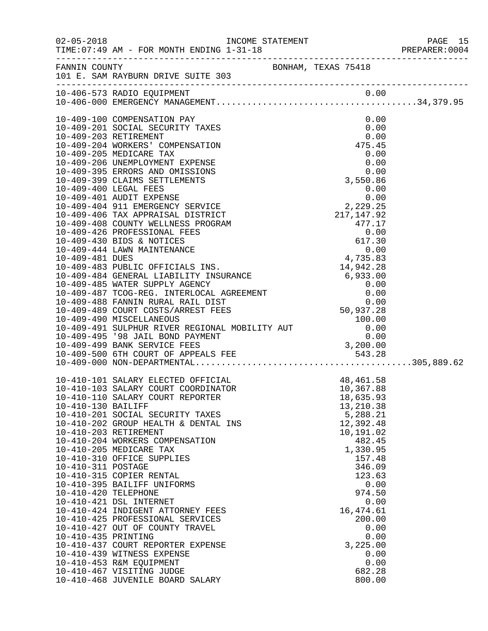|                                                                                         |                                                                                                                                                                                                                                                                                                                                                                                                                                                                                                                                                                                                                                                                                  |                                                                                                                                                                                                                                                              | PREPARER:0004 |
|-----------------------------------------------------------------------------------------|----------------------------------------------------------------------------------------------------------------------------------------------------------------------------------------------------------------------------------------------------------------------------------------------------------------------------------------------------------------------------------------------------------------------------------------------------------------------------------------------------------------------------------------------------------------------------------------------------------------------------------------------------------------------------------|--------------------------------------------------------------------------------------------------------------------------------------------------------------------------------------------------------------------------------------------------------------|---------------|
|                                                                                         | FANNIN COUNTY<br>101 E. SAM RAYBURN DRIVE SUITE 303                                                                                                                                                                                                                                                                                                                                                                                                                                                                                                                                                                                                                              |                                                                                                                                                                                                                                                              |               |
|                                                                                         | 10-406-573 RADIO EQUIPMENT                                                                                                                                                                                                                                                                                                                                                                                                                                                                                                                                                                                                                                                       |                                                                                                                                                                                                                                                              |               |
|                                                                                         | 10-409-100 COMPENSATION PAY<br>10-409-201 SOCIAL SECURITY TAXES<br>10-409-203 RETIREMENT<br>10-409-204 WORKERS' COMPENSATION<br>10-409-205 MEDICARE TAX<br>10-409-206 UNEMPLOYMENT EXPENSE<br>10-409-395 ERRORS AND OMISSIONS<br>10-409-399 CLAIMS SETTLEMENTS<br>10-409-495 '98 JAIL BOND PAYMENT<br>10-409-499 BANK SERVICE FEES<br>10-409-500 6TH COURT OF APPEALS FEE                                                                                                                                                                                                                                                                                                        | 0.00<br>0.00<br>0.00<br>475.45<br>0.00<br>$0.00$<br>0.00<br>0.00<br>3,550.86                                                                                                                                                                                 |               |
| 10-410-130 BAILIFF<br>10-410-311 POSTAGE<br>10-410-420 TELEPHONE<br>10-410-435 PRINTING | 10-410-101 SALARY ELECTED OFFICIAL<br>10-410-103 SALARY COURT COORDINATOR<br>10-410-110 SALARY COURT REPORTER<br>10-410-201 SOCIAL SECURITY TAXES<br>10-410-202 GROUP HEALTH & DENTAL INS<br>10-410-203 RETIREMENT<br>10-410-204 WORKERS COMPENSATION<br>10-410-205 MEDICARE TAX<br>10-410-310 OFFICE SUPPLIES<br>10-410-315 COPIER RENTAL<br>10-410-395 BAILIFF UNIFORMS<br>10-410-421 DSL INTERNET<br>10-410-424 INDIGENT ATTORNEY FEES<br>10-410-425 PROFESSIONAL SERVICES<br>10-410-427 OUT OF COUNTY TRAVEL<br>10-410-437 COURT REPORTER EXPENSE<br>10-410-439 WITNESS EXPENSE<br>10-410-453 R&M EQUIPMENT<br>10-410-467 VISITING JUDGE<br>10-410-468 JUVENILE BOARD SALARY | 48,461.58<br>10,367.88<br>18,635.93<br>13,210.38<br>5,288.21<br>12,392.48<br>10,191.02<br>482.45<br>1,330.95<br>157.48<br>346.09<br>123.63<br>0.00<br>974.50<br>0.00<br>16, 474.61<br>200.00<br>0.00<br>0.00<br>3,225.00<br>0.00<br>0.00<br>682.28<br>800.00 |               |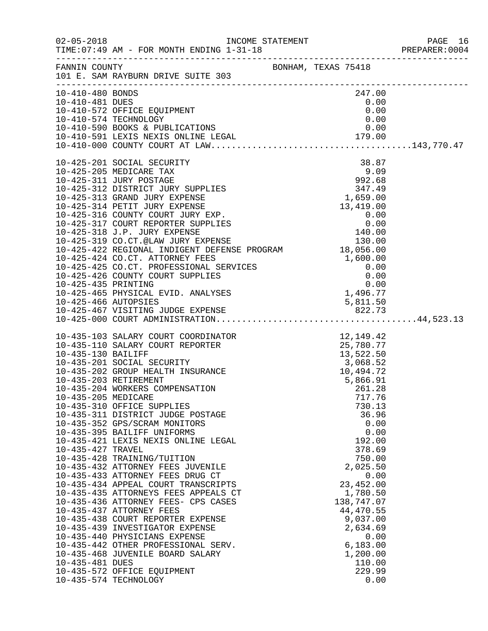|                                                             |                                                                                                                                                                                                                                                                                                                                                                                                                                                                                                                                                                                                                                                                                                                                                                                                                                                                                                                                                                                                                                                |                                                                                                                                                                                                                                      | PREPARER: 0004 |
|-------------------------------------------------------------|------------------------------------------------------------------------------------------------------------------------------------------------------------------------------------------------------------------------------------------------------------------------------------------------------------------------------------------------------------------------------------------------------------------------------------------------------------------------------------------------------------------------------------------------------------------------------------------------------------------------------------------------------------------------------------------------------------------------------------------------------------------------------------------------------------------------------------------------------------------------------------------------------------------------------------------------------------------------------------------------------------------------------------------------|--------------------------------------------------------------------------------------------------------------------------------------------------------------------------------------------------------------------------------------|----------------|
|                                                             | FANNIN COUNTY<br>101 E. SAM RAYBURN DRIVE SUITE 303                                                                                                                                                                                                                                                                                                                                                                                                                                                                                                                                                                                                                                                                                                                                                                                                                                                                                                                                                                                            | BONHAM, TEXAS 75418                                                                                                                                                                                                                  |                |
| 10-410-480 BONDS                                            | 10-410-481 DUES<br>10-410-572 OFFICE EQUIPMENT<br>10-410-574 TECHNOLOGY<br>10-410-590 BOOKS & PUBLICATIONS<br>10-410-591 LEXIS NEXIS ONLINE LEGAL<br>10-410-591 LEXIS NEXIS ONLINE LEGAL<br>179.00<br>10-410-000 COUNTY COURT AT LAW                                                                                                                                                                                                                                                                                                                                                                                                                                                                                                                                                                                                                                                                                                                                                                                                           | 247.00                                                                                                                                                                                                                               |                |
|                                                             | 10-425-465 PHYSICAL EVID. ANALYSES 10-425-466 AUTOPSIES 10-425-466 AUTOPSIES 5,811.50                                                                                                                                                                                                                                                                                                                                                                                                                                                                                                                                                                                                                                                                                                                                                                                                                                                                                                                                                          |                                                                                                                                                                                                                                      |                |
| 10-435-205 MEDICARE<br>10-435-427 TRAVEL<br>10-435-481 DUES | $\begin{tabular}{lllllllllllllllllllllll} 10-435-103 & \text{SALARY COURT COORDINATOR} & & & & 12\,,149\,.42\, \\ 10-435-110 & \text{SALARY COURT REPORTER} & & & 25\,,780\,.77\, \\ 10-435-130 & \text{BAILIFF} & & 25\,,780\,.77\, \\ 10-435-201 & \text{SOCIAL SECURITY} & & 3\,,068\,.52\, \\ 10-435-202 & \text{GROUP HEALTH INSURANCE} & & 10\,,494\,.7$<br>10-435-310 OFFICE SUPPLIES<br>10-435-311 DISTRICT JUDGE POSTAGE<br>10-435-352 GPS/SCRAM MONITORS<br>10-435-395 BAILIFF UNIFORMS<br>10-435-421 LEXIS NEXIS ONLINE LEGAL<br>10-435-428 TRAINING/TUITION<br>10-435-432 ATTORNEY FEES JUVENILE<br>10-435-433 ATTORNEY FEES DRUG CT<br>10-435-434 APPEAL COURT TRANSCRIPTS<br>10-435-435 ATTORNEYS FEES APPEALS CT<br>10-435-436 ATTORNEY FEES- CPS CASES<br>10-435-437 ATTORNEY FEES<br>10-435-438 COURT REPORTER EXPENSE<br>10-435-439 INVESTIGATOR EXPENSE<br>10-435-440 PHYSICIANS EXPENSE<br>10-435-442 OTHER PROFESSIONAL SERV.<br>10-435-468 JUVENILE BOARD SALARY<br>10-435-572 OFFICE EQUIPMENT<br>10-435-574 TECHNOLOGY | 717.76<br>730.13<br>36.96<br>0.00<br>0.00<br>192.00<br>378.69<br>750.00<br>2,025.50<br>0.00<br>23,452.00<br>1,780.50<br>138,747.07<br>44,470.55<br>9,037.00<br>2,634.69<br>0.00<br>6, 183.00<br>1,200.00<br>110.00<br>229.99<br>0.00 |                |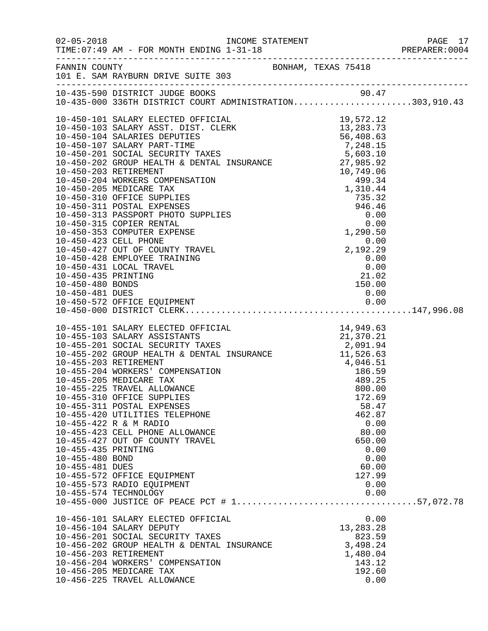|                                    | FANNIN COUNTY BONHAM, TEXAS 75418<br>101 E. SAM RAYBURN DRIVE SUITE 303                                                                                                                                                                                                                                                                               |  |                    |      |  |
|------------------------------------|-------------------------------------------------------------------------------------------------------------------------------------------------------------------------------------------------------------------------------------------------------------------------------------------------------------------------------------------------------|--|--------------------|------|--|
|                                    | 90.47 10-435-590 DISTRICT JUDGE BOOKS<br>10-435-000 336TH DISTRICT COURT ADMINISTRATION303,910.43                                                                                                                                                                                                                                                     |  |                    |      |  |
|                                    | $[10-450-010 \mbox{ SJuR1Y ECFEDD OFFICTICIAL} \centering 10-450-101 \mbox{ SALARY ASET, DIST. CLERK} \centering 11, 283.73$<br>$[10-450-104 \mbox{ SALARY ECFFID OF FICIAL} \centering 13, 283.73$<br>$[10-450-010 \mbox{ SALARY RAST, DIST. CLERK} \centering 13, 283.73$<br>$[10-450-201 \mbox{ SOCIA EECRITY TAKES} \centering 7, 248.15$<br>$[1$ |  |                    |      |  |
|                                    |                                                                                                                                                                                                                                                                                                                                                       |  |                    |      |  |
|                                    |                                                                                                                                                                                                                                                                                                                                                       |  |                    |      |  |
|                                    |                                                                                                                                                                                                                                                                                                                                                       |  |                    |      |  |
|                                    |                                                                                                                                                                                                                                                                                                                                                       |  |                    |      |  |
|                                    |                                                                                                                                                                                                                                                                                                                                                       |  |                    |      |  |
|                                    |                                                                                                                                                                                                                                                                                                                                                       |  |                    |      |  |
|                                    |                                                                                                                                                                                                                                                                                                                                                       |  |                    |      |  |
|                                    |                                                                                                                                                                                                                                                                                                                                                       |  |                    |      |  |
|                                    |                                                                                                                                                                                                                                                                                                                                                       |  |                    |      |  |
|                                    |                                                                                                                                                                                                                                                                                                                                                       |  |                    |      |  |
|                                    |                                                                                                                                                                                                                                                                                                                                                       |  |                    |      |  |
|                                    |                                                                                                                                                                                                                                                                                                                                                       |  |                    |      |  |
|                                    |                                                                                                                                                                                                                                                                                                                                                       |  |                    |      |  |
|                                    |                                                                                                                                                                                                                                                                                                                                                       |  |                    |      |  |
|                                    |                                                                                                                                                                                                                                                                                                                                                       |  |                    |      |  |
|                                    |                                                                                                                                                                                                                                                                                                                                                       |  |                    |      |  |
|                                    |                                                                                                                                                                                                                                                                                                                                                       |  |                    |      |  |
|                                    |                                                                                                                                                                                                                                                                                                                                                       |  |                    |      |  |
|                                    |                                                                                                                                                                                                                                                                                                                                                       |  |                    |      |  |
|                                    | 10-455-101 SALARY ELECTED OFFICIAL<br>10-455-101 SALARY ASSISTANTS<br>10-455-201 SOCIAL SECURITY TAXES<br>10-455-201 SOCIAL SECURITY TAXES<br>2, 091.94<br>10-455-202 GROUP HEALTH & DENTAL INSURANCE<br>11,526.63<br>10-455-203 RETIREMENT<br>                                                                                                       |  |                    |      |  |
|                                    |                                                                                                                                                                                                                                                                                                                                                       |  |                    |      |  |
|                                    |                                                                                                                                                                                                                                                                                                                                                       |  |                    |      |  |
|                                    |                                                                                                                                                                                                                                                                                                                                                       |  |                    |      |  |
|                                    |                                                                                                                                                                                                                                                                                                                                                       |  |                    |      |  |
|                                    |                                                                                                                                                                                                                                                                                                                                                       |  |                    |      |  |
|                                    |                                                                                                                                                                                                                                                                                                                                                       |  |                    |      |  |
|                                    | 10-455-310 OFFICE SUPPLIES                                                                                                                                                                                                                                                                                                                            |  | 172.69             |      |  |
|                                    | 10-455-311 POSTAL EXPENSES<br>10-455-420 UTILITIES TELEPHONE                                                                                                                                                                                                                                                                                          |  | 58.47<br>462.87    |      |  |
|                                    | 10-455-422 R & M RADIO                                                                                                                                                                                                                                                                                                                                |  |                    | 0.00 |  |
|                                    | 10-455-423 CELL PHONE ALLOWANCE                                                                                                                                                                                                                                                                                                                       |  | 80.00              |      |  |
|                                    | 10-455-427 OUT OF COUNTY TRAVEL                                                                                                                                                                                                                                                                                                                       |  | 650.00             |      |  |
| 10-455-435 PRINTING                |                                                                                                                                                                                                                                                                                                                                                       |  |                    | 0.00 |  |
| 10-455-480 BOND<br>10-455-481 DUES |                                                                                                                                                                                                                                                                                                                                                       |  | 60.00              | 0.00 |  |
|                                    | 10-455-572 OFFICE EQUIPMENT                                                                                                                                                                                                                                                                                                                           |  | 127.99             |      |  |
|                                    | 10-455-573 RADIO EQUIPMENT                                                                                                                                                                                                                                                                                                                            |  |                    | 0.00 |  |
|                                    | 10-455-574 TECHNOLOGY                                                                                                                                                                                                                                                                                                                                 |  |                    | 0.00 |  |
|                                    |                                                                                                                                                                                                                                                                                                                                                       |  |                    |      |  |
|                                    | 10-456-101 SALARY ELECTED OFFICIAL                                                                                                                                                                                                                                                                                                                    |  |                    | 0.00 |  |
|                                    | 10-456-104 SALARY DEPUTY                                                                                                                                                                                                                                                                                                                              |  | 13, 283. 28        |      |  |
|                                    | 10-456-201 SOCIAL SECURITY TAXES                                                                                                                                                                                                                                                                                                                      |  | 823.59             |      |  |
|                                    | 10-456-202 GROUP HEALTH & DENTAL INSURANCE                                                                                                                                                                                                                                                                                                            |  | 3,498.24           |      |  |
|                                    | 10-456-203 RETIREMENT<br>10-456-204 WORKERS' COMPENSATION                                                                                                                                                                                                                                                                                             |  | 1,480.04<br>143.12 |      |  |
|                                    | 10-456-205 MEDICARE TAX                                                                                                                                                                                                                                                                                                                               |  | 192.60             |      |  |
|                                    | 10-456-225 TRAVEL ALLOWANCE                                                                                                                                                                                                                                                                                                                           |  |                    | 0.00 |  |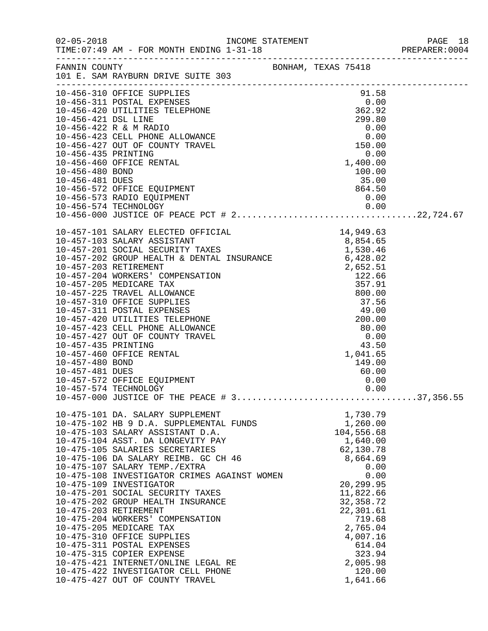|                                                           |                                                                                                                                                                                                                                                                                                                                                                                                                                                                                                                                                                                                                                                                                                                         |                                                                                                                                                 |                                                                                                                                                                                                                                      | PREPARER: 0004 |
|-----------------------------------------------------------|-------------------------------------------------------------------------------------------------------------------------------------------------------------------------------------------------------------------------------------------------------------------------------------------------------------------------------------------------------------------------------------------------------------------------------------------------------------------------------------------------------------------------------------------------------------------------------------------------------------------------------------------------------------------------------------------------------------------------|-------------------------------------------------------------------------------------------------------------------------------------------------|--------------------------------------------------------------------------------------------------------------------------------------------------------------------------------------------------------------------------------------|----------------|
|                                                           | FANNIN COUNTY<br>101 E. SAM RAYBURN DRIVE SUITE 303                                                                                                                                                                                                                                                                                                                                                                                                                                                                                                                                                                                                                                                                     | BONHAM, TEXAS 75418                                                                                                                             |                                                                                                                                                                                                                                      |                |
| 10-456-480 BOND<br>10-456-481 DUES                        | 10-456-311 POSTAL EXPENSES<br>10-456-420 UTILITIES TELEPHONE 362.92<br>10-456-421 DSL LINE 299.80<br>10-456-422 R & M RADIO<br>10-456-423 CELL PHONE ALLOWANCE<br>10-456-427 OUT OF COUNTY TRAVEL<br>10-456-435 PRINTING<br>150.00<br>10-456-460 OFFICE RENTAL<br>10-456-572 OFFICE EQUIPMENT<br>10-456-573 RADIO EQUIPMENT                                                                                                                                                                                                                                                                                                                                                                                             | 1,400.00<br>1,400.00<br>100.00<br>35.00<br>35.00<br>TT<br>TT<br>0.00<br>0.00                                                                    |                                                                                                                                                                                                                                      |                |
| 10-457-435 PRINTING<br>10-457-480 BOND<br>10-457-481 DUES | 10-457-101 SALARY ELECTED OFFICIAL 14,949.63<br>10-457-103 SALARY ASSISTANT 8,854.65<br>10-457-201 SOCIAL SECURITY TAXES 1,530.46<br>10-457-202 GROUP HEALTH & DENTAL INSURANCE 6,428.02<br>10.457.202 DETIDEMENT<br>10-457-203 RETIREMENT<br>10-457-204 WORKERS' COMPENSATION<br>10-457-205 MEDICARE TAX<br>10-457-225 TRAVEL ALLOWANCE<br>10-457-310 OFFICE SUPPLIES<br>10-457-311 POSTAL EXPENSES<br>10-457-420 UTILITIES TELEPHONE<br>10-457-423 CELL PHONE ALLOWANCE<br>10-457-427 OUT OF COUNTY TRAVEL<br>10-457-460 OFFICE RENTAL<br>10-457-572 OFFICE EQUIPMENT<br>10-457-574 TECHNOLOGY                                                                                                                        | NTAL INSURANCE<br>TION 0,428.02<br>2,652.51<br>122.66<br>357.91<br>800.00<br>37.56<br>49.00<br>NCE<br>ROCE<br>80.00<br>0.00<br>43.50<br>1041.65 | 1,041.65<br>149.00<br>60.00<br>0.00<br>0.00                                                                                                                                                                                          |                |
|                                                           | 10-475-101 DA. SALARY SUPPLEMENT<br>$10-475-102$ HB 9 D.A. SUPPLEMENTAL FUNDS<br>10-475-103 SALARY ASSISTANT D.A.<br>10-475-104 ASST. DA LONGEVITY PAY<br>10-475-105 SALARIES SECRETARIES<br>10-475-106 DA SALARY REIMB. GC CH 46<br>10-475-107 SALARY TEMP./EXTRA<br>10-475-108 INVESTIGATOR CRIMES AGAINST WOMEN<br>10-475-109 INVESTIGATOR<br>10-475-201 SOCIAL SECURITY TAXES<br>10-475-202 GROUP HEALTH INSURANCE<br>10-475-203 RETIREMENT<br>10-475-204 WORKERS' COMPENSATION<br>10-475-205 MEDICARE TAX<br>10-475-310 OFFICE SUPPLIES<br>10-475-311 POSTAL EXPENSES<br>10-475-315 COPIER EXPENSE<br>10-475-421 INTERNET/ONLINE LEGAL RE<br>10-475-422 INVESTIGATOR CELL PHONE<br>10-475-427 OUT OF COUNTY TRAVEL |                                                                                                                                                 | 1,730.79<br>1,260.00<br>104,556.68<br>1,640.00<br>62,130.78<br>8,664.69<br>0.00<br>0.00<br>20,299.95<br>11,822.66<br>32, 358.72<br>22,301.61<br>719.68<br>2,765.04<br>4,007.16<br>614.04<br>323.94<br>2,005.98<br>120.00<br>1,641.66 |                |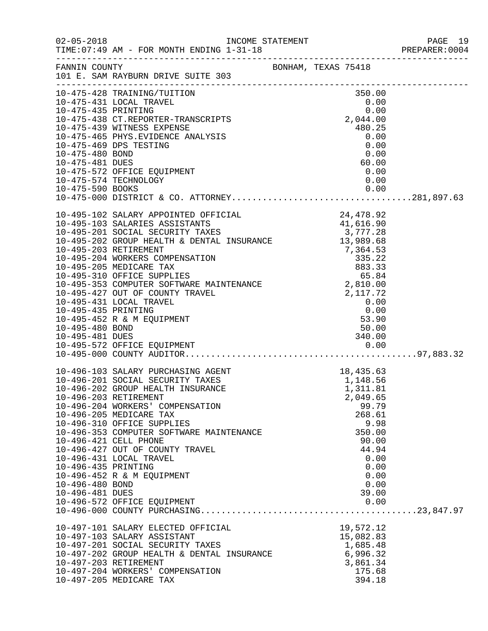|                     |                                                                                                                                                                                                                                                                                                                                                                                          |                                                               |                 | PAGE 19<br>PREPARER: 0004 |
|---------------------|------------------------------------------------------------------------------------------------------------------------------------------------------------------------------------------------------------------------------------------------------------------------------------------------------------------------------------------------------------------------------------------|---------------------------------------------------------------|-----------------|---------------------------|
|                     | FANNIN COUNTY<br>101 E. SAM RAYBURN DRIVE SUITE 303                                                                                                                                                                                                                                                                                                                                      |                                                               |                 |                           |
|                     | 10-475-428 TRAINING/TUITION 350.00<br>10-475-431 LOCAL TRAVEL 0.00<br>10-475-435 PRINTING 0.00<br>10-475-438 CT.REPORTER-TRANSCRIPTS 2,044.00<br>10-475-439 WITNESS EVENCE                                                                                                                                                                                                               |                                                               |                 |                           |
|                     |                                                                                                                                                                                                                                                                                                                                                                                          |                                                               |                 |                           |
|                     |                                                                                                                                                                                                                                                                                                                                                                                          |                                                               |                 |                           |
|                     | 10-475-439 WITNESS EXPENSE                                                                                                                                                                                                                                                                                                                                                               |                                                               | 480.25          |                           |
|                     | 10-475-465 PHYS.EVIDENCE ANALYSIS                                                                                                                                                                                                                                                                                                                                                        |                                                               | 0.00            |                           |
|                     | 10-475-469 DPS TESTING                                                                                                                                                                                                                                                                                                                                                                   |                                                               | 0.00            |                           |
| 10-475-480 BOND     |                                                                                                                                                                                                                                                                                                                                                                                          |                                                               | 0.00            |                           |
| 10-475-481 DUES     | 10-475-572 OFFICE EQUIPMENT                                                                                                                                                                                                                                                                                                                                                              | 60.00                                                         | 0.00            |                           |
|                     | 10-475-574 TECHNOLOGY                                                                                                                                                                                                                                                                                                                                                                    |                                                               | 0.00            |                           |
|                     |                                                                                                                                                                                                                                                                                                                                                                                          |                                                               |                 |                           |
|                     |                                                                                                                                                                                                                                                                                                                                                                                          |                                                               |                 |                           |
|                     |                                                                                                                                                                                                                                                                                                                                                                                          |                                                               |                 |                           |
|                     | $\begin{tabular}{lllllllllllllllllllllllllllllllll} \multicolumn{3}{c}{10-495-102\text{ SALARY APPOINTER OFFICIAL} & & & & & & & & & & 24,478.92\\ 10-495-103\text{ SALARIES ASSISTANTS} & & & & & & & 41,616.90\\ 10-495-201\text{ SOCIAL SECURITY TAKES} & & & & 3,777.28\\ 10-495-202\text{ GROUP HEALTH & \text{DENTAL INSURANCE} & & & 3,777.28\\ 10-495-203\text{ RETIREMENT} & &$ |                                                               |                 |                           |
|                     |                                                                                                                                                                                                                                                                                                                                                                                          |                                                               |                 |                           |
|                     |                                                                                                                                                                                                                                                                                                                                                                                          |                                                               |                 |                           |
|                     |                                                                                                                                                                                                                                                                                                                                                                                          |                                                               |                 |                           |
|                     |                                                                                                                                                                                                                                                                                                                                                                                          |                                                               |                 |                           |
|                     |                                                                                                                                                                                                                                                                                                                                                                                          |                                                               |                 |                           |
|                     |                                                                                                                                                                                                                                                                                                                                                                                          |                                                               |                 |                           |
|                     |                                                                                                                                                                                                                                                                                                                                                                                          |                                                               |                 |                           |
|                     |                                                                                                                                                                                                                                                                                                                                                                                          |                                                               |                 |                           |
|                     | 10-495-431 LOCAL TRAVEL                                                                                                                                                                                                                                                                                                                                                                  |                                                               | 0.00            |                           |
| 10-495-435 PRINTING |                                                                                                                                                                                                                                                                                                                                                                                          | $\begin{array}{c} 0.00 \\ 0.00 \\ 53.90 \\ 50.00 \end{array}$ |                 |                           |
|                     | 10-495-452 R & M EQUIPMENT                                                                                                                                                                                                                                                                                                                                                               |                                                               |                 |                           |
| 10-495-480 BOND     |                                                                                                                                                                                                                                                                                                                                                                                          |                                                               | 50.00           |                           |
|                     |                                                                                                                                                                                                                                                                                                                                                                                          |                                                               |                 |                           |
|                     |                                                                                                                                                                                                                                                                                                                                                                                          |                                                               |                 |                           |
|                     |                                                                                                                                                                                                                                                                                                                                                                                          |                                                               |                 |                           |
|                     | $18,435.63$<br>1,148.56<br>1,311.81<br>10-496-103 SALARY PURCHASING AGENT                                                                                                                                                                                                                                                                                                                |                                                               |                 |                           |
|                     | 10-496-201 SOCIAL SECURITY TAXES                                                                                                                                                                                                                                                                                                                                                         |                                                               |                 |                           |
|                     | 10-496-202 GROUP HEALTH INSURANCE                                                                                                                                                                                                                                                                                                                                                        |                                                               |                 |                           |
|                     | 10-496-203 RETIREMENT                                                                                                                                                                                                                                                                                                                                                                    |                                                               | 2,049.65        |                           |
|                     | 10-496-204 WORKERS' COMPENSATION<br>10-496-205 MEDICARE TAX                                                                                                                                                                                                                                                                                                                              |                                                               | 99.79<br>268.61 |                           |
|                     | 10-496-310 OFFICE SUPPLIES                                                                                                                                                                                                                                                                                                                                                               |                                                               | 9.98            |                           |
|                     | 10-496-353 COMPUTER SOFTWARE MAINTENANCE                                                                                                                                                                                                                                                                                                                                                 |                                                               | 350.00          |                           |
|                     | 10-496-421 CELL PHONE                                                                                                                                                                                                                                                                                                                                                                    |                                                               | 90.00           |                           |
|                     | 10-496-427 OUT OF COUNTY TRAVEL                                                                                                                                                                                                                                                                                                                                                          |                                                               | 44.94           |                           |
|                     | 10-496-431 LOCAL TRAVEL                                                                                                                                                                                                                                                                                                                                                                  |                                                               | 0.00            |                           |
| 10-496-435 PRINTING |                                                                                                                                                                                                                                                                                                                                                                                          |                                                               | 0.00            |                           |
|                     | 10-496-452 R & M EQUIPMENT                                                                                                                                                                                                                                                                                                                                                               |                                                               | 0.00            |                           |
| 10-496-480 BOND     |                                                                                                                                                                                                                                                                                                                                                                                          |                                                               | 0.00            |                           |
| 10-496-481 DUES     | 10-496-572 OFFICE EQUIPMENT                                                                                                                                                                                                                                                                                                                                                              |                                                               | 39.00<br>0.00   |                           |
|                     |                                                                                                                                                                                                                                                                                                                                                                                          |                                                               |                 |                           |
|                     |                                                                                                                                                                                                                                                                                                                                                                                          |                                                               |                 |                           |
|                     | 10-497-101 SALARY ELECTED OFFICIAL                                                                                                                                                                                                                                                                                                                                                       |                                                               | 19,572.12       |                           |
|                     | 10-497-103 SALARY ASSISTANT                                                                                                                                                                                                                                                                                                                                                              |                                                               | 15,082.83       |                           |
|                     | 10-497-201 SOCIAL SECURITY TAXES                                                                                                                                                                                                                                                                                                                                                         |                                                               | 1,685.48        |                           |
|                     | 10-497-201 SOCIAL SECURITY TAXES<br>10-497-202 GROUP HEALTH & DENTAL INSURANCE                                                                                                                                                                                                                                                                                                           |                                                               | 6,996.32        |                           |
|                     | 10-497-203 RETIREMENT                                                                                                                                                                                                                                                                                                                                                                    |                                                               | 3,861.34        |                           |
|                     | 10-497-204 WORKERS' COMPENSATION                                                                                                                                                                                                                                                                                                                                                         |                                                               | 175.68          |                           |
|                     | 10-497-205 MEDICARE TAX                                                                                                                                                                                                                                                                                                                                                                  |                                                               | 394.18          |                           |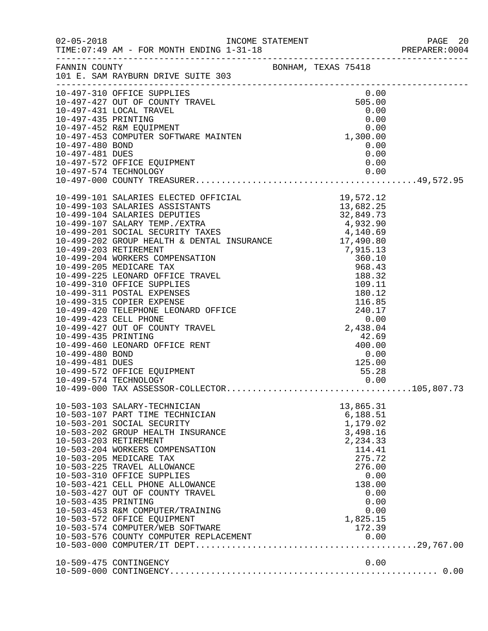|                                                           |                                                                                                                                                                                                                                                                                                                                                                                                                                                                     |                                                                                                                                                         | PREPARER: 0004 |
|-----------------------------------------------------------|---------------------------------------------------------------------------------------------------------------------------------------------------------------------------------------------------------------------------------------------------------------------------------------------------------------------------------------------------------------------------------------------------------------------------------------------------------------------|---------------------------------------------------------------------------------------------------------------------------------------------------------|----------------|
|                                                           | FANNIN COUNTY BONHAM, TEXAS 75418<br>101 E. SAM RAYBURN DRIVE SUITE 303                                                                                                                                                                                                                                                                                                                                                                                             |                                                                                                                                                         |                |
|                                                           | 10-497-310 OFFICE SUPPLIES<br>10-497-427 OUT OF COUNTY TRAVEL<br>10-497-431 LOCAL TRAVEL<br>10-497-435 PRINTING<br>10-497-435 PRINTING<br>10-497-452 R&M EQUIPMENT<br>10-497-453 COMPUTER SOFTWARE MAINTEN<br>1,300.00<br>10-497-480 BOND<br>0.0                                                                                                                                                                                                                    |                                                                                                                                                         |                |
|                                                           | 10-497-572 OFFICE EQUIPMENT                                                                                                                                                                                                                                                                                                                                                                                                                                         | 0.00                                                                                                                                                    |                |
|                                                           | 10-497-574 TECHNOLOGY                                                                                                                                                                                                                                                                                                                                                                                                                                               | 0.00                                                                                                                                                    |                |
| 10-499-435 PRINTING<br>10-499-480 BOND<br>10-499-481 DUES | 10-499-423 CELL PHONE<br>10-499-427 OUT OF COUNTY TRAVEL<br>10-499-460 LEONARD OFFICE RENT                                                                                                                                                                                                                                                                                                                                                                          | 0.00<br>2,438.04<br>42.69<br>$\begin{array}{r} 11.11 \\ 400.00 \\ 0.00 \\ 125.00 \\ 55.28 \end{array}$                                                  |                |
| 10-503-435 PRINTING                                       | 10-503-103 SALARY-TECHNICIAN<br>10-503-107 PART TIME TECHNICIAN<br>10-503-201 SOCIAL SECURITY<br>10-503-202 GROUP HEALTH INSURANCE<br>10-503-203 RETIREMENT<br>10-503-204 WORKERS COMPENSATION<br>10-503-205 MEDICARE TAX<br>10-503-225 TRAVEL ALLOWANCE<br>10-503-310 OFFICE SUPPLIES<br>10-503-421 CELL PHONE ALLOWANCE<br>10-503-427 OUT OF COUNTY TRAVEL<br>10-503-453 R&M COMPUTER/TRAINING<br>10-503-572 OFFICE EQUIPMENT<br>10-503-574 COMPUTER/WEB SOFTWARE | 13,865.31<br>6,188.51<br>1,179.02<br>3,498.16<br>2,234.33<br>114.41<br>275.72<br>276.00<br>0.00<br>138.00<br>0.00<br>0.00<br>0.00<br>1,825.15<br>172.39 |                |
|                                                           | 10-509-475 CONTINGENCY                                                                                                                                                                                                                                                                                                                                                                                                                                              | 0.00                                                                                                                                                    |                |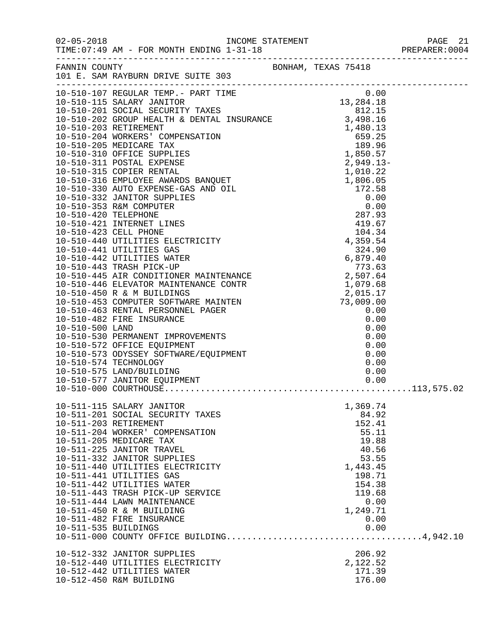| $02 - 05 - 2018$      | TIME: 07:49 AM - FOR MONTH ENDING 1-31-18                                                                                                                                                                        |                                                                 |  |
|-----------------------|------------------------------------------------------------------------------------------------------------------------------------------------------------------------------------------------------------------|-----------------------------------------------------------------|--|
| FANNIN COUNTY         | FANNIN COUNTY BONHAM, TEXAS 75418<br>101 E. SAM RAYBURN DRIVE SUITE 303                                                                                                                                          |                                                                 |  |
|                       |                                                                                                                                                                                                                  |                                                                 |  |
|                       |                                                                                                                                                                                                                  |                                                                 |  |
|                       |                                                                                                                                                                                                                  |                                                                 |  |
|                       |                                                                                                                                                                                                                  |                                                                 |  |
|                       |                                                                                                                                                                                                                  |                                                                 |  |
|                       |                                                                                                                                                                                                                  |                                                                 |  |
| 10-510-574 TECHNOLOGY | 10-510-575 LAND/BUILDING                                                                                                                                                                                         | 0.00<br>0.00                                                    |  |
|                       | 10-510-577 JANITOR EQUIPMENT                                                                                                                                                                                     | 0.00                                                            |  |
|                       | 10-511-115 SALARY JANITOR<br>10-511-201 SOCIAL SECURITY TAXES<br>10-511-203 RETIREMENT<br>10-511-204 WORKER' COMPENSATION<br>10-511-205 MEDICARE TAX<br>10-511-225 JANITOR TRAVEL<br>10-511-332 JANITOR SUPPLIES | 1,369.74<br>84.92<br>152.41<br>55.11<br>19.88<br>40.56<br>53.55 |  |
|                       | 10-511-440 UTILITIES ELECTRICITY<br>10-511-441 UTILITIES GAS<br>10-511-442 UTILITIES WATER<br>10-511-443 TRASH PICK-UP SERVICE<br>10-511-444 LAWN MAINTENANCE<br>10-511-450 R & M BUILDING                       | 1,443.45<br>198.71<br>154.38<br>119.68<br>0.00<br>1,249.71      |  |
| 10-511-535 BUILDINGS  | 10-511-482 FIRE INSURANCE                                                                                                                                                                                        | 0.00<br>0.00                                                    |  |
|                       | 10-512-332 JANITOR SUPPLIES<br>10-512-440 UTILITIES ELECTRICITY<br>10-512-442 UTILITIES WATER<br>10-512-450 R&M BUILDING                                                                                         | 206.92<br>2,122.52<br>171.39<br>176.00                          |  |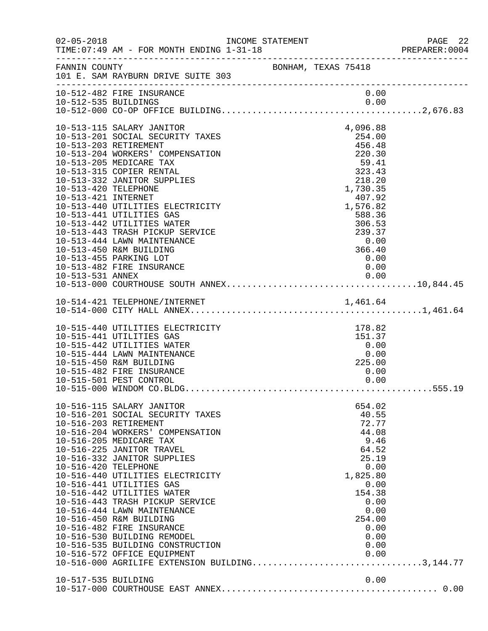| $02 - 05 - 2018$                                                     | INCOME STATEMENT<br>TIME: 07:49 AM - FOR MONTH ENDING 1-31-18<br>TIME:07:49 AM - FOR MONTH ENDING 1-31-18 PREPARER:00                                                                                                                                                                                                                                                                                                                                                                                                                                                                                    |  |                                                                                              |                                                                                                          |                                                              | PAGE 22<br>PREPARER: 0004 |
|----------------------------------------------------------------------|----------------------------------------------------------------------------------------------------------------------------------------------------------------------------------------------------------------------------------------------------------------------------------------------------------------------------------------------------------------------------------------------------------------------------------------------------------------------------------------------------------------------------------------------------------------------------------------------------------|--|----------------------------------------------------------------------------------------------|----------------------------------------------------------------------------------------------------------|--------------------------------------------------------------|---------------------------|
|                                                                      | FANNIN COUNTY BONHAM, TEXAS 75418<br>101 E. SAM RAYBURN DRIVE SUITE 303                                                                                                                                                                                                                                                                                                                                                                                                                                                                                                                                  |  |                                                                                              |                                                                                                          |                                                              |                           |
|                                                                      | 10-512-482 FIRE INSURANCE                                                                                                                                                                                                                                                                                                                                                                                                                                                                                                                                                                                |  |                                                                                              | 0.00                                                                                                     |                                                              |                           |
| 10-513-203 RETIREMENT<br>10-513-420 TELEPHONE<br>10-513-421 INTERNET | 10-513-115 SALARY JANITOR<br>10-513-201 SOCIAL SECURITY TAXES<br>10-513-204 WORKERS' COMPENSATION<br>10-513-205 MEDICARE TAX<br>10-513-315 COPIER RENTAL<br>10-513-332 JANITOR SUPPLIES<br>10-513-440 UTILITIES ELECTRICITY<br>10-513-441 UTILITIES GAS<br>10-513-442 UTILITIES WATER<br>10-513-443 TRASH PICKUP SERVICE<br>10-513-444 LAWN MAINTENANCE<br>10-513-450 R&M BUILDING<br>10-513-455 PARKING LOT<br>10-513-482 FIRE INSURANCE                                                                                                                                                                |  | $\begin{array}{r} 59.41 \\ 323.43 \\ 218.20 \\ 1,730.35 \end{array}$<br>$407.92$<br>1,576.82 | 4,096.88<br>254.00<br>456.48<br>220.30<br>407.92<br>588.36<br>306.53<br>239.37<br>0.00<br>366.40<br>0.00 | 0.00                                                         |                           |
|                                                                      |                                                                                                                                                                                                                                                                                                                                                                                                                                                                                                                                                                                                          |  |                                                                                              |                                                                                                          |                                                              |                           |
|                                                                      | 10-515-440 UTILITIES ELECTRICITY<br>10-515-441 UTILITIES GAS<br>10-515-442 UTILITIES WATER<br>10-515-444 LAWN MAINTENANCE<br>10-515-450 R&M BUILDING<br>10-515-482 FIRE INSURANCE<br>10-515-501 PEST CONTROL                                                                                                                                                                                                                                                                                                                                                                                             |  | 0.00                                                                                         | 178.82<br>151.37<br>0.00<br>225.00<br>0.00                                                               | 0.00                                                         |                           |
| 10-516-203 RETIREMENT<br>10-516-420 TELEPHONE                        | 10-516-115 SALARY JANITOR<br>10-516-201 SOCIAL SECURITY TAXES<br>10-516-204 WORKERS' COMPENSATION<br>10-516-205 MEDICARE TAX<br>10-516-225 JANITOR TRAVEL<br>10-516-332 JANITOR SUPPLIES<br>10-516-440 UTILITIES ELECTRICITY<br>10-516-441 UTILITIES GAS<br>10-516-442 UTILITIES WATER<br>10-516-443 TRASH PICKUP SERVICE<br>10-516-444 LAWN MAINTENANCE<br>10-516-450 R&M BUILDING<br>10-516-482 FIRE INSURANCE<br>10-516-530 BUILDING REMODEL<br>10-516-535 BUILDING CONSTRUCTION<br>10-516-572 OFFICE EQUIPMENT<br>10-516-572 OFFICE EQUIPMENT 0.00<br>10-516-000 AGRILIFE EXTENSION BUILDING3,144.77 |  |                                                                                              | 654.02<br>40.55<br>72.77<br>44.08<br>9.46<br>64.52<br>25.19<br>1,825.80<br>154.38<br>254.00              | 0.00<br>0.00<br>0.00<br>0.00<br>0.00<br>0.00<br>0.00<br>0.00 |                           |
| 10-517-535 BUILDING                                                  |                                                                                                                                                                                                                                                                                                                                                                                                                                                                                                                                                                                                          |  |                                                                                              |                                                                                                          | 0.00                                                         |                           |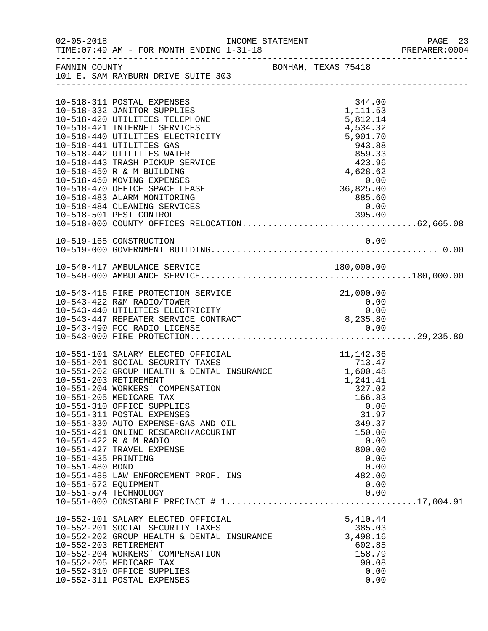| $02 - 05 - 2018$                                               | TIME: 07:49 AM - FOR MONTH ENDING 1-31-18<br>TIME:07:49 AM - FOR MONTH ENDING 1-31-18 PREPARER:00                                                                                                                                                                                                                                                                                                                                                                              | INCOME STATEMENT    |                                                                                                                                                                  | PAGE 23<br>PREPARER: 0004 |
|----------------------------------------------------------------|--------------------------------------------------------------------------------------------------------------------------------------------------------------------------------------------------------------------------------------------------------------------------------------------------------------------------------------------------------------------------------------------------------------------------------------------------------------------------------|---------------------|------------------------------------------------------------------------------------------------------------------------------------------------------------------|---------------------------|
| FANNIN COUNTY                                                  | 101 E. SAM RAYBURN DRIVE SUITE 303                                                                                                                                                                                                                                                                                                                                                                                                                                             | BONHAM, TEXAS 75418 |                                                                                                                                                                  |                           |
|                                                                | 10-518-311 POSTAL EXPENSES<br>10-518-332 JANITOR SUPPLIES<br>10-518-420 UTILITIES TELEPHONE                                                                                                                                                                                                                                                                                                                                                                                    |                     | 344.00<br>1,111.53<br>5,812.14                                                                                                                                   |                           |
|                                                                | 10-518-421 INTERNET SERVICES<br>10-518-440 UTILITIES ELECTRICITY<br>10-518-441 UTILITIES GAS<br>10-518-442 UTILITIES WATER                                                                                                                                                                                                                                                                                                                                                     |                     | 4,534.32<br>5,901.70<br>943.88<br>859.33                                                                                                                         |                           |
|                                                                | 10-518-443 TRASH PICKUP SERVICE<br>10-518-450 R & M BUILDING<br>10-518-460 MOVING EXPENSES<br>10-518-470 OFFICE SPACE LEASE                                                                                                                                                                                                                                                                                                                                                    |                     | 423.96<br>4,628.62<br>0.00<br>36,825.00                                                                                                                          |                           |
|                                                                | 10-518-483 ALARM MONITORING<br>10-518-484 CLEANING SERVICES                                                                                                                                                                                                                                                                                                                                                                                                                    |                     | 885.60<br>0.00                                                                                                                                                   |                           |
|                                                                | 10-519-165 CONSTRUCTION                                                                                                                                                                                                                                                                                                                                                                                                                                                        |                     | 0.00                                                                                                                                                             |                           |
|                                                                |                                                                                                                                                                                                                                                                                                                                                                                                                                                                                |                     |                                                                                                                                                                  |                           |
|                                                                | 10-543-416 FIRE PROTECTION SERVICE<br>10-543-422 R&M RADIO/TOWER<br>10-543-440 UTILITIES ELECTRICITY                                                                                                                                                                                                                                                                                                                                                                           |                     | 21,000.00<br>0.00<br>0.00                                                                                                                                        |                           |
|                                                                | 0.00.<br>10-543-447 REPEATER SERVICE CONTRACT 8,235.80                                                                                                                                                                                                                                                                                                                                                                                                                         |                     |                                                                                                                                                                  |                           |
| 10-551-435 PRINTING<br>10-551-480 BOND<br>10-551-572 EQUIPMENT | 10-551-101 SALARY ELECTED OFFICIAL<br>10-551-201 SOCIAL SECURITY TAXES<br>10-551-202 GROUP HEALTH & DENTAL INSURANCE<br>10-551-203 RETIREMENT<br>10-551-204 WORKERS' COMPENSATION<br>10-551-205 MEDICARE TAX<br>10-551-310 OFFICE SUPPLIES<br>10-551-311 POSTAL EXPENSES<br>10-551-330 AUTO EXPENSE-GAS AND OIL<br>10-551-421 ONLINE RESEARCH/ACCURINT<br>10-551-422 R & M RADIO<br>10-551-427 TRAVEL EXPENSE<br>10-551-488 LAW ENFORCEMENT PROF. INS<br>10-551-574 TECHNOLOGY | $\mathbf{L}$        | 11,142.36<br>713.47<br>1,600.48<br>1,241.41<br>327.02<br>166.83<br>0.00<br>31.97<br>349.37<br>150.00<br>0.00<br>800.00<br>0.00<br>0.00<br>482.00<br>0.00<br>0.00 |                           |
|                                                                | 10-552-101 SALARY ELECTED OFFICIAL<br>10-552-201 SOCIAL SECURITY TAXES<br>10-552-202 GROUP HEALTH & DENTAL INSURANCE<br>10-552-203 RETIREMENT<br>10-552-204 WORKERS' COMPENSATION                                                                                                                                                                                                                                                                                              |                     | 5,410.44<br>385.03<br>3,498.16<br>602.85<br>158.79                                                                                                               |                           |
|                                                                | 10-552-205 MEDICARE TAX<br>10-552-310 OFFICE SUPPLIES<br>10-552-311 POSTAL EXPENSES                                                                                                                                                                                                                                                                                                                                                                                            |                     | 90.08<br>0.00<br>0.00                                                                                                                                            |                           |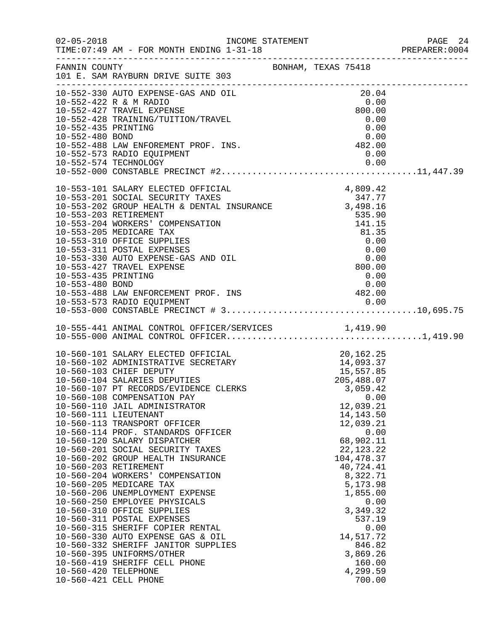|                                                               |                                                                                                                                                                                                                                                                                                                                                                                                                                                                                                                                                                                                                                                                                                                                                                                                                                                                                                                                                 |                     |                                                                                                                                                                                                                                                          | PREPARER: 0004 |
|---------------------------------------------------------------|-------------------------------------------------------------------------------------------------------------------------------------------------------------------------------------------------------------------------------------------------------------------------------------------------------------------------------------------------------------------------------------------------------------------------------------------------------------------------------------------------------------------------------------------------------------------------------------------------------------------------------------------------------------------------------------------------------------------------------------------------------------------------------------------------------------------------------------------------------------------------------------------------------------------------------------------------|---------------------|----------------------------------------------------------------------------------------------------------------------------------------------------------------------------------------------------------------------------------------------------------|----------------|
|                                                               | FANNIN COUNTY                                                                                                                                                                                                                                                                                                                                                                                                                                                                                                                                                                                                                                                                                                                                                                                                                                                                                                                                   | BONHAM, TEXAS 75418 |                                                                                                                                                                                                                                                          |                |
| 10-552-435 PRINTING<br>10-552-480 BOND<br>10-553-435 PRINTING | 10-552-330 AUTO EXPENSE-GAS AND OIL<br>10-552-422 R & M RADIO<br>10-552-427 TRAVEL EXPENSE<br>10-552-428 TRAINING/TUITION/TRAVEL<br>10-552-488 LAW ENFOREMENT PROF. INS. 482.00<br>10-552-573 RADIO EQUIPMENT<br>10-552-574 TECHNOLOGY<br>10-553-101 SALARY ELECTED OFFICIAL<br>10-553-201 SOCIAL SECURITY TAXES<br>10-553-202 GROUP HEALTH & DENTAL INSURANCE<br>10-553-202 GROUP HEALTH & DENTAL INSURANCE<br>10-553-203 RETIREMENT<br>10-553-204 WORKERS' COMPENSATION<br>10-553-205 MEDICARE TAX<br>10-553-310 OFFICE<br>10-553-311 POSTAL EXPENSES<br>10-553-330 AUTO EXPENSE-GAS AND OIL<br>10-553-427 TRAVEL EXPENSE                                                                                                                                                                                                                                                                                                                     |                     | 20.04<br>0.00<br>800.00<br>0.00<br>0.00<br>0.00<br>0.00<br>0.00<br>4,809.42<br>$\begin{array}{c} 0.00 \\ 0.00 \\ 0.00 \end{array}$<br>0.00                                                                                                               |                |
|                                                               | 0.00<br>10-553-480 BOND 0.00<br>10-553-488 LAW ENFORCEMENT PROF. INS 482.00<br>10-553-573 RADIO EQUIPMENT                                                                                                                                                                                                                                                                                                                                                                                                                                                                                                                                                                                                                                                                                                                                                                                                                                       |                     |                                                                                                                                                                                                                                                          |                |
| 10-560-420 TELEPHONE                                          | 10-560-101 SALARY ELECTED OFFICIAL 20,162.25<br>10-560-102 ADMINISTRATIVE SECRETARY 14,093.37<br>10-560-103 CHIEF DEPUTY 15,557.85<br>10-560-104 SALARIES DEPUTIES 205,488.07<br>10-560-107 PT RECORDS/EVIDENCE CLERKS 3,059.42<br>10-56<br>10-560-108 COMPENSATION PAY<br>10-560-110 JAIL ADMINISTRATOR<br>10-560-111 LIEUTENANT<br>10-560-113 TRANSPORT OFFICER<br>10-560-114 PROF. STANDARDS OFFICER<br>10-560-120 SALARY DISPATCHER<br>10-560-201 SOCIAL SECURITY TAXES<br>10-560-202 GROUP HEALTH INSURANCE<br>10-560-203 RETIREMENT<br>10-560-204 WORKERS' COMPENSATION<br>10-560-205 MEDICARE TAX<br>10-560-206 UNEMPLOYMENT EXPENSE<br>10-560-250 EMPLOYEE PHYSICALS<br>10-560-310 OFFICE SUPPLIES<br>10-560-311 POSTAL EXPENSES<br>10-560-315 SHERIFF COPIER RENTAL<br>10-560-330 AUTO EXPENSE GAS & OIL<br>10-560-332 SHERIFF JANITOR SUPPLIES<br>10-560-395 UNIFORMS/OTHER<br>10-560-419 SHERIFF CELL PHONE<br>10-560-421 CELL PHONE |                     | 0.00<br>12,039.21<br>14, 143.50<br>12,039.21<br>0.00<br>68,902.11<br>22, 123. 22<br>104,478.37<br>40,724.41<br>8,322.71<br>5,173.98<br>1,855.00<br>0.00<br>3,349.32<br>537.19<br>0.00<br>14,517.72<br>846.82<br>3,869.26<br>160.00<br>4,299.59<br>700.00 |                |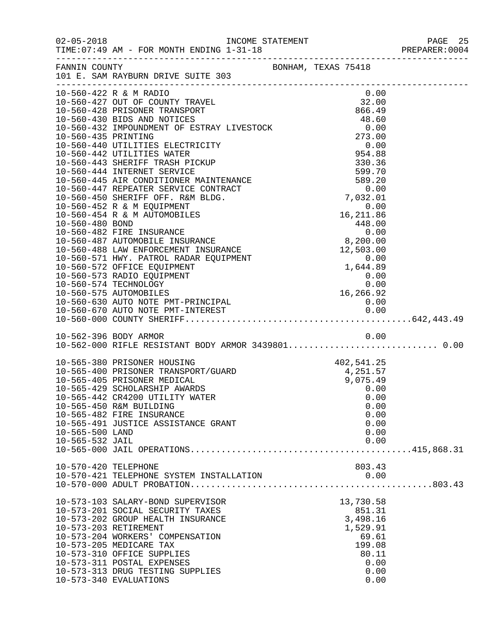| $02 - 05 - 2018$      | TIME: 07:49 AM - FOR MONTH ENDING 1-31-18                                                                                                                          |              | PREPARER: 0004 |
|-----------------------|--------------------------------------------------------------------------------------------------------------------------------------------------------------------|--------------|----------------|
| FANNIN COUNTY         | BONHAM, TEXAS 75418<br>101 E. SAM RAYBURN DRIVE SUITE 303                                                                                                          |              |                |
|                       |                                                                                                                                                                    |              |                |
|                       |                                                                                                                                                                    |              |                |
|                       |                                                                                                                                                                    |              |                |
|                       |                                                                                                                                                                    |              |                |
|                       |                                                                                                                                                                    |              |                |
|                       |                                                                                                                                                                    |              |                |
|                       |                                                                                                                                                                    |              |                |
|                       |                                                                                                                                                                    |              |                |
|                       |                                                                                                                                                                    |              |                |
|                       |                                                                                                                                                                    |              |                |
|                       |                                                                                                                                                                    |              |                |
|                       |                                                                                                                                                                    |              |                |
|                       |                                                                                                                                                                    |              |                |
|                       |                                                                                                                                                                    |              |                |
|                       |                                                                                                                                                                    |              |                |
|                       |                                                                                                                                                                    |              |                |
|                       |                                                                                                                                                                    |              |                |
|                       |                                                                                                                                                                    |              |                |
|                       |                                                                                                                                                                    |              |                |
|                       |                                                                                                                                                                    |              |                |
|                       |                                                                                                                                                                    |              |                |
|                       |                                                                                                                                                                    |              |                |
|                       |                                                                                                                                                                    |              |                |
|                       |                                                                                                                                                                    |              |                |
|                       |                                                                                                                                                                    |              |                |
|                       |                                                                                                                                                                    |              |                |
|                       | 10-565-380 PRISONER HOUSING<br>10-565-400 PRISONER TRANSPORT/GUARD<br>10-565-405 PRISONER MEDICAL 9,075.49<br>10-565-405 PRISONER MEDICAL 9,075.49<br>0.00<br>0.00 |              |                |
|                       |                                                                                                                                                                    |              |                |
|                       |                                                                                                                                                                    |              |                |
|                       |                                                                                                                                                                    |              |                |
|                       |                                                                                                                                                                    |              |                |
|                       | 10-565-442 CR4200 UTILITY WATER                                                                                                                                    | 0.00         |                |
|                       | 10-565-450 R&M BUILDING                                                                                                                                            | 0.00         |                |
|                       | 10-565-482 FIRE INSURANCE<br>10-565-491 JUSTICE ASSISTANCE GRANT                                                                                                   | 0.00         |                |
| 10-565-500 LAND       |                                                                                                                                                                    | 0.00<br>0.00 |                |
| 10-565-532 JAIL       |                                                                                                                                                                    | 0.00         |                |
|                       |                                                                                                                                                                    |              |                |
|                       |                                                                                                                                                                    |              |                |
| 10-570-420 TELEPHONE  |                                                                                                                                                                    | 803.43       |                |
|                       |                                                                                                                                                                    |              |                |
|                       |                                                                                                                                                                    |              |                |
|                       | 10-573-103 SALARY-BOND SUPERVISOR                                                                                                                                  | 13,730.58    |                |
|                       | 10-573-201 SOCIAL SECURITY TAXES                                                                                                                                   | 851.31       |                |
|                       | 10-573-202 GROUP HEALTH INSURANCE                                                                                                                                  | 3,498.16     |                |
| 10-573-203 RETIREMENT |                                                                                                                                                                    | 1,529.91     |                |
|                       | 10-573-204 WORKERS' COMPENSATION                                                                                                                                   | 69.61        |                |
|                       | 10-573-205 MEDICARE TAX                                                                                                                                            | 199.08       |                |
|                       | 10-573-310 OFFICE SUPPLIES                                                                                                                                         | 80.11        |                |
|                       | 10-573-311 POSTAL EXPENSES<br>10-573-313 DRUG TESTING SUPPLIES                                                                                                     | 0.00<br>0.00 |                |
|                       | 10-573-340 EVALUATIONS                                                                                                                                             | 0.00         |                |
|                       |                                                                                                                                                                    |              |                |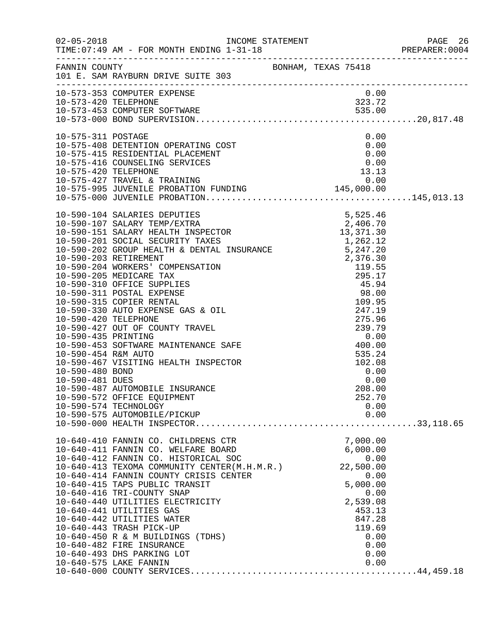| $02 - 05 - 2018$                                                                                         | TIME: 07:49 AM - FOR MONTH ENDING 1-31-18                                                                                                                                                                                                                                                                                                                                                                                                                                                                                        |                                                                                                                                                   | PAGE 26<br>PREPARER:0004 |
|----------------------------------------------------------------------------------------------------------|----------------------------------------------------------------------------------------------------------------------------------------------------------------------------------------------------------------------------------------------------------------------------------------------------------------------------------------------------------------------------------------------------------------------------------------------------------------------------------------------------------------------------------|---------------------------------------------------------------------------------------------------------------------------------------------------|--------------------------|
|                                                                                                          | FANNIN COUNTY<br>101 E. SAM RAYBURN DRIVE SUITE 303                                                                                                                                                                                                                                                                                                                                                                                                                                                                              |                                                                                                                                                   |                          |
| 10-573-420 TELEPHONE                                                                                     | 10-573-353 COMPUTER EXPENSE                                                                                                                                                                                                                                                                                                                                                                                                                                                                                                      | 0.00<br>323.72                                                                                                                                    |                          |
| 10-575-311 POSTAGE<br>10-575-420 TELEPHONE                                                               | 10-575-408 DETENTION OPERATING COST<br>10-575-415 RESIDENTIAL PLACEMENT<br>10-575-416 COUNSELING SERVICES                                                                                                                                                                                                                                                                                                                                                                                                                        | 0.00<br>0.00<br>0.00<br>0.00<br>13.13                                                                                                             |                          |
| 10-590-420 TELEPHONE<br>10-590-435 PRINTING<br>10-590-454 R&M AUTO<br>10-590-480 BOND<br>10-590-481 DUES | 10-590-427 OUT OF COUNTY TRAVEL<br>10-590-453 SOFTWARE MAINTENANCE SAFE<br>10-590-467 VISITING HEALTH INSPECTOR<br>10-590-487 AUTOMOBILE INSURANCE<br>10-590-572 OFFICE EQUIPMENT<br>10-590-574 TECHNOLOGY                                                                                                                                                                                                                                                                                                                       | 275.96<br>$\begin{array}{r} 239.79 \\ 0.00 \\ 400.00 \end{array}$<br>535.24<br>102.08<br>0.00<br>0.00<br>208.00<br>252.70<br>0.00                 |                          |
|                                                                                                          | 10-640-410 FANNIN CO. CHILDRENS CTR<br>10-640-411 FANNIN CO. WELFARE BOARD<br>10-640-412 FANNIN CO. HISTORICAL SOC<br>10-640-413 TEXOMA COMMUNITY CENTER(M.H.M.R.)<br>10-640-414 FANNIN COUNTY CRISIS CENTER<br>10-640-415 TAPS PUBLIC TRANSIT<br>10-640-416 TRI-COUNTY SNAP<br>10-640-440 UTILITIES ELECTRICITY<br>10-640-441 UTILITIES GAS<br>10-640-442 UTILITIES WATER<br>10-640-443 TRASH PICK-UP<br>10-640-450 R & M BUILDINGS (TDHS)<br>10-640-482 FIRE INSURANCE<br>10-640-493 DHS PARKING LOT<br>10-640-575 LAKE FANNIN | 7,000.00<br>$6,000.00$<br>0.00<br>22,500.00<br>0.00<br>5,000.00<br>0.00<br>2,539.08<br>453.13<br>847.28<br>119.69<br>0.00<br>0.00<br>0.00<br>0.00 |                          |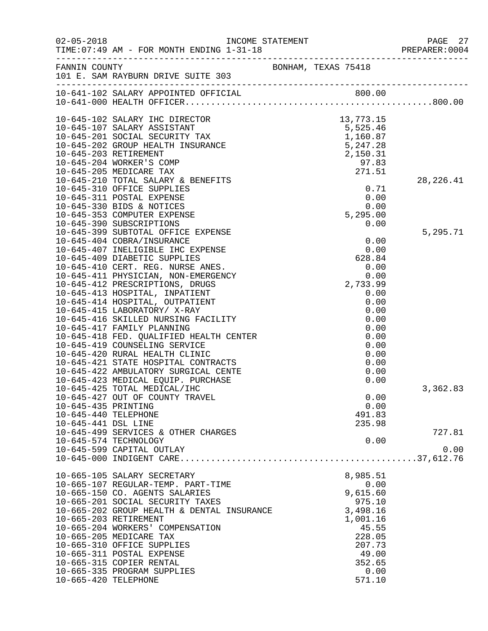| $02 - 05 - 2018$ | TIME: 07:49 AM - FOR MONTH ENDING 1-31-18                             | INCOME STATEMENT                                                                   |                  | PAGE 27<br>PREPARER: 0004 |
|------------------|-----------------------------------------------------------------------|------------------------------------------------------------------------------------|------------------|---------------------------|
|                  | FANNIN COUNTY<br>101 E. SAM RAYBURN DRIVE SUITE 303                   | BONHAM, TEXAS 75418                                                                |                  |                           |
|                  |                                                                       |                                                                                    |                  |                           |
|                  |                                                                       |                                                                                    |                  |                           |
|                  | 10-645-102 SALARY IHC DIRECTOR                                        |                                                                                    | 13,773.15        |                           |
|                  | 10-645-107 SALARY ASSISTANT                                           |                                                                                    | 5,525.46         |                           |
|                  | 10-645-201 SOCIAL SECURITY TAX                                        |                                                                                    | 1,160.87         |                           |
|                  | 10-645-202 GROUP HEALTH INSURANCE                                     |                                                                                    |                  |                           |
|                  | 10-645-203 RETIREMENT<br>10-645-204 WORKER'S COMP                     | $\begin{array}{r} 1,100.87 \\ 5,247.28 \\ 2,150.31 \\ 97.83 \\ 271.51 \end{array}$ |                  |                           |
|                  | 10-645-205 MEDICARE TAX                                               |                                                                                    |                  |                           |
|                  | 10-645-210 TOTAL SALARY & BENEFITS                                    |                                                                                    |                  | 28, 226. 41               |
|                  | 10-645-310 OFFICE SUPPLIES                                            |                                                                                    | 0.71             |                           |
|                  | 10-645-311 POSTAL EXPENSE                                             |                                                                                    | 0.00             |                           |
|                  | 10-645-330 BIDS & NOTICES                                             |                                                                                    | 0.00             |                           |
|                  | 10-645-353 COMPUTER EXPENSE                                           |                                                                                    | 5,295.00         |                           |
|                  | 10-645-390 SUBSCRIPTIONS                                              |                                                                                    | 0.00             |                           |
|                  | 10-645-399 SUBTOTAL OFFICE EXPENSE                                    |                                                                                    |                  | 5,295.71                  |
|                  | 10-645-404 COBRA/INSURANCE<br>10-645-407 INELIGIBLE IHC EXPENSE       |                                                                                    | 0.00<br>0.00     |                           |
|                  | 10-645-409 DIABETIC SUPPLIES                                          |                                                                                    | 628.84           |                           |
|                  | 10-645-410 CERT. REG. NURSE ANES.                                     |                                                                                    | 0.00             |                           |
|                  | 10-645-411 PHYSICIAN, NON-EMERGENCY                                   |                                                                                    | 0.00             |                           |
|                  | 10-645-412 PRESCRIPTIONS, DRUGS                                       |                                                                                    | 2,733.99         |                           |
|                  | 10-645-413 HOSPITAL, INPATIENT                                        |                                                                                    | 0.00             |                           |
|                  | 10-645-414 HOSPITAL, OUTPATIENT                                       |                                                                                    | 0.00             |                           |
|                  | 10-645-415 LABORATORY/ X-RAY                                          |                                                                                    | 0.00             |                           |
|                  | 10-645-416 SKILLED NURSING FACILITY                                   |                                                                                    | 0.00             |                           |
|                  | 10-645-417 FAMILY PLANNING<br>10-645-418 FED. QUALIFIED HEALTH CENTER |                                                                                    | 0.00<br>0.00     |                           |
|                  | 10-645-419 COUNSELING SERVICE                                         |                                                                                    | 0.00             |                           |
|                  | 10-645-420 RURAL HEALTH CLINIC                                        |                                                                                    | 0.00             |                           |
|                  | 10-645-421 STATE HOSPITAL CONTRACTS                                   |                                                                                    | 0.00             |                           |
|                  | 10-645-422 AMBULATORY SURGICAL CENTE                                  |                                                                                    | 0.00             |                           |
|                  | 10-645-423 MEDICAL EQUIP. PURCHASE                                    |                                                                                    | 0.00             |                           |
|                  | 10-645-425 TOTAL MEDICAL/IHC                                          |                                                                                    |                  | 3,362.83                  |
|                  | 10-645-427 OUT OF COUNTY TRAVEL                                       |                                                                                    | 0.00             |                           |
|                  | 10-645-435 PRINTING                                                   |                                                                                    | 0.00             |                           |
|                  | 10-645-440 TELEPHONE<br>10-645-441 DSL LINE                           |                                                                                    | 491.83<br>235.98 |                           |
|                  | 10-645-499 SERVICES & OTHER CHARGES                                   |                                                                                    |                  | 727.81                    |
|                  | 10-645-574 TECHNOLOGY                                                 |                                                                                    | 0.00             |                           |
|                  | 10-645-599 CAPITAL OUTLAY                                             |                                                                                    |                  | 0.00                      |
|                  |                                                                       |                                                                                    |                  |                           |
|                  | 10-665-105 SALARY SECRETARY                                           |                                                                                    | 8,985.51         |                           |
|                  | 10-665-107 REGULAR-TEMP. PART-TIME                                    |                                                                                    | 0.00             |                           |
|                  | 10-665-150 CO. AGENTS SALARIES                                        |                                                                                    | 9,615.60         |                           |
|                  | 10-665-201 SOCIAL SECURITY TAXES                                      |                                                                                    | 975.10           |                           |
|                  | 10-665-202 GROUP HEALTH & DENTAL INSURANCE                            |                                                                                    | 3,498.16         |                           |
|                  | 10-665-203 RETIREMENT                                                 |                                                                                    | 1,001.16         |                           |
|                  | 10-665-204 WORKERS' COMPENSATION<br>10-665-205 MEDICARE TAX           |                                                                                    | 45.55<br>228.05  |                           |
|                  | 10-665-310 OFFICE SUPPLIES                                            |                                                                                    | 207.73           |                           |
|                  | 10-665-311 POSTAL EXPENSE                                             |                                                                                    | 49.00            |                           |
|                  | 10-665-315 COPIER RENTAL                                              |                                                                                    | 352.65           |                           |
|                  | 10-665-335 PROGRAM SUPPLIES                                           |                                                                                    | 0.00             |                           |
|                  | 10-665-420 TELEPHONE                                                  |                                                                                    | 571.10           |                           |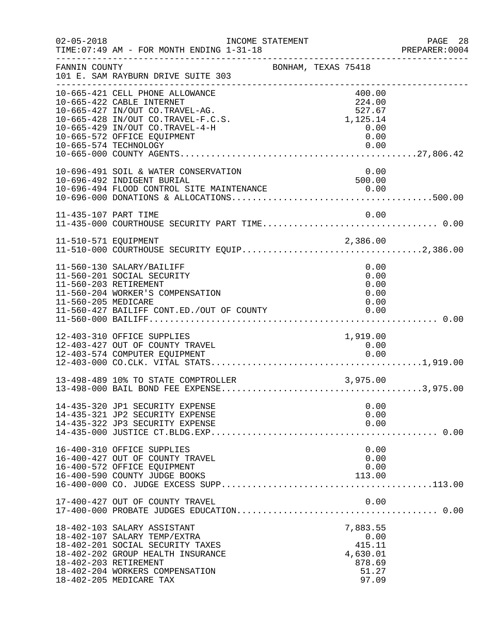| $02 - 05 - 2018$      | INCOME STATEMENT<br>TIME: 07:49 AM - FOR MONTH ENDING 1-31-18                                                                                                                                                                    |                     |                                                                    | PAGE 28<br>PREPARER:0004 |
|-----------------------|----------------------------------------------------------------------------------------------------------------------------------------------------------------------------------------------------------------------------------|---------------------|--------------------------------------------------------------------|--------------------------|
| FANNIN COUNTY         | 101 E. SAM RAYBURN DRIVE SUITE 303                                                                                                                                                                                               | BONHAM, TEXAS 75418 |                                                                    |                          |
|                       | 10-665-421 CELL PHONE ALLOWANCE<br>10-665-422 CABLE INTERNET<br>10-665-427 IN/OUT CO.TRAVEL-AG.<br>10-665-428 IN/OUT CO.TRAVEL-F.C.S.<br>10-665-429 IN/OUT CO.TRAVEL-4-H<br>10-665-572 OFFICE EQUIPMENT<br>10-665-574 TECHNOLOGY |                     | 400.00<br>224.00<br>527.67<br>1,125.14<br>0.00<br>0.00<br>0.00     |                          |
|                       | 10-696-491 SOIL & WATER CONSERVATION<br>10-696-492 INDIGENT BURIAL                                                                                                                                                               |                     | 0.00<br>500.00                                                     |                          |
|                       |                                                                                                                                                                                                                                  |                     |                                                                    |                          |
|                       |                                                                                                                                                                                                                                  |                     |                                                                    |                          |
| 11-560-205 MEDICARE   | 11-560-130 SALARY/BAILIFF<br>11-560-201 SOCIAL SECURITY<br>11-560-203 RETIREMENT<br>11-560-204 WORKER'S COMPENSATION<br>11-560-427 BAILIFF CONT.ED./OUT OF COUNTY                                                                |                     | 0.00<br>0.00<br>0.00<br>0.00<br>0.00<br>0.00                       |                          |
|                       | 12-403-310 OFFICE SUPPLIES<br>12-403-427 OUT OF COUNTY TRAVEL<br>12-403-574 COMPUTER EQUIPMENT                                                                                                                                   |                     | 1,919.00<br>0.00<br>0.00                                           |                          |
|                       |                                                                                                                                                                                                                                  |                     |                                                                    |                          |
|                       | 14-435-320 JP1 SECURITY EXPENSE<br>14-435-321 JP2 SECURITY EXPENSE<br>14-435-322 JP3 SECURITY EXPENSE                                                                                                                            |                     | 0.00<br>0.00<br>0.00                                               | . 0.00                   |
|                       | 16-400-310 OFFICE SUPPLIES<br>16-400-427 OUT OF COUNTY TRAVEL<br>16-400-572 OFFICE EQUIPMENT<br>16-400-590 COUNTY JUDGE BOOKS                                                                                                    |                     | 0.00<br>0.00<br>0.00<br>113.00                                     |                          |
|                       | 17-400-427 OUT OF COUNTY TRAVEL                                                                                                                                                                                                  |                     | 0.00                                                               |                          |
| 18-402-203 RETIREMENT | 18-402-103 SALARY ASSISTANT<br>18-402-107 SALARY TEMP/EXTRA<br>18-402-201 SOCIAL SECURITY TAXES<br>18-402-202 GROUP HEALTH INSURANCE<br>18-402-204 WORKERS COMPENSATION<br>18-402-205 MEDICARE TAX                               |                     | 7,883.55<br>0.00<br>415.11<br>4,630.01<br>878.69<br>51.27<br>97.09 |                          |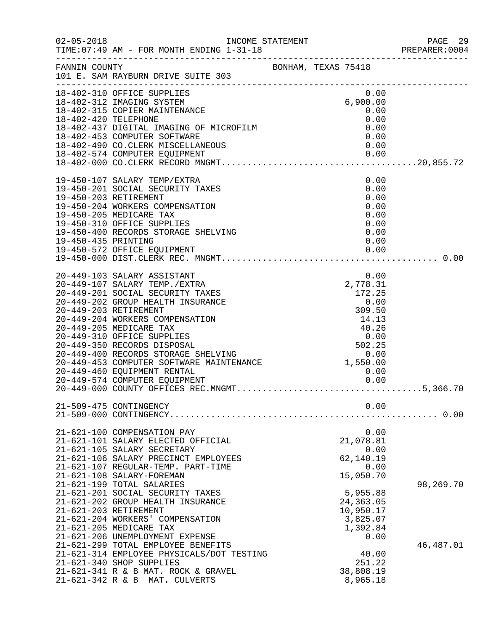|                                                                                                                                                                                                                                                                                                                                                                                                                                                                                                                                                                                                                                      |  |                                                                                                                                                                               | PAGE 29<br>PREPARER:0004 |
|--------------------------------------------------------------------------------------------------------------------------------------------------------------------------------------------------------------------------------------------------------------------------------------------------------------------------------------------------------------------------------------------------------------------------------------------------------------------------------------------------------------------------------------------------------------------------------------------------------------------------------------|--|-------------------------------------------------------------------------------------------------------------------------------------------------------------------------------|--------------------------|
| FANNIN COUNTY<br>101 E. SAM RAYBURN DRIVE SUITE 303                                                                                                                                                                                                                                                                                                                                                                                                                                                                                                                                                                                  |  |                                                                                                                                                                               |                          |
|                                                                                                                                                                                                                                                                                                                                                                                                                                                                                                                                                                                                                                      |  | 0.00<br>6,900.00<br>0.00<br>0.00<br>0.00<br>0.00                                                                                                                              |                          |
| 19-450-107 SALARY TEMP/EXTRA<br>19-450-201 SOCIAL SECURITY TAXES<br>19-450-203 RETIREMENT<br>19-450-204 WORKERS COMPENSATION<br>19-450-205 MEDICARE TAX<br>19-450-310 OFFICE SUPPLIES<br>19-450-400 RECORDS STORAGE SHELVING<br>19-450-435 PRINTING<br>19-450-572 OFFICE EQUIPMENT<br>19-450-572 OFFICE EQUIPMENT<br>19-450-000 DIST.CLERK REC. MNGMT                                                                                                                                                                                                                                                                                |  | 0.00<br>0.00<br>0.00<br>0.00                                                                                                                                                  |                          |
|                                                                                                                                                                                                                                                                                                                                                                                                                                                                                                                                                                                                                                      |  |                                                                                                                                                                               |                          |
| 21-509-475 CONTINGENCY                                                                                                                                                                                                                                                                                                                                                                                                                                                                                                                                                                                                               |  | 0.00                                                                                                                                                                          | . 0.00                   |
| 21-621-100 COMPENSATION PAY<br>21-621-101 SALARY ELECTED OFFICIAL<br>21-621-105 SALARY SECRETARY<br>21-621-106 SALARY PRECINCT EMPLOYEES<br>21-621-107 REGULAR-TEMP. PART-TIME<br>21-621-108 SALARY-FOREMAN<br>21-621-199 TOTAL SALARIES<br>21-621-201 SOCIAL SECURITY TAXES<br>21-621-202 GROUP HEALTH INSURANCE<br>21-621-203 RETIREMENT<br>21-621-204 WORKERS' COMPENSATION<br>21-621-205 MEDICARE TAX<br>21-621-206 UNEMPLOYMENT EXPENSE<br>21-621-299 TOTAL EMPLOYEE BENEFITS<br>21-621-314 EMPLOYEE PHYSICALS/DOT TESTING<br>21-621-340 SHOP SUPPLIES<br>21-621-341 R & B MAT. ROCK & GRAVEL<br>21-621-342 R & B MAT. CULVERTS |  | 0.00<br>21,078.81<br>0.00<br>62,140.19<br>0.00<br>15,050.70<br>5,955.88<br>24,363.05<br>10,950.17<br>3,825.07<br>1,392.84<br>0.00<br>40.00<br>251.22<br>38,808.19<br>8,965.18 | 98,269.70<br>46,487.01   |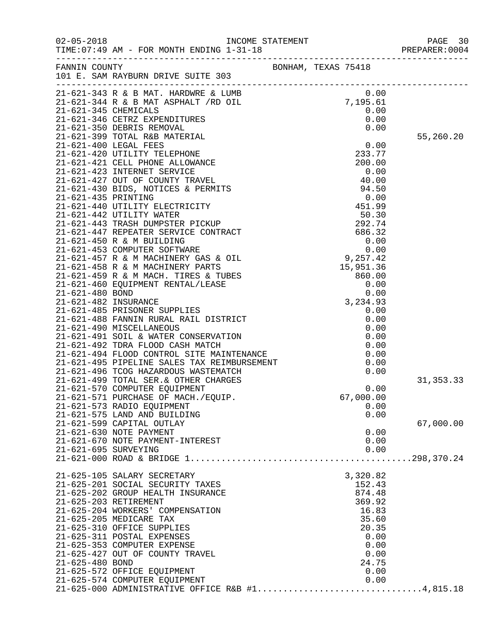| $02 - 05 - 2018$     | TIME: 07:49 AM - FOR MONTH ENDING 1-31-18                                                                                                                                                                                                                                                                                                                                                                                                     |                     |                                                                                                                    | PREPARER: 0004 |
|----------------------|-----------------------------------------------------------------------------------------------------------------------------------------------------------------------------------------------------------------------------------------------------------------------------------------------------------------------------------------------------------------------------------------------------------------------------------------------|---------------------|--------------------------------------------------------------------------------------------------------------------|----------------|
|                      | FANNIN COUNTY<br>101 E. SAM RAYBURN DRIVE SUITE 303                                                                                                                                                                                                                                                                                                                                                                                           | BONHAM, TEXAS 75418 |                                                                                                                    |                |
|                      |                                                                                                                                                                                                                                                                                                                                                                                                                                               |                     |                                                                                                                    |                |
|                      |                                                                                                                                                                                                                                                                                                                                                                                                                                               |                     |                                                                                                                    | 55,260.20      |
|                      | 21-621-499 TOTAL SER. & OTHER CHARGES<br>21-621-570 COMPUTER EQUIPMENT<br>21-621-571 PURCHASE OF MACH./EQUIP.<br>21-621-573 RADIO EQUIPMENT<br>21-621-575 LAND AND BUILDING                                                                                                                                                                                                                                                                   |                     | 0.00<br>67,000.00<br>0.00<br>0.00                                                                                  | 31, 353. 33    |
| 21-621-695 SURVEYING | 21-621-599 CAPITAL OUTLAY<br>21-621-630 NOTE PAYMENT<br>21-621-670 NOTE PAYMENT-INTEREST                                                                                                                                                                                                                                                                                                                                                      |                     | 0.00<br>0.00<br>0.00                                                                                               | 67,000.00      |
| 21-625-480 BOND      | 21-625-105 SALARY SECRETARY<br>21-625-201 SOCIAL SECURITY TAXES<br>21-625-202 GROUP HEALTH INSURANCE<br>21-625-203 RETIREMENT<br>21-625-204 WORKERS' COMPENSATION<br>21-625-205 MEDICARE TAX<br>21-625-310 OFFICE SUPPLIES<br>21-625-311 POSTAL EXPENSES<br>21-625-353 COMPUTER EXPENSE<br>21-625-427 OUT OF COUNTY TRAVEL<br>21-625-572 OFFICE EQUIPMENT<br>21-625-574 COMPUTER EQUIPMENT<br>21-625-000 ADMINISTRATIVE OFFICE R&B #14,815.18 |                     | 3,320.82<br>152.43<br>874.48<br>369.92<br>16.83<br>35.60<br>20.35<br>0.00<br>0.00<br>0.00<br>24.75<br>0.00<br>0.00 |                |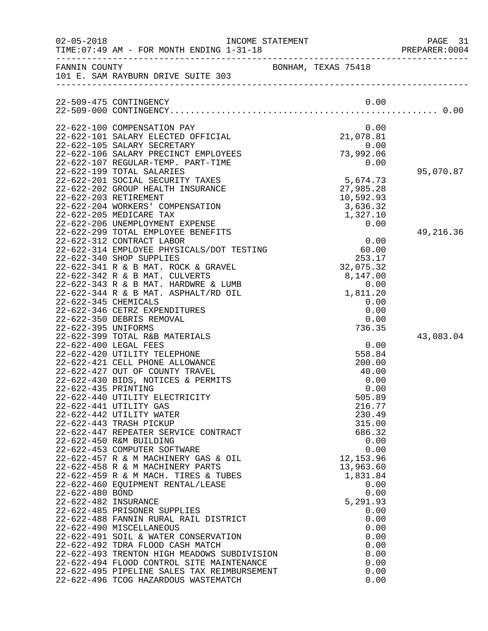| $02 - 05 - 2018$     | TIME: 07:49 AM - FOR MONTH ENDING 1-31-18<br>TIME:07:49 AM - FOR MONTH ENDING 1-31-18 PREPARER:00                                                                                                                                                                                                                                                                | INCOME STATEMENT                                                                                 | PAGE 31<br>PREPARER: 0004 |
|----------------------|------------------------------------------------------------------------------------------------------------------------------------------------------------------------------------------------------------------------------------------------------------------------------------------------------------------------------------------------------------------|--------------------------------------------------------------------------------------------------|---------------------------|
|                      | FANNIN COUNTY<br>101 E. SAM RAYBURN DRIVE SUITE 303                                                                                                                                                                                                                                                                                                              | BONHAM, TEXAS 75418                                                                              |                           |
|                      | 22-509-475 CONTINGENCY                                                                                                                                                                                                                                                                                                                                           | 0.00                                                                                             |                           |
|                      | 22-622-100 COMPENSATION PAY<br>22-622-101 SALARY ELECTED OFFICIAL<br>22-622-105 SALARY SECRETARY<br>22-622-106 SALARY PRECINCT EMPLOYEES<br>22-622-107 REGULAR-TEMP. PART-TIME<br>22-622-199 TOTAL SALARIES<br>22-622-201 SOCIAL SECURITY TAXES<br>22-622-202 GROUP HEALTH INSURANCE<br>22-622-203 RETIREMENT<br>22-622-204 WORKERS' COMPENSATION                | 0.00<br>21,078.81<br>0.00<br>73,992.06<br>0.00<br>5,674.73<br>27,985.28<br>10,592.93<br>3,636.32 | 95,070.87                 |
|                      | 22-622-205 MEDICARE TAX<br>22-622-206 UNEMPLOYMENT EXPENSE<br>22-622-299 TOTAL EMPLOYEE BENEFITS<br>22-622-312 CONTRACT LABOR<br>22-622-314 EMPLOYEE PHYSICALS/DOT TESTING<br>22-622-340 SHOP SUPPLIES                                                                                                                                                           | 1,327.10<br>0.00<br>0.00<br>60.00<br>253.17                                                      | 49,216.36                 |
| 22-622-345 CHEMICALS | 22-622-341 R & B MAT. ROCK & GRAVEL<br>22-622-342 R & B MAT. CULVERTS<br>22-622-343 R & B MAT. HARDWRE & LUMB<br>22-622-344 R & B MAT. ASPHALT/RD OIL<br>22-622-346 CETRZ EXPENDITURES<br>22-622-350 DEBRIS REMOVAL                                                                                                                                              | 32,075.32<br>8,147.00<br>0.00<br>1,811.20<br>0.00<br>0.00<br>0.00                                |                           |
| 22-622-395 UNIFORMS  | 22-622-399 TOTAL R&B MATERIALS<br>22-622-400 LEGAL FEES<br>22-622-420 UTILITY TELEPHONE<br>22-622-421 CELL PHONE ALLOWANCE<br>22-622-427 OUT OF COUNTY TRAVEL<br>22-622-430 BIDS, NOTICES & PERMITS                                                                                                                                                              | 736.35<br>0.00<br>558.84<br>200.00<br>40.00<br>0.00                                              | 43,083.04                 |
| 22-622-435 PRINTING  | 22-622-440 UTILITY ELECTRICITY<br>22-622-441 UTILITY GAS<br>22-622-442 UTILITY WATER<br>22-622-443 TRASH PICKUP<br>22-622-447 REPEATER SERVICE CONTRACT                                                                                                                                                                                                          | 0.00<br>505.89<br>216.77<br>230.49<br>315.00<br>686.32                                           |                           |
| 22-622-480 BOND      | 22-622-450 R&M BUILDING<br>22-622-453 COMPUTER SOFTWARE<br>22-622-457 R & M MACHINERY GAS & OIL<br>22-622-458 R & M MACHINERY PARTS<br>22-622-459 R & M MACH. TIRES & TUBES<br>22-622-460 EQUIPMENT RENTAL/LEASE                                                                                                                                                 | 0.00<br>0.00<br>12, 153.96<br>13,963.60<br>1,831.84<br>0.00<br>0.00                              |                           |
| 22-622-482 INSURANCE | 22-622-485 PRISONER SUPPLIES<br>22-622-488 FANNIN RURAL RAIL DISTRICT<br>22-622-490 MISCELLANEOUS<br>22-622-491 SOIL & WATER CONSERVATION<br>22-622-492 TDRA FLOOD CASH MATCH<br>22-622-493 TRENTON HIGH MEADOWS SUBDIVISION<br>22-622-494 FLOOD CONTROL SITE MAINTENANCE<br>22-622-495 PIPELINE SALES TAX REIMBURSEMENT<br>22-622-496 TCOG HAZARDOUS WASTEMATCH | 5,291.93<br>0.00<br>0.00<br>0.00<br>0.00<br>0.00<br>0.00<br>0.00<br>0.00<br>0.00                 |                           |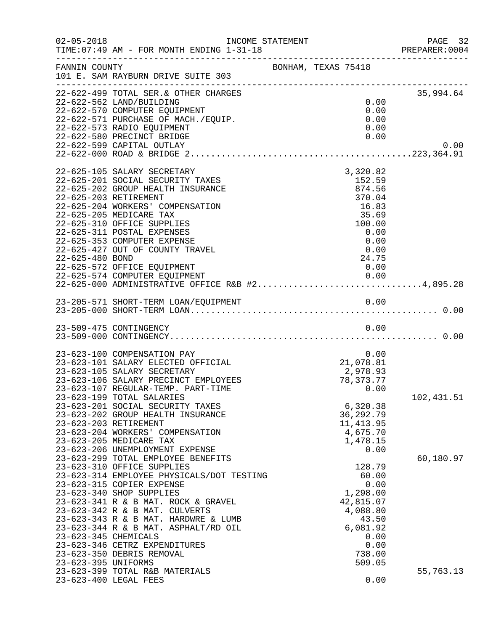| $02 - 05 - 2018$                            | INCOME STATEMENT<br>TIME: 07:49 AM - FOR MONTH ENDING 1-31-18                                                                                                                                                                                                                                                                                                                                                                                      |                     |                                                                                                                       | PAGE 32<br>PREPARER: 0004 |
|---------------------------------------------|----------------------------------------------------------------------------------------------------------------------------------------------------------------------------------------------------------------------------------------------------------------------------------------------------------------------------------------------------------------------------------------------------------------------------------------------------|---------------------|-----------------------------------------------------------------------------------------------------------------------|---------------------------|
| FANNIN COUNTY                               | 101 E. SAM RAYBURN DRIVE SUITE 303                                                                                                                                                                                                                                                                                                                                                                                                                 | BONHAM, TEXAS 75418 |                                                                                                                       |                           |
|                                             | 22-622-499 TOTAL SER. & OTHER CHARGES<br>22-622-562 LAND/BUILDING<br>22-622-570 COMPUTER EQUIPMENT<br>22-622-571 PURCHASE OF MACH./EQUIP.<br>22-622-573 RADIO EQUIPMENT<br>22-622-580 PRECINCT BRIDGE<br>22-622-599 CAPITAL OUTLAY                                                                                                                                                                                                                 |                     | 0.00<br>0.00<br>0.00<br>0.00<br>0.00                                                                                  | 35,994.64<br>0.00         |
| 22-625-480 BOND                             | 22-625-105 SALARY SECRETARY<br>22-625-201 SOCIAL SECURITY TAXES<br>22-625-202 GROUP HEALTH INSURANCE<br>22-625-203 RETIREMENT<br>22-625-204 WORKERS' COMPENSATION<br>22-625-205 MEDICARE TAX<br>22-625-310 OFFICE SUPPLIES<br>22-625-311 POSTAL EXPENSES<br>22-625-353 COMPUTER EXPENSE<br>22-625-427 OUT OF COUNTY TRAVEL<br>22-625-572 OFFICE EQUIPMENT<br>22-625-574 COMPUTER EQUIPMENT 0.00<br>22-625-000 ADMINISTRATIVE OFFICE R&B #24,895.28 |                     | 3,320.82<br>152.59<br>874.56<br>370.04<br>16.83<br>35.69<br>100.00<br>0.00<br>0.00<br>0.00<br>24.75<br>0.00           |                           |
|                                             |                                                                                                                                                                                                                                                                                                                                                                                                                                                    |                     |                                                                                                                       |                           |
|                                             | 23-509-475 CONTINGENCY                                                                                                                                                                                                                                                                                                                                                                                                                             |                     | 0.00                                                                                                                  |                           |
|                                             | 23-623-100 COMPENSATION PAY<br>23-623-101 SALARY ELECTED OFFICIAL<br>23-623-105 SALARY SECRETARY<br>23-623-106 SALARY PRECINCT EMPLOYEES<br>23-623-107 REGULAR-TEMP. PART-TIME<br>23-623-199 TOTAL SALARIES<br>23-623-201 SOCIAL SECURITY TAXES                                                                                                                                                                                                    |                     | 0.00<br>21,078.81<br>2,978.93<br>78,373.77<br>0.00<br>6,320.38                                                        | 102,431.51                |
|                                             | 23-623-202 GROUP HEALTH INSURANCE<br>23-623-203 RETIREMENT<br>23-623-204 WORKERS' COMPENSATION<br>23-623-205 MEDICARE TAX<br>23-623-206 UNEMPLOYMENT EXPENSE<br>23-623-299 TOTAL EMPLOYEE BENEFITS                                                                                                                                                                                                                                                 |                     | 36, 292. 79<br>11, 413.95<br>4,675.70<br>1,478.15<br>0.00                                                             | 60,180.97                 |
| 23-623-345 CHEMICALS<br>23-623-395 UNIFORMS | 23-623-310 OFFICE SUPPLIES<br>23-623-314 EMPLOYEE PHYSICALS/DOT TESTING<br>23-623-315 COPIER EXPENSE<br>23-623-340 SHOP SUPPLIES<br>23-623-341 R & B MAT. ROCK & GRAVEL<br>23-623-342 R & B MAT. CULVERTS<br>23-623-343 R & B MAT. HARDWRE & LUMB<br>23-623-344 R & B MAT. ASPHALT/RD OIL<br>23-623-346 CETRZ EXPENDITURES<br>23-623-350 DEBRIS REMOVAL<br>23-623-399 TOTAL R&B MATERIALS                                                          |                     | 128.79<br>60.00<br>0.00<br>1,298.00<br>42,815.07<br>4,088.80<br>43.50<br>6,081.92<br>0.00<br>0.00<br>738.00<br>509.05 | 55,763.13                 |
| 23-623-400 LEGAL FEES                       |                                                                                                                                                                                                                                                                                                                                                                                                                                                    |                     | 0.00                                                                                                                  |                           |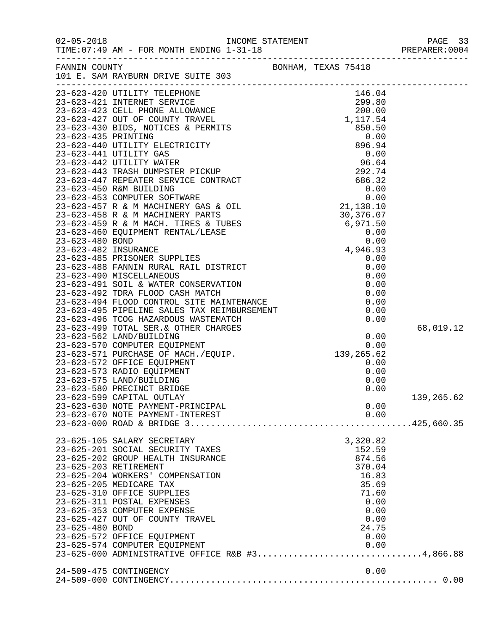| $02 - 05 - 2018$ | TIME: 07:49 AM - FOR MONTH ENDING 1-31-18                                        |                     |            |
|------------------|----------------------------------------------------------------------------------|---------------------|------------|
|                  | FANNIN COUNTY<br>101 E. SAM RAYBURN DRIVE SUITE 303                              | BONHAM, TEXAS 75418 |            |
|                  |                                                                                  |                     |            |
|                  |                                                                                  |                     |            |
|                  |                                                                                  |                     |            |
|                  |                                                                                  |                     |            |
|                  |                                                                                  |                     |            |
|                  |                                                                                  |                     |            |
|                  |                                                                                  |                     |            |
|                  |                                                                                  |                     |            |
|                  |                                                                                  |                     |            |
|                  |                                                                                  |                     |            |
|                  |                                                                                  |                     |            |
|                  |                                                                                  |                     |            |
|                  |                                                                                  |                     |            |
|                  |                                                                                  |                     |            |
|                  |                                                                                  |                     |            |
|                  |                                                                                  |                     |            |
|                  |                                                                                  |                     |            |
|                  |                                                                                  |                     |            |
|                  |                                                                                  |                     |            |
|                  |                                                                                  |                     |            |
|                  |                                                                                  |                     |            |
|                  |                                                                                  |                     |            |
|                  |                                                                                  |                     |            |
|                  |                                                                                  |                     |            |
|                  |                                                                                  |                     |            |
|                  |                                                                                  |                     | 68,019.12  |
|                  |                                                                                  |                     |            |
|                  |                                                                                  |                     |            |
|                  |                                                                                  |                     |            |
|                  |                                                                                  |                     |            |
|                  |                                                                                  |                     |            |
|                  |                                                                                  |                     |            |
|                  |                                                                                  |                     |            |
|                  | 23-623-599 CAPITAL OUTLAY                                                        |                     | 139,265.62 |
|                  | 23-623-630 NOTE PAYMENT-PRINCIPAL                                                | 0.00                |            |
|                  | 23-623-670 NOTE PAYMENT-INTEREST                                                 | 0.00                |            |
|                  |                                                                                  |                     |            |
|                  | 23-625-105 SALARY SECRETARY                                                      | 3,320.82            |            |
|                  | 23-625-201 SOCIAL SECURITY TAXES                                                 | 152.59              |            |
|                  | 23-625-202 GROUP HEALTH INSURANCE                                                | 874.56              |            |
|                  | 23-625-203 RETIREMENT                                                            | 370.04              |            |
|                  | 23-625-204 WORKERS' COMPENSATION                                                 | 16.83               |            |
|                  | 23-625-205 MEDICARE TAX                                                          | 35.69               |            |
|                  | 23-625-310 OFFICE SUPPLIES                                                       | 71.60               |            |
|                  | 23-625-311 POSTAL EXPENSES                                                       | 0.00                |            |
|                  | 23-625-353 COMPUTER EXPENSE                                                      | 0.00                |            |
| 23-625-480 BOND  | 23-625-427 OUT OF COUNTY TRAVEL                                                  | 0.00<br>24.75       |            |
|                  | 23-625-572 OFFICE EQUIPMENT                                                      | 0.00                |            |
|                  |                                                                                  |                     |            |
|                  | 23-625-574 COMPUTER EQUIPMENT<br>23-625-000 ADMINISTRATIVE OFFICE R&B #34,866.88 |                     |            |
|                  |                                                                                  |                     |            |
|                  | 24-509-475 CONTINGENCY                                                           | 0.00                |            |
|                  |                                                                                  |                     |            |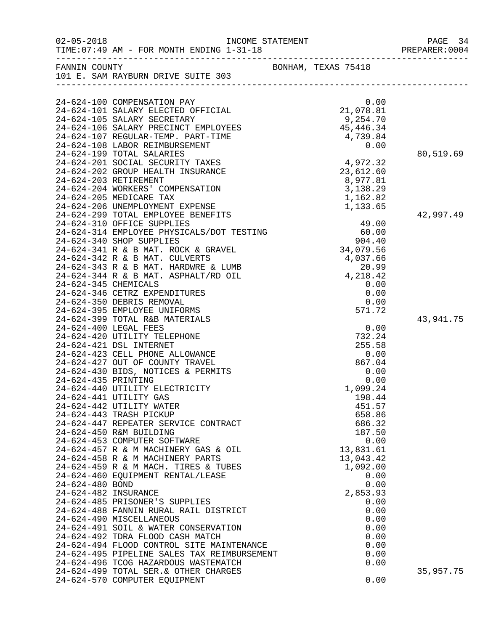| $02 - 05 - 2018$     | INCOME STATEMENT<br>TIME: 07:49 AM - FOR MONTH ENDING 1-31-18     |                              | PAGE 34<br>PREPARER: 0004 |
|----------------------|-------------------------------------------------------------------|------------------------------|---------------------------|
|                      | FANNIN COUNTY<br>101 E. SAM RAYBURN DRIVE SUITE 303               | BONHAM, TEXAS 75418          |                           |
|                      |                                                                   |                              |                           |
|                      |                                                                   |                              |                           |
|                      | 24-624-100 COMPENSATION PAY<br>24-624-101 SALARY ELECTED OFFICIAL | $0.00$<br>$21,078.81$        |                           |
|                      | 24-624-105 SALARY SECRETARY                                       | 9,254.70                     |                           |
|                      | 24-624-106 SALARY PRECINCT EMPLOYEES                              | 45,446.34                    |                           |
|                      | 24-624-107 REGULAR-TEMP. PART-TIME                                | 4,739.84                     |                           |
|                      | 24-624-108 LABOR REIMBURSEMENT                                    | 0.00                         |                           |
|                      | 24-624-199 TOTAL SALARIES                                         |                              | 80,519.69                 |
|                      | 24-624-201 SOCIAL SECURITY TAXES                                  | 4,972.32                     |                           |
|                      | 24-624-202 GROUP HEALTH INSURANCE                                 | 23,612.60                    |                           |
|                      | 24-624-203 RETIREMENT                                             | 8,977.81                     |                           |
|                      | 24-624-204 WORKERS' COMPENSATION                                  | 3,138.29                     |                           |
|                      | 24-624-205 MEDICARE TAX                                           | 1,162.82                     |                           |
|                      | 24-624-206 UNEMPLOYMENT EXPENSE                                   | 1,133.65                     |                           |
|                      | 24-624-299 TOTAL EMPLOYEE BENEFITS                                |                              | 42,997.49                 |
|                      | 24-624-310 OFFICE SUPPLIES                                        | 49.00                        |                           |
|                      | 24-624-314 EMPLOYEE PHYSICALS/DOT TESTING                         | 60.00                        |                           |
|                      | 24-624-340 SHOP SUPPLIES                                          | 904.40                       |                           |
|                      | 24-624-341 R & B MAT. ROCK & GRAVEL                               | 34,079.56                    |                           |
|                      | 24-624-342 R & B MAT. CULVERTS                                    | 4,037.66                     |                           |
|                      | 24-624-343 R & B MAT. HARDWRE & LUMB                              |                              |                           |
|                      | 24-624-344 R & B MAT. ASPHALT/RD OIL                              | $20.99$<br>4, 218.42<br>0.00 |                           |
| 24-624-345 CHEMICALS |                                                                   |                              |                           |
|                      | 24-624-346 CETRZ EXPENDITURES                                     | 0.00                         |                           |
|                      | 24-624-350 DEBRIS REMOVAL                                         | 0.00                         |                           |
|                      | 24-624-395 EMPLOYEE UNIFORMS                                      | 571.72                       |                           |
|                      | 24-624-399 TOTAL R&B MATERIALS                                    |                              | 43,941.75                 |
|                      | 24-624-400 LEGAL FEES                                             | 0.00                         |                           |
|                      | 24-624-420 UTILITY TELEPHONE                                      | 732.24                       |                           |
|                      | 24-624-421 DSL INTERNET                                           | 255.58                       |                           |
|                      | 24-624-423 CELL PHONE ALLOWANCE                                   | 0.00                         |                           |
|                      | 24-624-427 OUT OF COUNTY TRAVEL                                   | 867.04                       |                           |
|                      | 24-624-430 BIDS, NOTICES & PERMITS                                | 0.00                         |                           |
| 24-624-435 PRINTING  |                                                                   | 0.00                         |                           |
|                      | 24-624-440 UTILITY ELECTRICITY                                    | 1,099.24                     |                           |
|                      | 24-624-441 UTILITY GAS                                            | 198.44                       |                           |
|                      | 24-624-442 UTILITY WATER                                          | 451.57                       |                           |
|                      | 24-624-443 TRASH PICKUP<br>24-624-447 REPEATER SERVICE CONTRACT   | 658.86<br>686.32             |                           |
|                      | 24-624-450 R&M BUILDING                                           | 187.50                       |                           |
|                      | 24-624-453 COMPUTER SOFTWARE                                      | 0.00                         |                           |
|                      | 24-624-457 R & M MACHINERY GAS & OIL                              | 13,831.61                    |                           |
|                      | 24-624-458 R & M MACHINERY PARTS                                  | 13,043.42                    |                           |
|                      | 24-624-459 R & M MACH. TIRES & TUBES                              | 1,092.00                     |                           |
|                      | 24-624-460 EQUIPMENT RENTAL/LEASE                                 | 0.00                         |                           |
| 24-624-480 BOND      |                                                                   | 0.00                         |                           |
| 24-624-482 INSURANCE |                                                                   | 2,853.93                     |                           |
|                      | 24-624-485 PRISONER'S SUPPLIES                                    | 0.00                         |                           |
|                      | 24-624-488 FANNIN RURAL RAIL DISTRICT                             | 0.00                         |                           |
|                      | 24-624-490 MISCELLANEOUS                                          | 0.00                         |                           |
|                      | 24-624-491 SOIL & WATER CONSERVATION                              | 0.00                         |                           |
|                      | 24-624-492 TDRA FLOOD CASH MATCH                                  | 0.00                         |                           |
|                      | 24-624-494 FLOOD CONTROL SITE MAINTENANCE                         | 0.00                         |                           |
|                      | 24-624-495 PIPELINE SALES TAX REIMBURSEMENT                       | 0.00                         |                           |
|                      | 24-624-496 TCOG HAZARDOUS WASTEMATCH                              | 0.00                         |                           |
|                      | 24-624-499 TOTAL SER. & OTHER CHARGES                             |                              | 35,957.75                 |
|                      | 24-624-570 COMPUTER EQUIPMENT                                     | 0.00                         |                           |
|                      |                                                                   |                              |                           |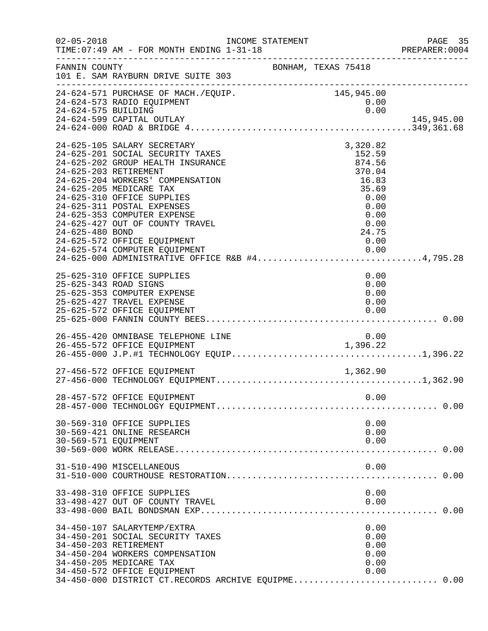| $02 - 05 - 2018$     | INCOME STATEMENT<br>TIME: 07:49 AM - FOR MONTH ENDING 1-31-18                                                                                                                                                                                                                                                                                                                                                                                                                  |                                                                                                                                                                                                                                                                                                                                                                                                                                                                                     |                                                                                                               | PAGE 35<br>PREPARER:0004 |
|----------------------|--------------------------------------------------------------------------------------------------------------------------------------------------------------------------------------------------------------------------------------------------------------------------------------------------------------------------------------------------------------------------------------------------------------------------------------------------------------------------------|-------------------------------------------------------------------------------------------------------------------------------------------------------------------------------------------------------------------------------------------------------------------------------------------------------------------------------------------------------------------------------------------------------------------------------------------------------------------------------------|---------------------------------------------------------------------------------------------------------------|--------------------------|
| FANNIN COUNTY        | 101 E. SAM RAYBURN DRIVE SUITE 303<br>_______________________                                                                                                                                                                                                                                                                                                                                                                                                                  | BONHAM, TEXAS 75418                                                                                                                                                                                                                                                                                                                                                                                                                                                                 |                                                                                                               |                          |
| 24-624-575 BUILDING  | 24-624-571 PURCHASE OF MACH./EQUIP. 145,945.00<br>24-624-573 RADIO EQUIPMENT<br>24-624-599 CAPITAL OUTLAY                                                                                                                                                                                                                                                                                                                                                                      |                                                                                                                                                                                                                                                                                                                                                                                                                                                                                     | 0.00<br>0.00                                                                                                  | 145,945.00               |
| 24-625-480 BOND      | 24-625-105 SALARY SECRETARY<br>24-625-201 SOCIAL SECURITY TAXES<br>24-625-202 GROUP HEALTH INSURANCE<br>24-625-203 RETIREMENT<br>24-625-204 WORKERS' COMPENSATION<br>24-625-205 MEDICARE TAX<br>24-625-310 OFFICE SUPPLIES<br>24-625-311 POSTAL EXPENSES<br>24-625-353 COMPUTER EXPENSE<br>24-625-427 OUT OF COUNTY TRAVEL<br>24-625-572 OFFICE EQUIPMENT<br>24-625-574 COMPUTER EQUIPMENT<br>24-625-000 ADMINISTRATIVE OFFICE R&B #44,795.28<br>24-625-574 COMPUTER EQUIPMENT |                                                                                                                                                                                                                                                                                                                                                                                                                                                                                     | 3,320.82<br>152.59<br>874.56<br>370.04<br>$16.83$<br>$35.69$<br>0.00<br>0.00<br>0.00<br>0.00<br>24.75<br>0.00 |                          |
|                      | 25-625-310 OFFICE SUPPLIES<br>25-625-343 ROAD SIGNS<br>25-625-353 COMPUTER EXPENSE<br>25-625-427 TRAVEL EXPENSE<br>25-625-572 OFFICE EQUIPMENT                                                                                                                                                                                                                                                                                                                                 |                                                                                                                                                                                                                                                                                                                                                                                                                                                                                     | 0.00<br>0.00<br>0.00<br>0.00<br>0.00                                                                          |                          |
|                      | 26-455-420 OMNIBASE TELEPHONE LINE                                                                                                                                                                                                                                                                                                                                                                                                                                             | $\begin{aligned} \nabla^2 \cdot \nabla^2 \cdot \nabla^2 \cdot \nabla^2 \cdot \nabla^2 \cdot \nabla^2 \cdot \nabla \cdot \nabla \cdot \nabla \cdot \nabla \cdot \nabla \cdot \nabla \cdot \nabla \cdot \nabla \cdot \nabla \cdot \nabla \cdot \nabla \cdot \nabla \cdot \nabla \cdot \nabla \cdot \nabla \cdot \nabla \cdot \nabla \cdot \nabla \cdot \nabla \cdot \nabla \cdot \nabla \cdot \nabla \cdot \nabla \cdot \nabla \cdot \nabla \cdot \nabla \cdot \nabla \cdot \nabla \$ | 0.00                                                                                                          |                          |
|                      | 27-456-572 OFFICE EQUIPMENT                                                                                                                                                                                                                                                                                                                                                                                                                                                    |                                                                                                                                                                                                                                                                                                                                                                                                                                                                                     | 1,362.90                                                                                                      |                          |
|                      | 28-457-572 OFFICE EQUIPMENT                                                                                                                                                                                                                                                                                                                                                                                                                                                    |                                                                                                                                                                                                                                                                                                                                                                                                                                                                                     | 0.00                                                                                                          |                          |
| 30-569-571 EQUIPMENT | 30-569-310 OFFICE SUPPLIES<br>30-569-421 ONLINE RESEARCH                                                                                                                                                                                                                                                                                                                                                                                                                       |                                                                                                                                                                                                                                                                                                                                                                                                                                                                                     | 0.00<br>0.00<br>0.00                                                                                          |                          |
|                      | 31-510-490 MISCELLANEOUS                                                                                                                                                                                                                                                                                                                                                                                                                                                       |                                                                                                                                                                                                                                                                                                                                                                                                                                                                                     | 0.00                                                                                                          |                          |
|                      | 33-498-310 OFFICE SUPPLIES<br>33-498-427 OUT OF COUNTY TRAVEL                                                                                                                                                                                                                                                                                                                                                                                                                  |                                                                                                                                                                                                                                                                                                                                                                                                                                                                                     | 0.00<br>0.00                                                                                                  |                          |
|                      | 34-450-107 SALARYTEMP/EXTRA<br>34-450-201 SOCIAL SECURITY TAXES<br>34-450-203 RETIREMENT<br>34-450-204 WORKERS COMPENSATION<br>34-450-205 MEDICARE TAX<br>34-450-572 OFFICE EQUIPMENT<br>34-450-000 DISTRICT CT.RECORDS ARCHIVE EQUIPME 0.00                                                                                                                                                                                                                                   |                                                                                                                                                                                                                                                                                                                                                                                                                                                                                     | 0.00<br>0.00<br>0.00<br>0.00<br>0.00<br>0.00                                                                  |                          |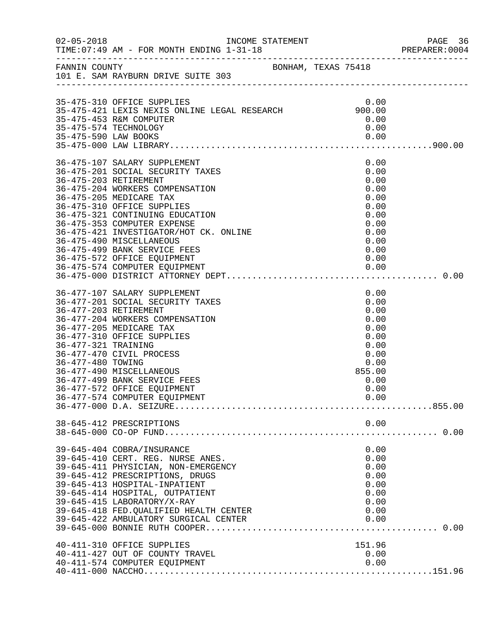|                     |                                                                                   |              | PAGE 36<br>PREPARER:0004 |
|---------------------|-----------------------------------------------------------------------------------|--------------|--------------------------|
|                     | FANNIN COUNTY<br>101 E. SAM RAYBURN DRIVE SUITE 303                               |              |                          |
|                     | 35-475-310 OFFICE SUPPLIES                                                        |              |                          |
|                     | 35-475-310 OFFICE SUPPLIES<br>35-475-421 LEXIS NEXIS ONLINE LEGAL RESEARCH 900.00 | 0.00         |                          |
|                     | 35-475-453 R&M COMPUTER                                                           | 0.00         |                          |
|                     | 35-475-574 TECHNOLOGY                                                             | 0.00         |                          |
|                     |                                                                                   |              |                          |
|                     |                                                                                   |              |                          |
|                     | 36-475-107 SALARY SUPPLEMENT                                                      | 0.00         |                          |
|                     | 36-475-201 SOCIAL SECURITY TAXES                                                  | 0.00         |                          |
|                     | 36-475-203 RETIREMENT                                                             | 0.00         |                          |
|                     | 36-475-204 WORKERS COMPENSATION                                                   | 0.00         |                          |
|                     | 36-475-205 MEDICARE TAX                                                           | 0.00         |                          |
|                     | 36-475-310 OFFICE SUPPLIES                                                        | 0.00         |                          |
|                     | 36-475-321 CONTINUING EDUCATION                                                   | 0.00         |                          |
|                     | 36-475-353 COMPUTER EXPENSE                                                       | 0.00         |                          |
|                     | 36-475-421 INVESTIGATOR/HOT CK. ONLINE                                            | 0.00         |                          |
|                     | 36-475-490 MISCELLANEOUS<br>36-475-499 BANK SERVICE FEES                          | 0.00<br>0.00 |                          |
|                     | 36-475-572 OFFICE EQUIPMENT                                                       | 0.00         |                          |
|                     | 36-475-574 COMPUTER EQUIPMENT                                                     |              |                          |
|                     |                                                                                   |              |                          |
|                     | 36-477-107 SALARY SUPPLEMENT                                                      | 0.00         |                          |
|                     | 36-477-201 SOCIAL SECURITY TAXES                                                  | 0.00         |                          |
|                     | 36-477-203 RETIREMENT                                                             | 0.00         |                          |
|                     | 36-477-204 WORKERS COMPENSATION                                                   | 0.00         |                          |
|                     | 36-477-205 MEDICARE TAX                                                           | 0.00         |                          |
|                     | 36-477-310 OFFICE SUPPLIES                                                        | 0.00         |                          |
| 36-477-321 TRAINING |                                                                                   | 0.00         |                          |
|                     | 36-477-470 CIVIL PROCESS                                                          | 0.00         |                          |
| 36-477-480 TOWING   |                                                                                   | 0.00         |                          |
|                     | 36-477-490 MISCELLANEOUS                                                          | 855.00       |                          |
|                     | 36-477-499 BANK SERVICE FEES                                                      | 0.00         |                          |
|                     | 36-477-572 OFFICE EQUIPMENT<br>36-477-574 COMPUTER EQUIPMENT                      | 0.00<br>0.00 |                          |
|                     |                                                                                   |              |                          |
|                     |                                                                                   |              |                          |
|                     | 38-645-412 PRESCRIPTIONS                                                          | 0.00         |                          |
|                     |                                                                                   |              |                          |
|                     | 39-645-404 COBRA/INSURANCE                                                        | 0.00         |                          |
|                     | 39-645-410 CERT. REG. NURSE ANES.                                                 | 0.00         |                          |
|                     | 39-645-411 PHYSICIAN, NON-EMERGENCY                                               | 0.00         |                          |
|                     | 39-645-412 PRESCRIPTIONS, DRUGS                                                   | 0.00         |                          |
|                     | 39-645-413 HOSPITAL-INPATIENT                                                     | 0.00         |                          |
|                     | 39-645-414 HOSPITAL, OUTPATIENT                                                   | 0.00         |                          |
|                     | 39-645-415 LABORATORY/X-RAY                                                       | 0.00         |                          |
|                     | 39-645-418 FED. QUALIFIED HEALTH CENTER                                           | 0.00         |                          |
|                     | 39-645-422 AMBULATORY SURGICAL CENTER                                             | 0.00         |                          |
|                     |                                                                                   |              |                          |
|                     | 40-411-310 OFFICE SUPPLIES                                                        | 151.96       |                          |
|                     | 40-411-427 OUT OF COUNTY TRAVEL                                                   | 0.00         |                          |
|                     | 40-411-574 COMPUTER EQUIPMENT                                                     | 0.00         |                          |
|                     |                                                                                   |              |                          |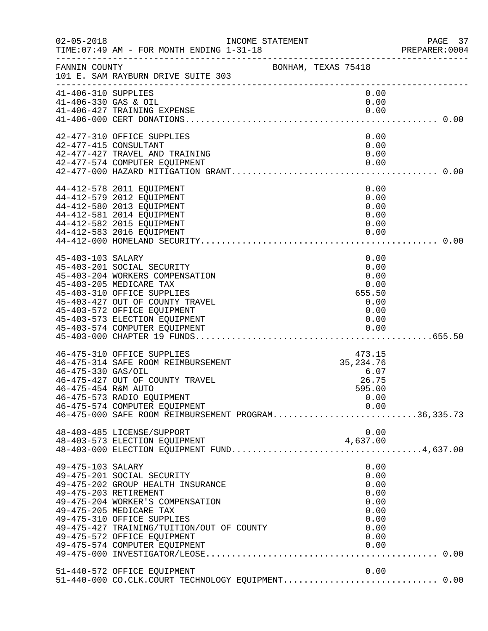| $02 - 05 - 2018$                            | INCOME STATEMENT<br>TIME: 07:49 AM - FOR MONTH ENDING 1-31-18                                                                                                                                                                                                                                                                          |                                                                              | PAGE 37<br>PREPARER: 0004 |
|---------------------------------------------|----------------------------------------------------------------------------------------------------------------------------------------------------------------------------------------------------------------------------------------------------------------------------------------------------------------------------------------|------------------------------------------------------------------------------|---------------------------|
| FANNIN COUNTY                               | 101 E. SAM RAYBURN DRIVE SUITE 303                                                                                                                                                                                                                                                                                                     | BONHAM, TEXAS 75418                                                          |                           |
| 41-406-310 SUPPLIES<br>41-406-330 GAS & OIL | 41-406-427 TRAINING EXPENSE                                                                                                                                                                                                                                                                                                            | 0.00<br>0.00<br>0.00                                                         |                           |
|                                             | 42-477-310 OFFICE SUPPLIES<br>42-477-415 CONSULTANT<br>42-477-427 TRAVEL AND TRAINING<br>42-477-574 COMPUTER EQUIPMENT                                                                                                                                                                                                                 | 0.00<br>0.00<br>0.00<br>0.00                                                 |                           |
|                                             | 44-412-578 2011 EQUIPMENT<br>44-412-579 2012 EQUIPMENT<br>44-412-580 2013 EQUIPMENT<br>44-412-581 2014 EQUIPMENT<br>44-412-582 2015 EQUIPMENT<br>44-412-583 2016 EQUIPMENT                                                                                                                                                             | 0.00<br>0.00<br>0.00<br>0.00<br>0.00<br>0.00                                 |                           |
| 45-403-103 SALARY                           | 45-403-201 SOCIAL SECURITY<br>45-403-204 WORKERS COMPENSATION<br>45-403-205 MEDICARE TAX<br>45-403-310 OFFICE SUPPLIES<br>45-403-427 OUT OF COUNTY TRAVEL<br>45-403-572 OFFICE EQUIPMENT<br>45-403-573 ELECTION EQUIPMENT<br>45-403-574 COMPUTER EQUIPMENT                                                                             | 0.00<br>0.00<br>0.00<br>0.00<br>655.50<br>0.00<br>0.00<br>0.00<br>0.00       |                           |
| 46-475-330 GAS/OIL<br>46-475-454 R&M AUTO   | 46-475-310 OFFICE SUPPLIES<br>46-475-314 SAFE ROOM REIMBURSEMENT<br>46-475-427 OUT OF COUNTY TRAVEL<br>46-475-573 RADIO EQUIPMENT<br>46-475-574 COMPUTER EQUIPMENT<br>46-475-000 SAFE ROOM REIMBURSEMENT PROGRAM36,335.73<br>48-403-485 LICENSE/SUPPORT<br>48-403-573 ELECTION EQUIPMENT<br>48-403-000 ELECTION EQUIPMENT FUND4,637.00 | 473.15<br>35, 234. 76<br>6.07<br>26.75<br>595.00<br>0.00<br>0.00<br>0.00     |                           |
| 49-475-103 SALARY                           | 49-475-201 SOCIAL SECURITY<br>49-475-202 GROUP HEALTH INSURANCE<br>49-475-203 RETIREMENT<br>49-475-204 WORKER'S COMPENSATION<br>49-475-205 MEDICARE TAX<br>49-475-310 OFFICE SUPPLIES<br>49-475-427 TRAINING/TUITION/OUT OF COUNTY<br>49-475-572 OFFICE EQUIPMENT<br>49-475-574 COMPUTER EQUIPMENT                                     | 0.00<br>0.00<br>0.00<br>0.00<br>0.00<br>0.00<br>0.00<br>0.00<br>0.00<br>0.00 |                           |
|                                             | 51-440-572 OFFICE EQUIPMENT                                                                                                                                                                                                                                                                                                            | 0.00                                                                         |                           |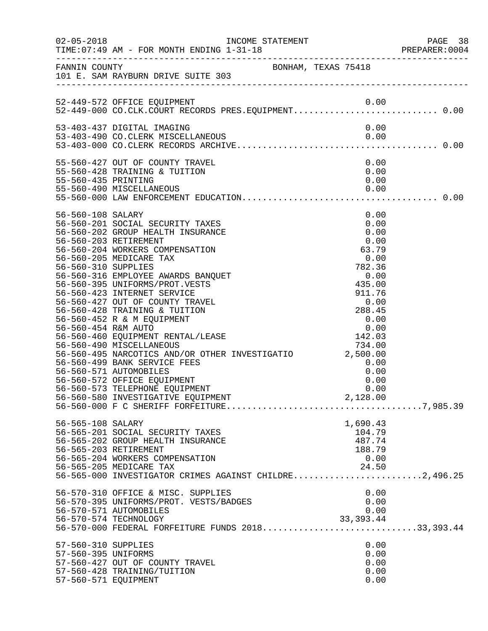|                                                                    |                                                                                                                                                                                                                                                                                                                                                                                                                                                                                                                                                                                                                              |                                                                                                                                                                                                                         | PREPARER: 0004 |
|--------------------------------------------------------------------|------------------------------------------------------------------------------------------------------------------------------------------------------------------------------------------------------------------------------------------------------------------------------------------------------------------------------------------------------------------------------------------------------------------------------------------------------------------------------------------------------------------------------------------------------------------------------------------------------------------------------|-------------------------------------------------------------------------------------------------------------------------------------------------------------------------------------------------------------------------|----------------|
|                                                                    | FANNIN COUNTY<br>101 E. SAM RAYBURN DRIVE SUITE 303                                                                                                                                                                                                                                                                                                                                                                                                                                                                                                                                                                          |                                                                                                                                                                                                                         |                |
|                                                                    | 52-449-572 OFFICE EQUIPMENT<br>52-449-000 CO.CLK.COURT RECORDS PRES.EQUIPMENT0.00                                                                                                                                                                                                                                                                                                                                                                                                                                                                                                                                            |                                                                                                                                                                                                                         |                |
|                                                                    | 53-403-437 DIGITAL IMAGING                                                                                                                                                                                                                                                                                                                                                                                                                                                                                                                                                                                                   | 0.00                                                                                                                                                                                                                    |                |
| 55-560-435 PRINTING                                                | 55-560-427 OUT OF COUNTY TRAVEL<br>55-560-428 TRAINING & TUITION<br>55-560-490 MISCELLANEOUS                                                                                                                                                                                                                                                                                                                                                                                                                                                                                                                                 | 0.00<br>0.00<br>0.00<br>0.00                                                                                                                                                                                            |                |
| 56-560-108 SALARY<br>56-560-310 SUPPLIES<br>56-560-454 R&M AUTO    | 56-560-201 SOCIAL SECURITY TAXES<br>56-560-202 GROUP HEALTH INSURANCE<br>56-560-203 RETIREMENT<br>56-560-204 WORKERS COMPENSATION<br>56-560-205 MEDICARE TAX<br>56-560-316 EMPLOYEE AWARDS BANQUET<br>56-560-395 UNIFORMS/PROT.VESTS<br>56-560-423 INTERNET SERVICE<br>56-560-427 OUT OF COUNTY TRAVEL<br>56-560-428 TRAINING & TUITION<br>56-560-452 R & M EQUIPMENT<br>56-560-460 EQUIPMENT RENTAL/LEASE<br>56-560-490 MISCELLANEOUS<br>56-560-495 NARCOTICS AND/OR OTHER INVESTIGATIO 2,500.00<br>56-560-499 BANK SERVICE FEES<br>56-560-571 AUTOMOBILES<br>56-560-572 OFFICE EQUIPMENT<br>56-560-573 TELEPHONE EQUIPMENT | 0.00<br>0.00<br>0.00<br>0.00<br>63.79<br>$\begin{array}{r} 63.79 \\ 0.00 \\ 782.36 \\ 0.00 \\ 435.00 \end{array}$<br>$911.76$<br>0.00<br>288.45<br>$0.00$<br>0.00<br>$142.03$<br>734.00<br>0.00<br>0.00<br>0.00<br>0.00 |                |
| 56-565-108 SALARY                                                  | 56-565-201 SOCIAL SECURITY TAXES<br>56-565-202 GROUP HEALTH INSURANCE<br>56-565-203 RETIREMENT<br>56-565-204 WORKERS COMPENSATION<br>56-565-205 MEDICARE TAX<br>56-565-000 INVESTIGATOR CRIMES AGAINST CHILDRE2,496.25                                                                                                                                                                                                                                                                                                                                                                                                       | 1,690.43<br>104.79<br>487.74<br>188.79<br>0.00<br>24.50                                                                                                                                                                 |                |
|                                                                    | 56-570-310 OFFICE & MISC. SUPPLIES<br>56-570-395 UNIFORMS/PROT. VESTS/BADGES<br>56-570-571 AUTOMOBILES<br>56-570-574 TECHNOLOGY<br>56-570-000 FEDERAL FORFEITURE FUNDS 201833,393.44                                                                                                                                                                                                                                                                                                                                                                                                                                         | 0.00<br>0.00<br>0.00<br>33, 393. 44                                                                                                                                                                                     |                |
| 57-560-310 SUPPLIES<br>57-560-395 UNIFORMS<br>57-560-571 EQUIPMENT | 57-560-427 OUT OF COUNTY TRAVEL<br>57-560-428 TRAINING/TUITION                                                                                                                                                                                                                                                                                                                                                                                                                                                                                                                                                               | 0.00<br>0.00<br>0.00<br>0.00<br>0.00                                                                                                                                                                                    |                |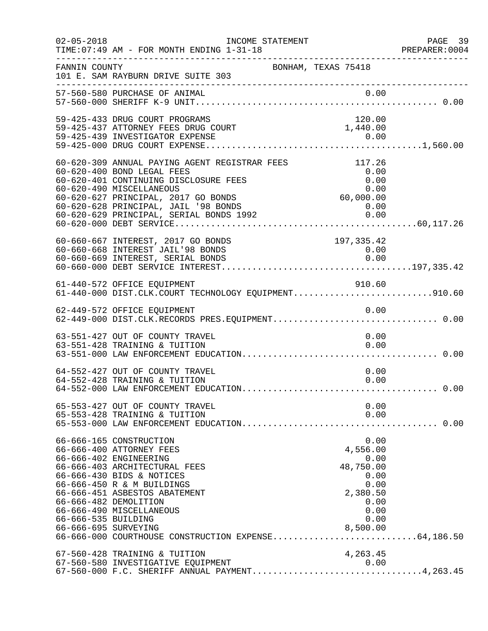| $02 - 05 - 2018$                            | INCOME STATEMENT<br>TIME: 07:49 AM - FOR MONTH ENDING 1-31-18                                                                                                                                                                                                                                                          | PREPARER<br>--------------------------------                        | PAGE 39<br>PREPARER:0004             |
|---------------------------------------------|------------------------------------------------------------------------------------------------------------------------------------------------------------------------------------------------------------------------------------------------------------------------------------------------------------------------|---------------------------------------------------------------------|--------------------------------------|
| FANNIN COUNTY                               | 101 E. SAM RAYBURN DRIVE SUITE 303                                                                                                                                                                                                                                                                                     | BONHAM, TEXAS 75418                                                 |                                      |
|                                             |                                                                                                                                                                                                                                                                                                                        |                                                                     |                                      |
|                                             | 59-425-433 DRUG COURT PROGRAMS<br>59-425-437 ATTORNEY FEES DRUG COURT<br>59-425-439 INVESTIGATOR EXPENSE                                                                                                                                                                                                               | 120.00<br>1,440.00<br>0.00                                          |                                      |
|                                             | 60-620-309 ANNUAL PAYING AGENT REGISTRAR FEES<br>60-620-400 BOND LEGAL FEES<br>60-620-401 CONTINUING DISCLOSURE FEES<br>60-620-490 MISCELLANEOUS<br>60-620-627 PRINCIPAL, 2017 GO BONDS<br>60-620-629 PRINCIPAL, JAIL '98 BONDS<br>60-620-629 PRINCIPAL, SERIAL BONDS 1992<br>60-620-000 DEBT SERVICE.                 | 117.26<br>0.00<br>0.00<br>0.00<br>0.00<br>60,000.00<br>0.00<br>0.00 |                                      |
|                                             | 60-660-667 INTEREST, 2017 GO BONDS<br>60-660-668 INTEREST JAIL'98 BONDS<br>60-660-669 INTEREST, SERIAL BONDS                                                                                                                                                                                                           | 197, 335.42<br>0.00<br>0.00                                         |                                      |
|                                             | 61-440-572 OFFICE EQUIPMENT<br>61-440-000 DIST.CLK.COURT TECHNOLOGY EQUIPMENT910.60                                                                                                                                                                                                                                    | 910.60                                                              |                                      |
|                                             |                                                                                                                                                                                                                                                                                                                        |                                                                     |                                      |
|                                             | 63-551-427 OUT OF COUNTY TRAVEL<br>63-551-428 TRAINING & TUITION                                                                                                                                                                                                                                                       | 0.00                                                                | 0.00                                 |
|                                             | 64-552-427 OUT OF COUNTY TRAVEL<br>64-552-428 TRAINING & TUITION                                                                                                                                                                                                                                                       | 0.00                                                                | 0.00                                 |
|                                             | 65-553-427 OUT OF COUNTY TRAVEL<br>65-553-428 TRAINING & TUITION                                                                                                                                                                                                                                                       |                                                                     | 0.00<br>0.00                         |
| 66-666-535 BUILDING<br>66-666-695 SURVEYING | 66-666-165 CONSTRUCTION<br>66-666-400 ATTORNEY FEES<br>66-666-402 ENGINEERING<br>66-666-403 ARCHITECTURAL FEES<br>66-666-430 BIDS & NOTICES<br>66-666-450 R & M BUILDINGS<br>66-666-451 ASBESTOS ABATEMENT<br>66-666-482 DEMOLITION<br>66-666-490 MISCELLANEOUS<br>66-666-000 COURTHOUSE CONSTRUCTION EXPENSE64,186.50 | 4,556.00<br>48,750.00<br>0.00<br>2,380.50<br>0.00<br>8,500.00       | 0.00<br>0.00<br>0.00<br>0.00<br>0.00 |
|                                             | 67-560-428 TRAINING & TUITION<br>67-560-580 INVESTIGATIVE EQUIPMENT<br>67-560-000 F.C. SHERIFF ANNUAL PAYMENT4,263.45                                                                                                                                                                                                  | 4,263.45<br>0.00                                                    |                                      |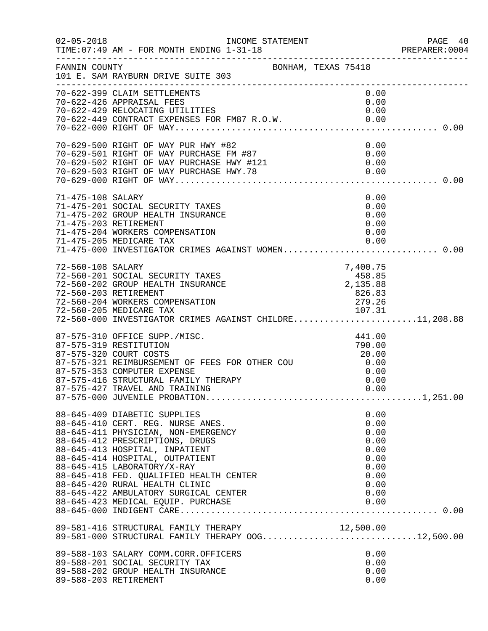| $02 - 05 - 2018$      | INCOME STATEMENT<br>TIME: 07:49 AM - FOR MONTH ENDING 1-31-18<br>______________________________________                                                                                                                                                                                                                                                               |                                                                              | PAGE 40<br>PREPARER: 0004 |
|-----------------------|-----------------------------------------------------------------------------------------------------------------------------------------------------------------------------------------------------------------------------------------------------------------------------------------------------------------------------------------------------------------------|------------------------------------------------------------------------------|---------------------------|
| FANNIN COUNTY         | BONHAM, TEXAS 75418<br>101 E. SAM RAYBURN DRIVE SUITE 303                                                                                                                                                                                                                                                                                                             |                                                                              |                           |
|                       | 70-622-399 CLAIM SETTLEMENTS<br>70-622-426 APPRAISAL FEES<br>70-622-429 RELOCATING UTILITIES<br>70-622-429 RELOCATING UTILITIES 0.00<br>70-622-449 CONTRACT EXPENSES FOR FM87 R.O.W. 0.00                                                                                                                                                                             | 0.00<br>0.00                                                                 |                           |
|                       | 70-629-500 RIGHT OF WAY PUR HWY #82<br>70-629-500 RIGHT OF WAY PUR HWY #82<br>70-629-501 RIGHT OF WAY PURCHASE FM #87<br>70-629-502 RIGHT OF WAY PURCHASE HWY #121 0.00<br>70-629-503 RIGHT OF WAY PURCHASE HWY.78 0.00<br>70-629-000 RIGHT OF WAY                                                                                                                    | 0.00                                                                         |                           |
| 71-475-108 SALARY     | 71-475-201 SOCIAL SECURITY TAXES<br>71-475-202 GROUP HEALTH INSURANCE<br>71-475-203 RETIREMENT<br>71-475-204 WORKERS COMPENSATION<br>71-475-205 MEDICARE TAX<br>71-475-000 INVESTIGATOR CRIMES AGAINST WOMEN 0.00                                                                                                                                                     | 0.00<br>0.00<br>0.00<br>0.00<br>0.00<br>0.00                                 |                           |
| 72-560-108 SALARY     | 72-560-201 SOCIAL SECURITY TAXES<br>72-560-202 GROUP HEALTH INSURANCE<br>72-560-203 RETIREMENT<br>72-560-204 WORKERS COMPENSATION<br>72-560-205 MEDICARE TAX<br>72-560-000 INVESTIGATOR CRIMES AGAINST CHILDRE11,208.88                                                                                                                                               | 7,400.75<br>458.85<br>2,135.88<br>826.83<br>279.26<br>107.31                 |                           |
|                       | 87-575-310 OFFICE SUPP./MISC.<br>87-575-319 RESTITUTION<br>07-373-320 COURT COSTS<br>87-575-321 REIMBURSEMENT OF FEES FOR OTHER COU 0.00<br>87-575-353 COMPITER EXPENSE<br>87-575-353 COMPUTER EXPENSE<br>87-575-416 STRUCTURAL FAMILY THERAPY<br>87-575-427 TRAVEL AND TRAINING                                                                                      | 441.00<br>790.00<br>0.00<br>0.00<br>0.00                                     |                           |
|                       | 88-645-409 DIABETIC SUPPLIES<br>88-645-410 CERT. REG. NURSE ANES.<br>88-645-411 PHYSICIAN, NON-EMERGENCY<br>88-645-412 PRESCRIPTIONS, DRUGS<br>88-645-413 HOSPITAL, INPATIENT<br>88-645-414 HOSPITAL, OUTPATIENT<br>88-645-415 LABORATORY/X-RAY<br>88-645-418 FED. QUALIFIED HEALTH CENTER<br>88-645-420 RURAL HEALTH CLINIC<br>88-645-422 AMBULATORY SURGICAL CENTER | 0.00<br>0.00<br>0.00<br>0.00<br>0.00<br>0.00<br>0.00<br>0.00<br>0.00<br>0.00 |                           |
|                       | 89-581-416 STRUCTURAL FAMILY THERAPY 12,500.00<br>89-581-000 STRUCTURAL FAMILY THERAPY OOG12,500.00                                                                                                                                                                                                                                                                   |                                                                              |                           |
| 89-588-203 RETIREMENT | 89-588-103 SALARY COMM.CORR.OFFICERS<br>89-588-201 SOCIAL SECURITY TAX<br>89-588-202 GROUP HEALTH INSURANCE                                                                                                                                                                                                                                                           | 0.00<br>0.00<br>0.00<br>0.00                                                 |                           |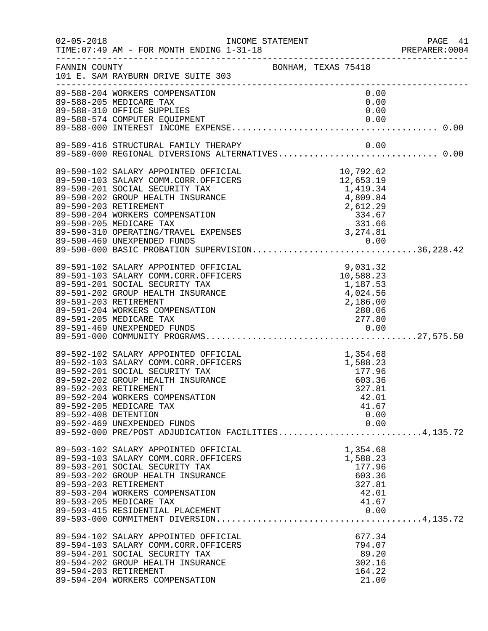| $02 - 05 - 2018$      | TIME: 07:49 AM - FOR MONTH ENDING 1-31-18                                                                                                                                                                                                                                                                                                                                                 |                                                                                            | PAGE 41<br>PREPARER:0004 |
|-----------------------|-------------------------------------------------------------------------------------------------------------------------------------------------------------------------------------------------------------------------------------------------------------------------------------------------------------------------------------------------------------------------------------------|--------------------------------------------------------------------------------------------|--------------------------|
| FANNIN COUNTY         | 101 E. SAM RAYBURN DRIVE SUITE 303<br>_______________________                                                                                                                                                                                                                                                                                                                             | BONHAM, TEXAS 75418                                                                        |                          |
|                       | 89-588-204 WORKERS COMPENSATION<br>89-588-205 MEDICARE TAX<br>89-588-310 OFFICE SUPPLIES                                                                                                                                                                                                                                                                                                  | 0.00<br>0.00<br>0.00                                                                       |                          |
|                       | 89-589-416 STRUCTURAL FAMILY THERAPY                                                                                                                                                                                                                                                                                                                                                      | 0.00                                                                                       |                          |
|                       |                                                                                                                                                                                                                                                                                                                                                                                           |                                                                                            |                          |
|                       | 89-591-102 SALARY APPOINTED OFFICIAL<br>89-591-103 SALARY COMM.CORR.OFFICERS<br>89-591-201 SOCIAL SECURITY TAX<br>89-591-202 GROUP HEALTH INSURANCE<br>89-591-203 RETIREMENT<br>89-591-204 WORKERS COMPENSATION<br>89-591-205 MEDICARE TAX                                                                                                                                                | 9,031.32<br>CERS 10,588.23<br>1,187.53<br>4,024.56<br>2,186.00<br>280.06<br>277.80<br>0.00 |                          |
| 89-592-408 DETENTION  | 89-592-102 SALARY APPOINTED OFFICIAL 1,354.68<br>89-592-103 SALARY COMM.CORR.OFFICERS 1,588.23<br>89-592-201 SOCIAL SECURITY TAX 177.96<br>89-592-202 GROUP HEALTH INSURANCE 603.36<br>89-592-202 PETIPEMENT<br>89-592-203 RETIREMENT<br>89-592-204 WORKERS COMPENSATION<br>89-592-205 MEDICARE TAX<br>89-592-469 UNEXPENDED FUNDS<br>89-592-000 PRE/POST ADJUDICATION FACILITIES4,135.72 | 327.81<br>42.01<br>41.67<br>0.00<br>0.00                                                   |                          |
| 89-593-203 RETIREMENT | 89-593-102 SALARY APPOINTED OFFICIAL<br>89-593-103 SALARY COMM.CORR.OFFICERS<br>89-593-201 SOCIAL SECURITY TAX<br>89-593-202 GROUP HEALTH INSURANCE<br>89-593-204 WORKERS COMPENSATION<br>89-593-205 MEDICARE TAX                                                                                                                                                                         | 1,354.68<br>1,588.23<br>177.96<br>603.36<br>327.81<br>42.01<br>41.67                       |                          |
| 89-594-203 RETIREMENT | 89-594-102 SALARY APPOINTED OFFICIAL<br>89-594-103 SALARY COMM.CORR.OFFICERS<br>89-594-201 SOCIAL SECURITY TAX<br>89-594-202 GROUP HEALTH INSURANCE<br>89-594-204 WORKERS COMPENSATION                                                                                                                                                                                                    | 677.34<br>794.07<br>89.20<br>302.16<br>164.22<br>21.00                                     |                          |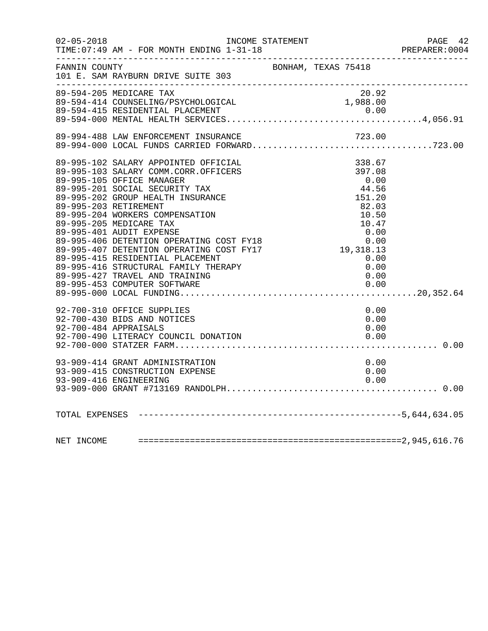| $02 - 05 - 2018$ | INCOME STATEMENT<br>TIME: 07:49 AM - FOR MONTH ENDING 1-31-18                                                                                                                                                                                        |                     |      | PAGE 42<br>PREPARER: 0004 |
|------------------|------------------------------------------------------------------------------------------------------------------------------------------------------------------------------------------------------------------------------------------------------|---------------------|------|---------------------------|
| FANNIN COUNTY    | 101 E. SAM RAYBURN DRIVE SUITE 303                                                                                                                                                                                                                   | BONHAM, TEXAS 75418 |      |                           |
|                  | 89-594-205 MEDICARE TAX                                                                                                                                                                                                                              | 20.92               |      |                           |
|                  |                                                                                                                                                                                                                                                      |                     |      |                           |
|                  | 89-594-414 COUNSELING/PSYCHOLOGICAL<br>89-594-415 RESIDENTIAL PLACEMENT<br>89-594-000 MENTRAL URALITY CERTIFIC<br>89-594-414 COUNSELING/PSYCHOLOGICAL 1,988.00<br>89-594-415 RESIDENTIAL PLACEMENT 0.00<br>89-594-000 MENTAL HEALTH SERVICES4,056.91 |                     |      |                           |
|                  |                                                                                                                                                                                                                                                      |                     |      |                           |
|                  |                                                                                                                                                                                                                                                      |                     |      |                           |
|                  | 89-995-102 SALARY APPOINTED OFFICIAL                                                                                                                                                                                                                 | 338.67              |      |                           |
|                  | 89-995-103 SALARY COMM.CORR.OFFICERS                                                                                                                                                                                                                 | 397.08              |      |                           |
|                  | 89-995-105 OFFICE MANAGER                                                                                                                                                                                                                            | 0.00<br>44.56       |      |                           |
|                  | 89-995-201 SOCIAL SECURITY TAX<br>89-995-202 GROUP HEALTH INSURANCE                                                                                                                                                                                  | 151.20              |      |                           |
|                  | 89-995-203 RETIREMENT                                                                                                                                                                                                                                | 82.03               |      |                           |
|                  | 89-995-204 WORKERS COMPENSATION                                                                                                                                                                                                                      | 10.50               |      |                           |
|                  | 89-995-205 MEDICARE TAX                                                                                                                                                                                                                              | 10.47               |      |                           |
|                  |                                                                                                                                                                                                                                                      |                     |      |                           |
|                  |                                                                                                                                                                                                                                                      |                     |      |                           |
|                  |                                                                                                                                                                                                                                                      |                     |      |                           |
|                  |                                                                                                                                                                                                                                                      |                     |      |                           |
|                  |                                                                                                                                                                                                                                                      |                     |      |                           |
|                  |                                                                                                                                                                                                                                                      |                     |      |                           |
|                  |                                                                                                                                                                                                                                                      |                     |      |                           |
|                  |                                                                                                                                                                                                                                                      |                     |      |                           |
|                  | 92-700-310 OFFICE SUPPLIES                                                                                                                                                                                                                           |                     | 0.00 |                           |
|                  | 92-700-430 BIDS AND NOTICES                                                                                                                                                                                                                          |                     | 0.00 |                           |
|                  | 92-700-484 APPRAISALS                                                                                                                                                                                                                                | 0.00                | 0.00 |                           |
|                  | 92-700-490 LITERACY COUNCIL DONATION                                                                                                                                                                                                                 |                     |      |                           |
|                  |                                                                                                                                                                                                                                                      |                     |      |                           |
|                  | 93-909-414 GRANT ADMINISTRATION                                                                                                                                                                                                                      |                     | 0.00 |                           |
|                  | 93-909-415 CONSTRUCTION EXPENSE                                                                                                                                                                                                                      |                     | 0.00 |                           |
|                  | 93-909-416 ENGINEERING                                                                                                                                                                                                                               |                     | 0.00 |                           |
|                  |                                                                                                                                                                                                                                                      |                     |      |                           |
|                  |                                                                                                                                                                                                                                                      |                     |      |                           |
|                  |                                                                                                                                                                                                                                                      |                     |      |                           |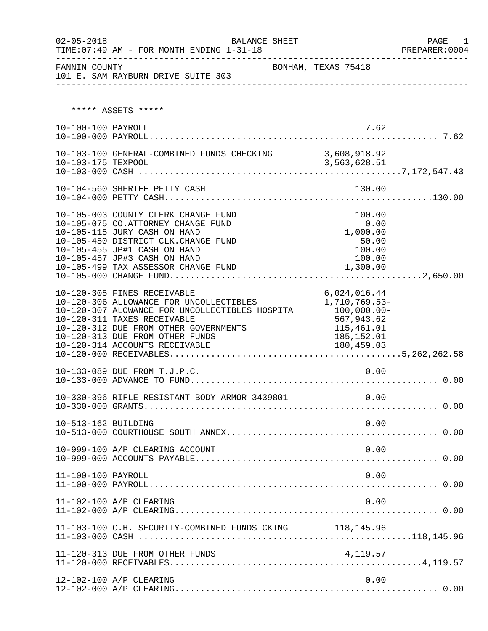| $02 - 05 - 2018$    | <b>BALANCE SHEET</b><br>TIME: 07:49 AM - FOR MONTH ENDING 1-31-18<br>---------------------------                                                                                                                                                                      |                                                                                                          | PAGE<br>Τ.<br>PREPARER: 0004 |
|---------------------|-----------------------------------------------------------------------------------------------------------------------------------------------------------------------------------------------------------------------------------------------------------------------|----------------------------------------------------------------------------------------------------------|------------------------------|
| FANNIN COUNTY       | 101 E. SAM RAYBURN DRIVE SUITE 303                                                                                                                                                                                                                                    | BONHAM, TEXAS 75418                                                                                      |                              |
|                     | ***** ASSETS *****                                                                                                                                                                                                                                                    |                                                                                                          |                              |
| 10-100-100 PAYROLL  |                                                                                                                                                                                                                                                                       |                                                                                                          | 7.62                         |
|                     | 10-103-100 GENERAL-COMBINED FUNDS CHECKING 3,608,918.92                                                                                                                                                                                                               |                                                                                                          |                              |
|                     | 10-104-560 SHERIFF PETTY CASH                                                                                                                                                                                                                                         | 130.00                                                                                                   |                              |
|                     | 10-105-003 COUNTY CLERK CHANGE FUND<br>10-105-075 CO.ATTORNEY CHANGE FUND<br>10-105-115 JURY CASH ON HAND<br>10-105-450 DISTRICT CLK.CHANGE FUND<br>10-105-455 JP#1 CASH ON HAND<br>10-105-457 JP#3 CASH ON HAND<br>10-105-499 TAX ASSESSOR CHANGE FUND               | 100.00<br>0.00<br>1,000.00<br>50.00<br>100.00<br>100.00<br>1,300.00                                      |                              |
|                     | 10-120-305 FINES RECEIVABLE<br>10-120-306 ALLOWANCE FOR UNCOLLECTIBLES<br>10-120-307 ALOWANCE FOR UNCOLLECTIBLES HOSPITA<br>10-120-311 TAXES RECEIVABLE<br>10-120-312 DUE FROM OTHER GOVERNMENTS<br>10-120-313 DUE FROM OTHER FUNDS<br>10-120-314 ACCOUNTS RECEIVABLE | 6,024,016.44<br>1,710,769.53-<br>$100,000.00 -$<br>567,943.62<br>115,461.01<br>185, 152.01<br>180,459.03 |                              |
|                     | 10-133-089 DUE FROM T.J.P.C.                                                                                                                                                                                                                                          |                                                                                                          | 0.00                         |
|                     | 10-330-396 RIFLE RESISTANT BODY ARMOR 3439801                                                                                                                                                                                                                         | 0.00                                                                                                     |                              |
| 10-513-162 BUILDING |                                                                                                                                                                                                                                                                       |                                                                                                          | 0.00                         |
|                     | 10-999-100 A/P CLEARING ACCOUNT                                                                                                                                                                                                                                       |                                                                                                          | 0.00                         |
| 11-100-100 PAYROLL  |                                                                                                                                                                                                                                                                       |                                                                                                          | 0.00                         |
|                     | 11-102-100 A/P CLEARING                                                                                                                                                                                                                                               |                                                                                                          | 0.00                         |
|                     | 11-103-100 C.H. SECURITY-COMBINED FUNDS CKING 118,145.96                                                                                                                                                                                                              |                                                                                                          |                              |
|                     | 11-120-313 DUE FROM OTHER FUNDS                                                                                                                                                                                                                                       |                                                                                                          |                              |
|                     | 12-102-100 A/P CLEARING                                                                                                                                                                                                                                               |                                                                                                          | 0.00                         |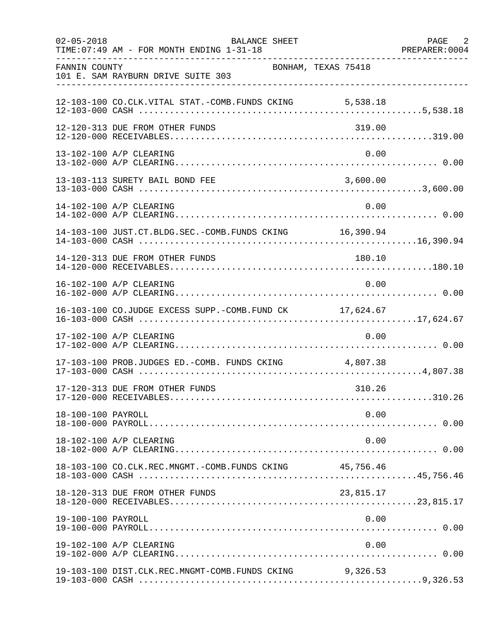| $02 - 05 - 2018$   | BALANCE SHEET<br>TIME: 07:49 AM - FOR MONTH ENDING 1-31-18 |                     | PAGE 2 |
|--------------------|------------------------------------------------------------|---------------------|--------|
| FANNIN COUNTY      | 101 E. SAM RAYBURN DRIVE SUITE 303                         | BONHAM, TEXAS 75418 |        |
|                    | 12-103-100 CO.CLK.VITAL STAT.-COMB.FUNDS CKING 5,538.18    |                     |        |
|                    | 12-120-313 DUE FROM OTHER FUNDS                            | 319.00              |        |
|                    | 13-102-100 A/P CLEARING                                    | 0.00                |        |
|                    | 13-103-113 SURETY BAIL BOND FEE                            | 3,600.00            |        |
|                    | 14-102-100 A/P CLEARING                                    | 0.00                |        |
|                    | 14-103-100 JUST.CT.BLDG.SEC.-COMB.FUNDS CKING 16,390.94    |                     |        |
|                    | 14-120-313 DUE FROM OTHER FUNDS                            | 180.10              |        |
|                    | 16-102-100 A/P CLEARING                                    | 0.00                |        |
|                    | 16-103-100 CO.JUDGE EXCESS SUPP.-COMB.FUND CK 17,624.67    |                     |        |
|                    | 17-102-100 A/P CLEARING                                    | 0.00                |        |
|                    | 17-103-100 PROB.JUDGES ED.-COMB. FUNDS CKING 4,807.38      |                     |        |
|                    | 17-120-313 DUE FROM OTHER FUNDS                            | 310.26              |        |
| 18-100-100 PAYROLL |                                                            | 0.00                |        |
|                    | 18-102-100 A/P CLEARING                                    | 0.00                |        |
|                    | 18-103-100 CO.CLK.REC.MNGMT.-COMB.FUNDS CKING 45,756.46    |                     |        |
|                    | 18-120-313 DUE FROM OTHER FUNDS                            | 23,815.17           |        |
| 19-100-100 PAYROLL |                                                            | 0.00                |        |
|                    | 19-102-100 A/P CLEARING                                    | 0.00                |        |
|                    | 19-103-100 DIST.CLK.REC.MNGMT-COMB.FUNDS CKING             | 9,326.53            |        |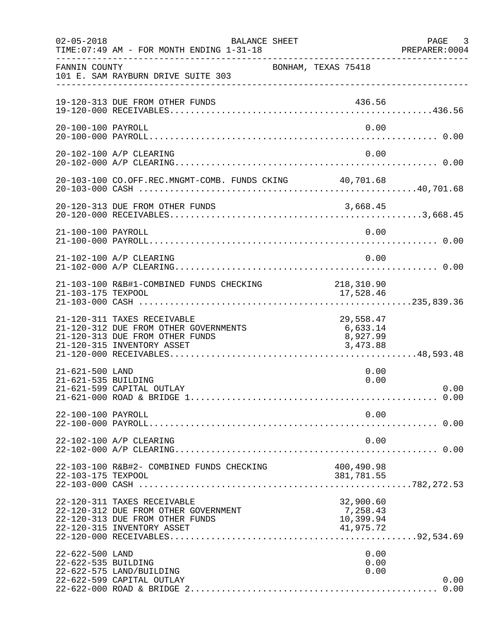| $02 - 05 - 2018$                       | <b>BALANCE SHEET</b><br>TIME: 07:49 AM - FOR MONTH ENDING 1-31-18                                                                     |                                                 | PAGE 3<br>PREPARER:0004 |
|----------------------------------------|---------------------------------------------------------------------------------------------------------------------------------------|-------------------------------------------------|-------------------------|
| FANNIN COUNTY                          | BONHAM, TEXAS 75418<br>101 E. SAM RAYBURN DRIVE SUITE 303                                                                             |                                                 |                         |
|                                        | 19-120-313 DUE FROM OTHER FUNDS                                                                                                       | 436.56                                          |                         |
| 20-100-100 PAYROLL                     |                                                                                                                                       | 0.00                                            |                         |
|                                        | 20-102-100 A/P CLEARING                                                                                                               | 0.00                                            |                         |
|                                        | 20-103-100 CO.OFF.REC.MNGMT-COMB. FUNDS CKING 40,701.68                                                                               |                                                 |                         |
|                                        | 20-120-313 DUE FROM OTHER FUNDS                                                                                                       |                                                 |                         |
| 21-100-100 PAYROLL                     |                                                                                                                                       | 0.00                                            |                         |
|                                        | 21-102-100 A/P CLEARING                                                                                                               | 0.00                                            |                         |
| 21-103-175 TEXPOOL                     | 21-103-100 R&B#1-COMBINED FUNDS CHECKING                                                                                              | 218, 310.90<br>17,528.46                        |                         |
|                                        | 21-120-311 TAXES RECEIVABLE<br>21-120-312 DUE FROM OTHER GOVERNMENTS<br>21-120-313 DUE FROM OTHER FUNDS<br>21-120-315 INVENTORY ASSET | 29,558.47<br>6,633.14<br>8,927.99<br>3,473.88   |                         |
| 21-621-500 LAND<br>21-621-535 BUILDING | 21-621-599 CAPITAL OUTLAY                                                                                                             | 0.00<br>0.00                                    | 0.00                    |
| 22-100-100 PAYROLL                     |                                                                                                                                       | 0.00                                            |                         |
|                                        | 22-102-100 A/P CLEARING                                                                                                               | 0.00                                            |                         |
| 22-103-175 TEXPOOL                     | 22-103-100 R&B#2- COMBINED FUNDS CHECKING                                                                                             | 400,490.98<br>381,781.55                        |                         |
|                                        | 22-120-311 TAXES RECEIVABLE<br>22-120-312 DUE FROM OTHER GOVERNMENT<br>22-120-313 DUE FROM OTHER FUNDS<br>22-120-315 INVENTORY ASSET  | 32,900.60<br>7,258.43<br>10,399.94<br>41,975.72 |                         |
| 22-622-500 LAND<br>22-622-535 BUILDING | 22-622-575 LAND/BUILDING<br>22-622-599 CAPITAL OUTLAY                                                                                 | 0.00<br>0.00<br>0.00                            | 0.00<br>0.00            |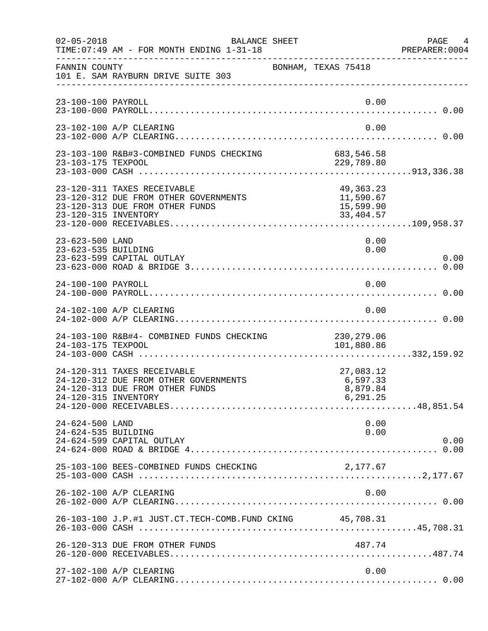| $02 - 05 - 2018$                       | BALANCE SHEET<br>TIME: 07:49 AM - FOR MONTH ENDING 1-31-18                                              |                                                    | PAGE<br>4<br>PREPARER: 0004 |
|----------------------------------------|---------------------------------------------------------------------------------------------------------|----------------------------------------------------|-----------------------------|
| FANNIN COUNTY                          | 101 E. SAM RAYBURN DRIVE SUITE 303                                                                      | BONHAM, TEXAS 75418                                |                             |
| 23-100-100 PAYROLL                     |                                                                                                         |                                                    | 0.00                        |
|                                        | 23-102-100 A/P CLEARING                                                                                 |                                                    | 0.00                        |
| 23-103-175 TEXPOOL                     | 23-103-100 R&B#3-COMBINED FUNDS CHECKING                                                                | 683,546.58<br>229,789.80                           |                             |
| 23-120-315 INVENTORY                   | 23-120-311 TAXES RECEIVABLE<br>23-120-312 DUE FROM OTHER GOVERNMENTS<br>23-120-313 DUE FROM OTHER FUNDS | 49, 363. 23<br>11,590.67<br>15,599.90<br>33,404.57 |                             |
| 23-623-500 LAND<br>23-623-535 BUILDING | 23-623-599 CAPITAL OUTLAY                                                                               |                                                    | 0.00<br>0.00<br>0.00        |
| 24-100-100 PAYROLL                     |                                                                                                         |                                                    | 0.00                        |
|                                        | 24-102-100 A/P CLEARING                                                                                 |                                                    | 0.00                        |
| 24-103-175 TEXPOOL                     | 24-103-100 R&B#4- COMBINED FUNDS CHECKING                                                               | 230,279.06<br>101,880.86                           |                             |
| 24-120-315 INVENTORY                   | 24-120-311 TAXES RECEIVABLE<br>24-120-312 DUE FROM OTHER GOVERNMENTS<br>24-120-313 DUE FROM OTHER FUNDS | 27,083.12<br>6,597.33<br>8,879.84<br>6,291.25      |                             |
| 24-624-500 LAND<br>24-624-535 BUILDING | 24-624-599 CAPITAL OUTLAY                                                                               |                                                    | 0.00<br>0.00<br>0.00        |
|                                        | 25-103-100 BEES-COMBINED FUNDS CHECKING                                                                 | 2,177.67                                           |                             |
|                                        | 26-102-100 A/P CLEARING                                                                                 |                                                    | 0.00                        |
|                                        | 26-103-100 J.P.#1 JUST.CT.TECH-COMB.FUND CKING 45,708.31                                                |                                                    |                             |
|                                        | 26-120-313 DUE FROM OTHER FUNDS                                                                         | 487.74                                             |                             |
|                                        | 27-102-100 A/P CLEARING                                                                                 |                                                    | 0.00                        |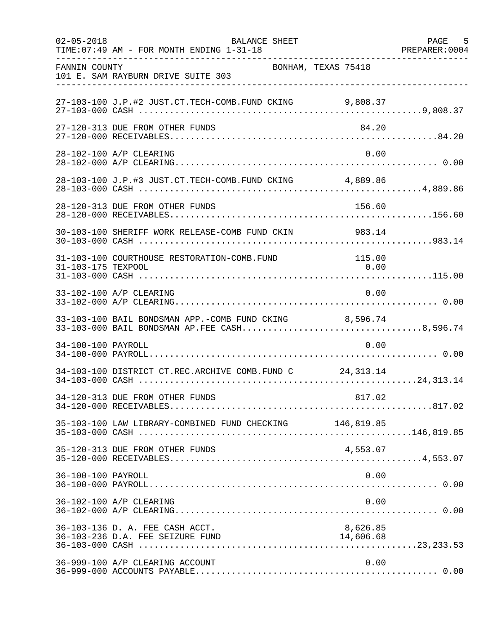| $02 - 05 - 2018$   | <b>BALANCE SHEET</b><br>TIME: 07:49 AM - FOR MONTH ENDING 1-31-18                                      |                       | 5<br>PAGE<br>PREPARER: 0004 |
|--------------------|--------------------------------------------------------------------------------------------------------|-----------------------|-----------------------------|
| FANNIN COUNTY      | BONHAM, TEXAS 75418<br>101 E. SAM RAYBURN DRIVE SUITE 303                                              |                       |                             |
|                    | 27-103-100 J.P.#2 JUST.CT.TECH-COMB.FUND CKING 9,808.37                                                |                       |                             |
|                    | 27-120-313 DUE FROM OTHER FUNDS                                                                        | 84.20                 |                             |
|                    | 28-102-100 A/P CLEARING                                                                                | 0.00                  |                             |
|                    | 28-103-100 J.P.#3 JUST.CT.TECH-COMB.FUND CKING 4,889.86                                                |                       |                             |
|                    | 28-120-313 DUE FROM OTHER FUNDS                                                                        | 156.60                |                             |
|                    | 30-103-100 SHERIFF WORK RELEASE-COMB FUND CKIN                                                         | 983.14                |                             |
| 31-103-175 TEXPOOL | 31-103-100 COURTHOUSE RESTORATION-COMB.FUND                                                            | 115.00<br>0.00        |                             |
|                    | 33-102-100 A/P CLEARING                                                                                | 0.00                  |                             |
|                    | 33-103-100 BAIL BONDSMAN APP.-COMB FUND CKING 8,596.74<br>33-103-000 BAIL BONDSMAN AP.FEE CASH8,596.74 |                       |                             |
| 34-100-100 PAYROLL |                                                                                                        | 0.00                  |                             |
|                    | 34-103-100 DISTRICT CT.REC.ARCHIVE COMB.FUND C 24,313.14                                               |                       |                             |
|                    | 34-120-313 DUE FROM OTHER FUNDS                                                                        | 817.02                |                             |
|                    | 35-103-100 LAW LIBRARY-COMBINED FUND CHECKING 146,819.85                                               |                       |                             |
|                    | 35-120-313 DUE FROM OTHER FUNDS                                                                        | 4,553.07              |                             |
| 36-100-100 PAYROLL |                                                                                                        | 0.00                  |                             |
|                    | 36-102-100 A/P CLEARING                                                                                | 0.00                  |                             |
|                    | 36-103-136 D. A. FEE CASH ACCT.<br>36-103-236 D.A. FEE SEIZURE FUND                                    | 8,626.85<br>14,606.68 |                             |
|                    | 36-999-100 A/P CLEARING ACCOUNT                                                                        | 0.00                  |                             |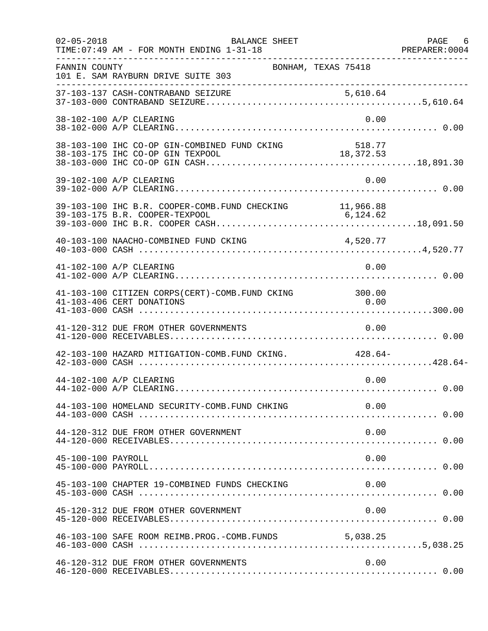| $02 - 05 - 2018$   | BALANCE SHEET<br>TIME: 07:49 AM - FOR MONTH ENDING 1-31-18<br>. _ _ _ _ _ _ _ _ _ _ _ _ _ _ _ |                       | PAGE 6 |
|--------------------|-----------------------------------------------------------------------------------------------|-----------------------|--------|
| FANNIN COUNTY      | BONHAM, TEXAS 75418<br>101 E. SAM RAYBURN DRIVE SUITE 303                                     |                       |        |
|                    | 37-103-137 CASH-CONTRABAND SEIZURE                                                            |                       |        |
|                    | 38-102-100 A/P CLEARING                                                                       | 0.00                  |        |
|                    | 38-103-100 IHC CO-OP GIN-COMBINED FUND CKING<br>38-103-175 IHC CO-OP GIN TEXPOOL              | 518.77<br>18, 372. 53 |        |
|                    | 39-102-100 A/P CLEARING                                                                       | 0.00                  |        |
|                    | 39-103-100 IHC B.R. COOPER-COMB. FUND CHECKING 11,966.88                                      |                       |        |
|                    |                                                                                               |                       |        |
|                    | 41-102-100 A/P CLEARING                                                                       | 0.00                  |        |
|                    | 41-103-100 CITIZEN CORPS(CERT)-COMB. FUND CKING 300.00<br>41-103-406 CERT DONATIONS           | 0.00                  |        |
|                    | 41-120-312 DUE FROM OTHER GOVERNMENTS                                                         | 0.00                  |        |
|                    | 42-103-100 HAZARD MITIGATION-COMB. FUND CKING. 428.64-                                        |                       |        |
|                    | 44-102-100 A/P CLEARING                                                                       | 0.00                  |        |
|                    | 44-103-100 HOMELAND SECURITY-COMB.FUND CHKING                                                 | 0.00                  |        |
|                    | 44-120-312 DUE FROM OTHER GOVERNMENT                                                          | 0.00                  |        |
| 45-100-100 PAYROLL |                                                                                               | 0.00                  |        |
|                    | 45-103-100 CHAPTER 19-COMBINED FUNDS CHECKING                                                 | 0.00                  |        |
|                    | 45-120-312 DUE FROM OTHER GOVERNMENT                                                          | 0.00                  |        |
|                    | 46-103-100 SAFE ROOM REIMB. PROG. - COMB. FUNDS 5,038.25                                      |                       |        |
|                    | 46-120-312 DUE FROM OTHER GOVERNMENTS                                                         | 0.00                  |        |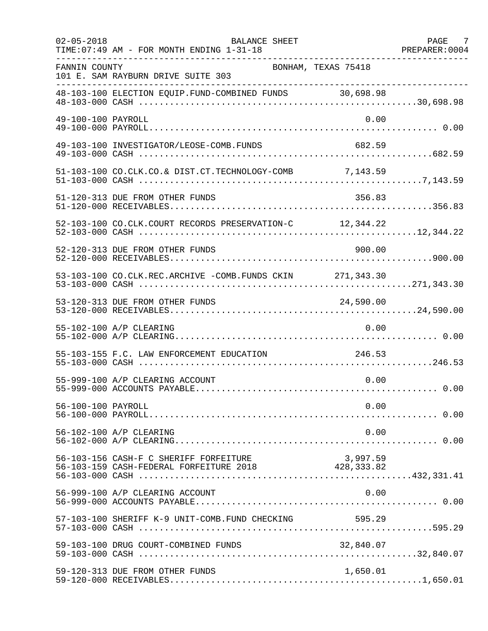| $02 - 05 - 2018$   | <b>BALANCE SHEET</b><br>TIME: 07:49 AM - FOR MONTH ENDING 1-31-18                            |           | PAGE 7<br>PREPARER: 0004 |
|--------------------|----------------------------------------------------------------------------------------------|-----------|--------------------------|
| FANNIN COUNTY      | BONHAM, TEXAS 75418<br>101 E. SAM RAYBURN DRIVE SUITE 303                                    |           |                          |
|                    | 48-103-100 ELECTION EQUIP.FUND-COMBINED FUNDS 30,698.98                                      |           |                          |
| 49-100-100 PAYROLL |                                                                                              | 0.00      |                          |
|                    | 49-103-100 INVESTIGATOR/LEOSE-COMB.FUNDS                                                     | 682.59    |                          |
|                    | 51-103-100 CO.CLK.CO.& DIST.CT.TECHNOLOGY-COMB 7,143.59                                      |           |                          |
|                    | 51-120-313 DUE FROM OTHER FUNDS                                                              | 356.83    |                          |
|                    | 52-103-100 CO.CLK.COURT RECORDS PRESERVATION-C 12,344.22                                     |           |                          |
|                    | 52-120-313 DUE FROM OTHER FUNDS                                                              | 900.00    |                          |
|                    | 53-103-100 CO.CLK.REC.ARCHIVE -COMB.FUNDS CKIN 271,343.30                                    |           |                          |
|                    |                                                                                              |           |                          |
|                    | 55-102-100 A/P CLEARING                                                                      | 0.00      |                          |
|                    | 55-103-155 F.C. LAW ENFORCEMENT EDUCATION                                                    | 246.53    |                          |
|                    | 55-999-100 A/P CLEARING ACCOUNT                                                              | 0.00      |                          |
| 56-100-100 PAYROLL |                                                                                              | 0.00      |                          |
|                    | 56-102-100 A/P CLEARING                                                                      | 0.00      |                          |
|                    | 56-103-156 CASH-F C SHERIFF FORFEITURE<br>56-103-159 CASH-FEDERAL FORFEITURE 2018 428,333.82 | 3,997.59  |                          |
|                    | 56-999-100 A/P CLEARING ACCOUNT                                                              | 0.00      |                          |
|                    | 57-103-100 SHERIFF K-9 UNIT-COMB.FUND CHECKING 595.29                                        |           |                          |
|                    | 59-103-100 DRUG COURT-COMBINED FUNDS                                                         | 32,840.07 |                          |
|                    | 59-120-313 DUE FROM OTHER FUNDS                                                              | 1,650.01  |                          |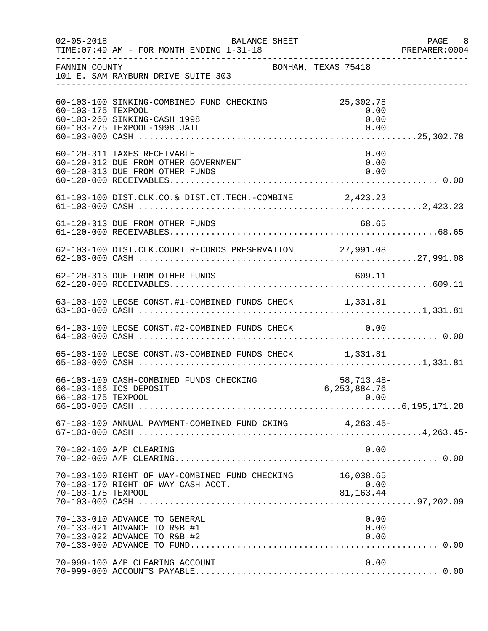| $02 - 05 - 2018$   | BALANCE SHEET<br>TIME: 07:49 AM - FOR MONTH ENDING 1-31-18                                                |                                           | PAGE 8<br>PREPARER:0004 |
|--------------------|-----------------------------------------------------------------------------------------------------------|-------------------------------------------|-------------------------|
| FANNIN COUNTY      | BONHAM, TEXAS 75418<br>101 E. SAM RAYBURN DRIVE SUITE 303                                                 |                                           |                         |
| 60-103-175 TEXPOOL | 60-103-100 SINKING-COMBINED FUND CHECKING<br>60-103-260 SINKING-CASH 1998<br>60-103-275 TEXPOOL-1998 JAIL | 25,302.78<br>0.00<br>0.00<br>0.00         |                         |
|                    | 60-120-311 TAXES RECEIVABLE<br>60-120-312 DUE FROM OTHER GOVERNMENT<br>60-120-313 DUE FROM OTHER FUNDS    | 0.00<br>0.00<br>0.00                      |                         |
|                    | 61-103-100 DIST.CLK.CO.& DIST.CT.TECH.-COMBINE 2,423.23                                                   |                                           |                         |
|                    | 61-120-313 DUE FROM OTHER FUNDS                                                                           | 68.65                                     |                         |
|                    | 62-103-100 DIST.CLK.COURT RECORDS PRESERVATION 27,991.08                                                  |                                           |                         |
|                    | 62-120-313 DUE FROM OTHER FUNDS                                                                           | 609.11                                    |                         |
|                    | 63-103-100 LEOSE CONST.#1-COMBINED FUNDS CHECK 1,331.81                                                   |                                           |                         |
|                    | 64-103-100 LEOSE CONST.#2-COMBINED FUNDS CHECK 0.00                                                       |                                           |                         |
|                    | 65-103-100 LEOSE CONST.#3-COMBINED FUNDS CHECK 1,331.81                                                   |                                           |                         |
| 66-103-175 TEXPOOL | 66-103-100 CASH-COMBINED FUNDS CHECKING<br>66-103-166 ICS DEPOSIT                                         | $58, 713.48 -$<br>6, 253, 884. 76<br>0.00 |                         |
|                    | 67-103-100 ANNUAL PAYMENT-COMBINED FUND CKING 4,263.45-                                                   |                                           |                         |
|                    | 70-102-100 A/P CLEARING                                                                                   | 0.00                                      |                         |
| 70-103-175 TEXPOOL | 70-103-100 RIGHT OF WAY-COMBINED FUND CHECKING<br>70-103-170 RIGHT OF WAY CASH ACCT.                      | 16,038.65<br>$0.00$<br>0.00<br>81 100     |                         |
|                    | 70-133-010 ADVANCE TO GENERAL<br>70-133-021 ADVANCE TO R&B #1<br>70-133-022 ADVANCE TO R&B #2             | 0.00<br>0.00<br>0.00                      |                         |
|                    | 70-999-100 A/P CLEARING ACCOUNT                                                                           | 0.00                                      |                         |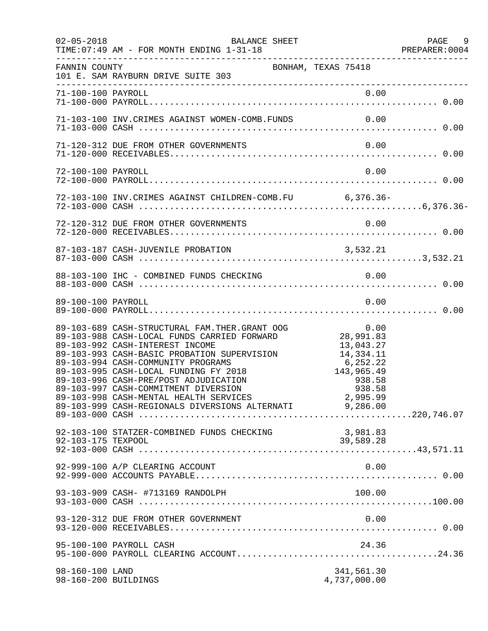| $02 - 05 - 2018$                        | BALANCE SHEET<br>TIME: 07:49 AM - FOR MONTH ENDING 1-31-18                                                                                                                                                                                                                                                                                                                                                                                                                                                    |                                                                                     | PAGE 9<br>PREPARER: 0004 |
|-----------------------------------------|---------------------------------------------------------------------------------------------------------------------------------------------------------------------------------------------------------------------------------------------------------------------------------------------------------------------------------------------------------------------------------------------------------------------------------------------------------------------------------------------------------------|-------------------------------------------------------------------------------------|--------------------------|
| FANNIN COUNTY                           | BONHAM, TEXAS 75418<br>101 E. SAM RAYBURN DRIVE SUITE 303                                                                                                                                                                                                                                                                                                                                                                                                                                                     |                                                                                     |                          |
|                                         |                                                                                                                                                                                                                                                                                                                                                                                                                                                                                                               |                                                                                     |                          |
|                                         | 71-103-100 INV. CRIMES AGAINST WOMEN-COMB. FUNDS 0.00                                                                                                                                                                                                                                                                                                                                                                                                                                                         |                                                                                     |                          |
|                                         | 71-120-312 DUE FROM OTHER GOVERNMENTS                                                                                                                                                                                                                                                                                                                                                                                                                                                                         | 0.00                                                                                |                          |
| 72-100-100 PAYROLL                      |                                                                                                                                                                                                                                                                                                                                                                                                                                                                                                               | 0.00                                                                                |                          |
|                                         | 72-103-100 INV. CRIMES AGAINST CHILDREN-COMB. FU 6,376.36-                                                                                                                                                                                                                                                                                                                                                                                                                                                    |                                                                                     |                          |
|                                         | 72-120-312 DUE FROM OTHER GOVERNMENTS                                                                                                                                                                                                                                                                                                                                                                                                                                                                         | 0.00                                                                                |                          |
|                                         |                                                                                                                                                                                                                                                                                                                                                                                                                                                                                                               |                                                                                     |                          |
|                                         | 88-103-100 IHC - COMBINED FUNDS CHECKING                                                                                                                                                                                                                                                                                                                                                                                                                                                                      | 0.00                                                                                |                          |
| 89-100-100 PAYROLL                      |                                                                                                                                                                                                                                                                                                                                                                                                                                                                                                               | 0.00                                                                                |                          |
|                                         | 89-103-689 CASH-STRUCTURAL FAM.THER.GRANT OOG<br>89-103-988 CASH-LOCAL FUNDS CARRIED FORWARD<br>89-103-992 CASH-INTEREST INCOME 13,043.27<br>89-103-993 CASH-BASIC PROBATION SUPERVISION 14,334.11<br>89-103-994 CASH-COMMUNITY PROGRAMS<br>89-103-994 CASH-COMMONITI PROGRAMS<br>89-103-995 CASH-LOCAL FUNDING FY 2018<br>89-103-996 CASH-PRE/POST ADJUDICATION<br>89-103-997 CASH-COMMITMENT DIVERSION<br>89-103-998 CASH-MENTAL HEALTH SERVICES<br>89-103-999 CASH-REGIONALS DIVERSIONS ALTERNATI 9,286.00 | 0.00<br>0.00<br>28,991.83<br>6,252.22<br>143,965.49<br>938.58<br>938.58<br>2,995.99 |                          |
| 92-103-175 TEXPOOL                      | 92-103-100 STATZER-COMBINED FUNDS CHECKING                                                                                                                                                                                                                                                                                                                                                                                                                                                                    | 3,981.83<br>39,589.28                                                               |                          |
|                                         | 92-999-100 A/P CLEARING ACCOUNT                                                                                                                                                                                                                                                                                                                                                                                                                                                                               | 0.00                                                                                |                          |
|                                         | 93-103-909 CASH- #713169 RANDOLPH                                                                                                                                                                                                                                                                                                                                                                                                                                                                             | 100.00                                                                              |                          |
|                                         | 93-120-312 DUE FROM OTHER GOVERNMENT                                                                                                                                                                                                                                                                                                                                                                                                                                                                          | 0.00                                                                                |                          |
|                                         | 95-100-100 PAYROLL CASH                                                                                                                                                                                                                                                                                                                                                                                                                                                                                       | 24.36                                                                               |                          |
| 98-160-100 LAND<br>98-160-200 BUILDINGS |                                                                                                                                                                                                                                                                                                                                                                                                                                                                                                               | 341,561.30<br>4,737,000.00                                                          |                          |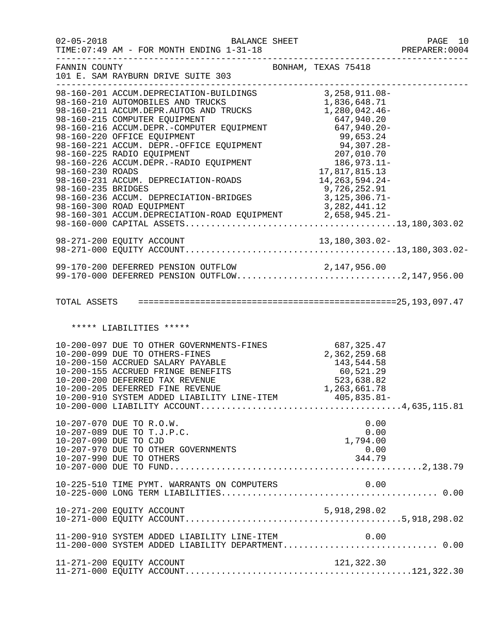| $02 - 05 - 2018$                       | BALANCE SHEET<br>1-31-18<br>TIME: 07:49 AM - FOR MONTH ENDING 1-31-18                                                                                                                                                                                                                                                                                                                                                                                                                                                                                                                                                                                                                                                                                                                                    |                                                                                                       | PAGE 10<br>PREPARER:0004 |
|----------------------------------------|----------------------------------------------------------------------------------------------------------------------------------------------------------------------------------------------------------------------------------------------------------------------------------------------------------------------------------------------------------------------------------------------------------------------------------------------------------------------------------------------------------------------------------------------------------------------------------------------------------------------------------------------------------------------------------------------------------------------------------------------------------------------------------------------------------|-------------------------------------------------------------------------------------------------------|--------------------------|
| FANNIN COUNTY                          | 101 E. SAM RAYBURN DRIVE SUITE 303                                                                                                                                                                                                                                                                                                                                                                                                                                                                                                                                                                                                                                                                                                                                                                       | BONHAM, TEXAS 75418                                                                                   | ______________________   |
| 98-160-230 ROADS<br>98-160-235 BRIDGES | 98-160-201 ACCUM.DEPRECIATION-BUILDINGS 3,258,911.08-<br>98-160-210 AUTOMOBILES AND TRUCKS 1,836,648.71<br>98-160-211 ACCUM.DEPR.AUTOS AND TRUCKS 1,280,042.46-<br>98-160-210 AUTOMOBILES AND TRUCKS<br>98-160-211 ACCUM.DEPR.AUTOS AND TRUCKS<br>20.160.11 GOVEITED DOUTINGTER<br>98-160-215 COMPUTER EQUIPMENT<br>98-160-215 COMPUTER EQUIPMENT<br>98-160-216 ACCUM.DEPR.-COMPUTER EQUIPMENT<br>98-160-220 OFFICE EQUIPMENT<br>98-160-221 ACCUM.DEPR.-OFFICE EQUIPMENT<br>99,653.24<br>99,653.24<br>99,653.24<br>99,653.24<br>99,653.24<br>99,653.24<br>99,653.24<br>9<br>98-160-231 ACCUM. DEPRECIATION-ROADS<br>98-160-233 BRIDGES<br>98-160-236 ACCUM. DEPRECIATION-BRIDGES<br>98-160-300 ROAD EQUIPMENT<br>98-160-300 ROAD EQUIPMENT<br>98-160-301 ACCUM.DEPRECIATION-ROAD EQUIPMENT 2,658,945.21- | 647,940.20<br>17,817,815.13<br>14, 263, 594. 24-<br>9,726,252.91<br>$3,125,306.71-$<br>3, 282, 441.12 |                          |
|                                        | 98-271-200 EQUITY ACCOUNT                                                                                                                                                                                                                                                                                                                                                                                                                                                                                                                                                                                                                                                                                                                                                                                |                                                                                                       |                          |
|                                        | 99-170-200 DEFERRED PENSION OUTFLOW 2,147,956.00<br>99-170-000 DEFERRED PENSION OUTFLOW2,147,956.00                                                                                                                                                                                                                                                                                                                                                                                                                                                                                                                                                                                                                                                                                                      |                                                                                                       |                          |
|                                        |                                                                                                                                                                                                                                                                                                                                                                                                                                                                                                                                                                                                                                                                                                                                                                                                          |                                                                                                       |                          |
|                                        | ***** LIABILITIES *****                                                                                                                                                                                                                                                                                                                                                                                                                                                                                                                                                                                                                                                                                                                                                                                  |                                                                                                       |                          |
|                                        | 10-200-097 DUE TO OTHER GOVERNMENTS-FINES 687,325.47<br>10-200-099 DUE TO OTHERS-FINES 2,362,259.68<br>10-200-150 ACCRUED SALARY PAYABLE 2,362,259.68<br>10-200-155 ACCRUED FRINGE BENEFITS 60,521.29<br>10-200-200 DEFERRED TAX REVEN                                                                                                                                                                                                                                                                                                                                                                                                                                                                                                                                                                   |                                                                                                       |                          |
| 10-207-090 DUE TO CJD                  | 10-207-070 DUE TO R.O.W.<br>10-207-089 DUE TO T.J.P.C.<br>10-207-970 DUE TO OTHER GOVERNMENTS<br>10-207-990 DUE TO OTHERS                                                                                                                                                                                                                                                                                                                                                                                                                                                                                                                                                                                                                                                                                | 0.00<br>0.00<br>1,794.00<br>0.00<br>344.79                                                            |                          |
|                                        | 10-225-510 TIME PYMT. WARRANTS ON COMPUTERS                                                                                                                                                                                                                                                                                                                                                                                                                                                                                                                                                                                                                                                                                                                                                              | 0.00                                                                                                  |                          |
|                                        |                                                                                                                                                                                                                                                                                                                                                                                                                                                                                                                                                                                                                                                                                                                                                                                                          |                                                                                                       |                          |
|                                        | 11-200-910 SYSTEM ADDED LIABILITY LINE-ITEM $0.00$<br>11-200-000 SYSTEM ADDED LIABILITY DEPARTMENT0.00                                                                                                                                                                                                                                                                                                                                                                                                                                                                                                                                                                                                                                                                                                   |                                                                                                       |                          |
|                                        | 11-271-200 EQUITY ACCOUNT                                                                                                                                                                                                                                                                                                                                                                                                                                                                                                                                                                                                                                                                                                                                                                                | 121,322.30                                                                                            |                          |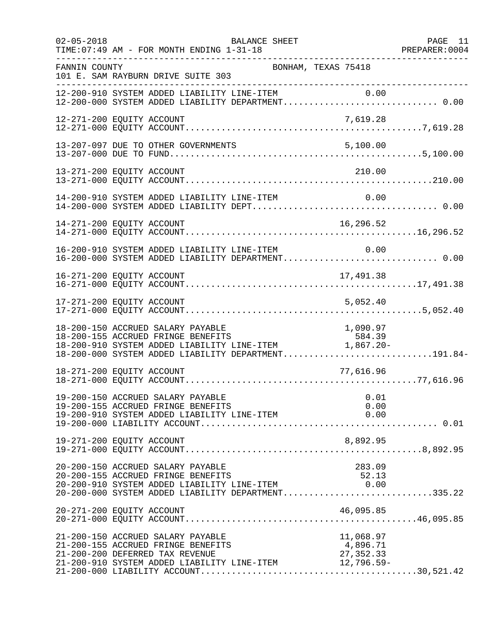| $02 - 05 - 2018$ | BALANCE SHEET<br>TIME: 07:49 AM - FOR MONTH ENDING 1-31-18                                                                                                                                                                    |                                    | PAGE 11<br>PREPARER: 0004 |
|------------------|-------------------------------------------------------------------------------------------------------------------------------------------------------------------------------------------------------------------------------|------------------------------------|---------------------------|
| FANNIN COUNTY    | 101 E. SAM RAYBURN DRIVE SUITE 303                                                                                                                                                                                            | BONHAM, TEXAS 75418                |                           |
|                  | 12-200-910 SYSTEM ADDED LIABILITY LINE-ITEM 0.00<br>12-200-000 SYSTEM ADDED LIABILITY DEPARTMENT 0.00                                                                                                                         |                                    |                           |
|                  | 12-271-200 EQUITY ACCOUNT                                                                                                                                                                                                     | 7,619.28                           |                           |
|                  | 13-207-097 DUE TO OTHER GOVERNMENTS                                                                                                                                                                                           | 5,100.00                           |                           |
|                  | 13-271-200 EQUITY ACCOUNT                                                                                                                                                                                                     | 210.00                             |                           |
|                  |                                                                                                                                                                                                                               | 0.00                               |                           |
|                  | 14-271-200 EQUITY ACCOUNT                                                                                                                                                                                                     |                                    |                           |
|                  | 16-200-910 SYSTEM ADDED LIABILITY LINE-ITEM<br>16-200-000 SYSTEM ADDED LIABILITY DEPARTMENT 0.00                                                                                                                              | 0.00                               |                           |
|                  | 16-271-200 EQUITY ACCOUNT                                                                                                                                                                                                     | 17,491.38                          |                           |
|                  | 17-271-200 EQUITY ACCOUNT                                                                                                                                                                                                     | 5,052.40                           |                           |
|                  | 18-200-150 ACCRUED SALARY PAYABLE<br>18-200-155 ACCRUED FRINGE BENEFITS<br>18-200-133 ACCROED FRINGE BENEFILS<br>18-200-910 SYSTEM ADDED LIABILITY LINE-ITEM 1,867.20-<br>18-200-000 SYSTEM ADDED LIABILITY DEPARTMENT191.84- | 1,090.97<br>584.39                 |                           |
|                  | 18-271-200 EQUITY ACCOUNT                                                                                                                                                                                                     | 77,616.96                          |                           |
|                  | 19-200-150 ACCRUED SALARY PAYABLE<br>19-200-155 ACCRUED FRINGE BENEFITS<br>19-200-910 SYSTEM ADDED LIABILITY LINE-ITEM                                                                                                        | 0.01<br>0.00<br>0.00               |                           |
|                  | 19-271-200 EQUITY ACCOUNT                                                                                                                                                                                                     | 8,892.95                           |                           |
|                  | 20-200-150 ACCRUED SALARY PAYABLE<br>$20-200-910$ SYSTEM ADDED LIABILITY LINE-ITEM 0.00<br>20-200-000 SYSTEM ADDED LIABILITY LINE-ITEM 0.00<br>20-200-000 SYSTEM ADDED LIABILITY DEPARTMENT335.22                             | 283.09                             |                           |
|                  | 20-271-200 EQUITY ACCOUNT                                                                                                                                                                                                     | 46,095.85                          |                           |
|                  | 21-200-150 ACCRUED SALARY PAYABLE<br>21-200-155 ACCRUED FRINGE BENEFITS<br>21-200-200 DEFERRED TAX REVENUE<br>21-200-910 SYSTEM ADDED LIABILITY LINE-ITEM 12,796.59-                                                          | 11,068.97<br>4,896.71<br>27,352.33 |                           |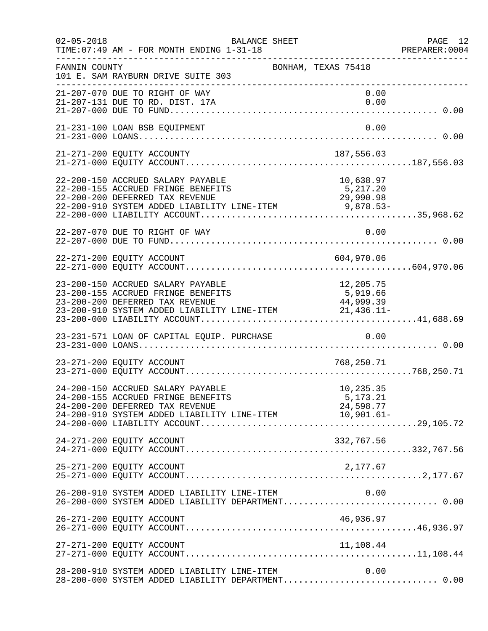| $02 - 05 - 2018$ | BALANCE SHEET<br>TIME: 07:49 AM - FOR MONTH ENDING 1-31-18                                                                                                                                                                   |                                                          | PAGE 12<br>PREPARER: 0004 |
|------------------|------------------------------------------------------------------------------------------------------------------------------------------------------------------------------------------------------------------------------|----------------------------------------------------------|---------------------------|
| FANNIN COUNTY    | 101 E. SAM RAYBURN DRIVE SUITE 303                                                                                                                                                                                           | BONHAM, TEXAS 75418                                      |                           |
|                  | 21-207-070 DUE TO RIGHT OF WAY<br>21-207-131 DUE TO RD. DIST. 17A                                                                                                                                                            | 0.00<br>0.00                                             |                           |
|                  | 21-231-100 LOAN BSB EQUIPMENT                                                                                                                                                                                                | 0.00                                                     |                           |
|                  | 21-271-200 EQUITY ACCOUNTY                                                                                                                                                                                                   | 187,556.03                                               |                           |
|                  | 22-200-150 ACCRUED SALARY PAYABLE<br>22-200-155 ACCRUED FRINGE BENEFITS<br>22-200-200 DEFERRED TAX REVENUE<br>$22-200-200$ Defersion in Network LINE-ITEM 9,878.53-<br>22-200-910 SYSTEM ADDED LIABILITY LINE-ITEM 9,878.53- | 10,638.97<br>5,217.20<br>29,990.98                       |                           |
|                  | 22-207-070 DUE TO RIGHT OF WAY                                                                                                                                                                                               | 0.00                                                     |                           |
|                  | 22-271-200 EQUITY ACCOUNT                                                                                                                                                                                                    | 604,970.06                                               |                           |
|                  | 23-200-150 ACCRUED SALARY PAYABLE<br>23-200-155 ACCRUED FRINGE BENEFITS<br>23-200-200 DEFERRED TAX REVENUE<br>23-200-910 SYSTEM ADDED LIABILITY LINE-ITEM 21,436.11-                                                         | 12,205.75<br>5,919.66<br>5,919.66<br>44.000<br>44,999.39 |                           |
|                  | 23-231-571 LOAN OF CAPITAL EQUIP. PURCHASE                                                                                                                                                                                   | 0.00                                                     |                           |
|                  | 23-271-200 EQUITY ACCOUNT                                                                                                                                                                                                    | 768,250.71                                               |                           |
|                  | 24-200-150 ACCRUED SALARY PAYABLE<br>24-200-155 ACCRUED FRINGE BENEFITS<br>24-200-200 DEFERRED TAX REVENUE<br>24-200-910 SYSTEM ADDED LIABILITY LINE-ITEM 10,901.61-                                                         | 10,235.35<br>5, 173. 21<br>24,598.77                     |                           |
|                  | 24-271-200 EQUITY ACCOUNT                                                                                                                                                                                                    | 332,767.56                                               |                           |
|                  | 25-271-200 EQUITY ACCOUNT                                                                                                                                                                                                    | 2,177.67                                                 |                           |
|                  | 26-200-910 SYSTEM ADDED LIABILITY LINE-ITEM<br>26-200-000 SYSTEM ADDED LIABILITY DEPARTMENT 0.00                                                                                                                             | 0.00                                                     |                           |
|                  | 26-271-200 EQUITY ACCOUNT                                                                                                                                                                                                    | 46,936.97                                                |                           |
|                  | 27-271-200 EQUITY ACCOUNT                                                                                                                                                                                                    | 11,108.44                                                |                           |
|                  | 28-200-910 SYSTEM ADDED LIABILITY LINE-ITEM<br>28-200-000 SYSTEM ADDED LIABILITY DEPARTMENT 0.00                                                                                                                             | 0.00                                                     |                           |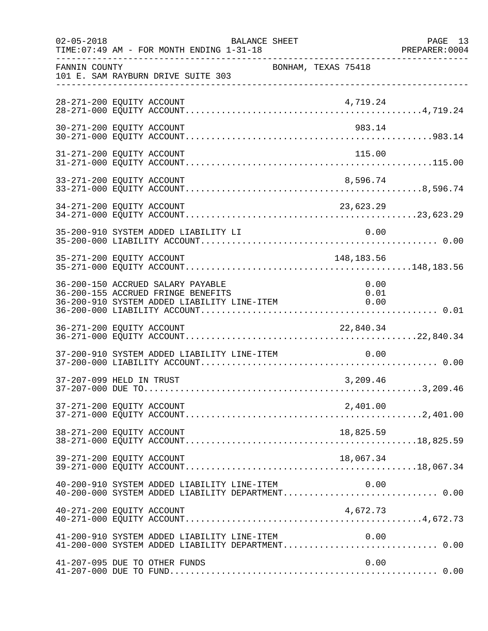| $02 - 05 - 2018$ | BALANCE SHEET<br>TIME: 07:49 AM - FOR MONTH ENDING 1-31-18                                                             | ------------------------------------ | PAGE 13<br>PREPARER: 0004 |
|------------------|------------------------------------------------------------------------------------------------------------------------|--------------------------------------|---------------------------|
| FANNIN COUNTY    | 101 E. SAM RAYBURN DRIVE SUITE 303                                                                                     | BONHAM, TEXAS 75418                  |                           |
|                  | 28-271-200 EQUITY ACCOUNT                                                                                              | 4,719.24                             |                           |
|                  | 30-271-200 EQUITY ACCOUNT                                                                                              | 983.14                               |                           |
|                  | 31-271-200 EQUITY ACCOUNT                                                                                              | 115.00                               |                           |
|                  | 33-271-200 EQUITY ACCOUNT                                                                                              | 8,596.74                             |                           |
|                  | 34-271-200 EQUITY ACCOUNT                                                                                              | 23,623.29                            |                           |
|                  | 35-200-910 SYSTEM ADDED LIABILITY LI                                                                                   | 0.00                                 |                           |
|                  | 35-271-200 EQUITY ACCOUNT                                                                                              | 148,183.56                           |                           |
|                  | 36-200-150 ACCRUED SALARY PAYABLE<br>36-200-155 ACCRUED FRINGE BENEFITS<br>36-200-910 SYSTEM ADDED LIABILITY LINE-ITEM | 0.00<br>0.01<br>0.00                 |                           |
|                  | 36-271-200 EQUITY ACCOUNT                                                                                              | 22,840.34                            |                           |
|                  | 37-200-910 SYSTEM ADDED LIABILITY LINE-ITEM                                                                            | 0.00                                 |                           |
|                  | 37-207-099 HELD IN TRUST                                                                                               | 3,209.46                             |                           |
|                  | 37-271-200 EQUITY ACCOUNT                                                                                              | 2,401.00                             |                           |
|                  | 38-271-200 EQUITY ACCOUNT                                                                                              | 18,825.59                            |                           |
|                  | 39-271-200 EQUITY ACCOUNT                                                                                              | 18,067.34                            |                           |
|                  | 40-200-910 SYSTEM ADDED LIABILITY LINE-ITEM<br>40-200-000 SYSTEM ADDED LIABILITY DEPARTMENT 0.00                       | 0.00                                 |                           |
|                  | 40-271-200 EQUITY ACCOUNT                                                                                              | 4,672.73                             |                           |
|                  | 41-200-910 SYSTEM ADDED LIABILITY LINE-ITEM $0.00$<br>41-200-000 SYSTEM ADDED LIABILITY DEPARTMENT0.00                 |                                      |                           |
|                  | 41-207-095 DUE TO OTHER FUNDS                                                                                          | 0.00                                 |                           |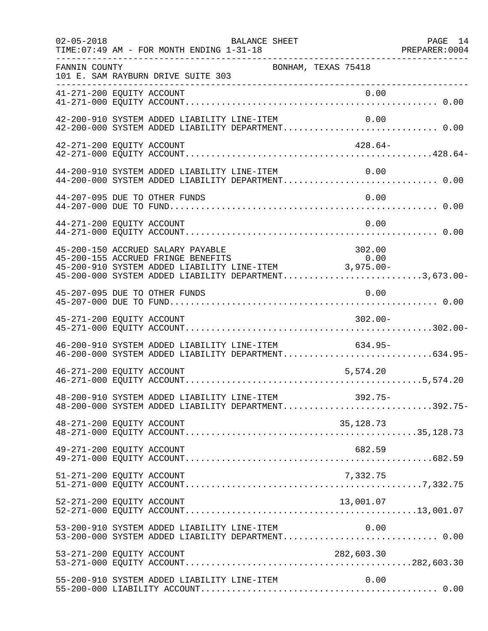| $02 - 05 - 2018$ | BALANCE SHEET<br>TIME: 07:49 AM - FOR MONTH ENDING 1-31-18                                                                                                                                                                                        | PAGE 14 |
|------------------|---------------------------------------------------------------------------------------------------------------------------------------------------------------------------------------------------------------------------------------------------|---------|
| FANNIN COUNTY    | BONHAM, TEXAS 75418<br>101 E. SAM RAYBURN DRIVE SUITE 303<br>__________________________________                                                                                                                                                   |         |
|                  |                                                                                                                                                                                                                                                   |         |
|                  | 42-200-910 SYSTEM ADDED LIABILITY LINE-ITEM<br>0.00                                                                                                                                                                                               |         |
|                  | 42-271-200 EQUITY ACCOUNT<br>$428.64-$                                                                                                                                                                                                            |         |
|                  | 44-200-910 SYSTEM ADDED LIABILITY LINE-ITEM<br>0.00<br>44-200-000 SYSTEM ADDED LIABILITY DEPARTMENT 0.00                                                                                                                                          |         |
|                  | 0.00<br>44-207-095 DUE TO OTHER FUNDS                                                                                                                                                                                                             |         |
|                  | 44-271-200 EQUITY ACCOUNT<br>0.00                                                                                                                                                                                                                 |         |
|                  | 45-200-150 ACCRUED SALARY PAYABLE<br>302.00<br>45-200-155 ACCRUED FRINGE BENEFITS<br>0.00<br>95-200-155 ACCROLD PRINGE BENEFITS<br>45-200-910 SYSTEM ADDED LIABILITY LINE-ITEM 3,975.00-<br>45-200-000 SYSTEM ADDED LIABILITY DEPARTMENT3,673.00- |         |
|                  | 0.00<br>45-207-095 DUE TO OTHER FUNDS                                                                                                                                                                                                             |         |
|                  | 45-271-200 EQUITY ACCOUNT<br>$302.00 -$                                                                                                                                                                                                           |         |
|                  | 46-200-910 SYSTEM ADDED LIABILITY LINE-ITEM<br>$634.95-$<br>46-200-000 SYSTEM ADDED LIABILITY DEPARTMENT634.95-                                                                                                                                   |         |
|                  | 46-271-200 EQUITY ACCOUNT<br>5,574.20                                                                                                                                                                                                             |         |
|                  | 48-200-910 SYSTEM ADDED LIABILITY LINE-ITEM<br>392.75-<br>48-200-000 SYSTEM ADDED LIABILITY DEPARTMENT392.75-                                                                                                                                     |         |
|                  | 35, 128. 73<br>48-271-200 EQUITY ACCOUNT                                                                                                                                                                                                          |         |
|                  | 49-271-200 EQUITY ACCOUNT<br>682.59                                                                                                                                                                                                               |         |
|                  | 51-271-200 EQUITY ACCOUNT<br>7,332.75                                                                                                                                                                                                             |         |
|                  | 52-271-200 EQUITY ACCOUNT<br>13,001.07                                                                                                                                                                                                            |         |
|                  | 53-200-910 SYSTEM ADDED LIABILITY LINE-ITEM 0.00<br>53-200-000 SYSTEM ADDED LIABILITY DEPARTMENT 0.00                                                                                                                                             |         |
|                  | 53-271-200 EQUITY ACCOUNT<br>282,603.30                                                                                                                                                                                                           |         |
|                  | 55-200-910 SYSTEM ADDED LIABILITY LINE-ITEM<br>0.00                                                                                                                                                                                               |         |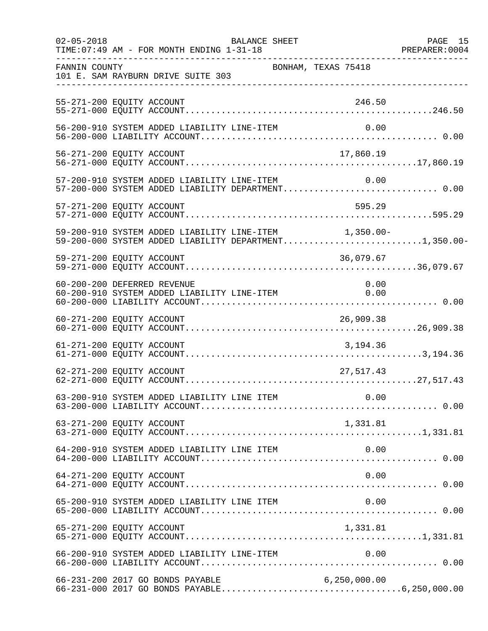| $02 - 05 - 2018$<br>__________________ | BALANCE SHEET<br>TIME: 07:49 AM - FOR MONTH ENDING 1-31-18                                                     |                     | PAGE 15<br>PREPARER: 0004 |
|----------------------------------------|----------------------------------------------------------------------------------------------------------------|---------------------|---------------------------|
| FANNIN COUNTY                          | 101 E. SAM RAYBURN DRIVE SUITE 303<br>____________________________________                                     | BONHAM, TEXAS 75418 |                           |
|                                        | 55-271-200 EQUITY ACCOUNT                                                                                      | 246.50              |                           |
|                                        | 56-200-910 SYSTEM ADDED LIABILITY LINE-ITEM                                                                    | 0.00                |                           |
|                                        | 56-271-200 EQUITY ACCOUNT                                                                                      | 17,860.19           |                           |
|                                        | 57-200-910 SYSTEM ADDED LIABILITY LINE-ITEM 0.00<br>57-200-000 SYSTEM ADDED LIABILITY DEPARTMENT 0.00          |                     |                           |
|                                        | 57-271-200 EQUITY ACCOUNT                                                                                      | 595.29              |                           |
|                                        | 59-200-910 SYSTEM ADDED LIABILITY LINE-ITEM 1,350.00-<br>59-200-000 SYSTEM ADDED LIABILITY DEPARTMENT1,350.00- |                     |                           |
|                                        | 59-271-200 EQUITY ACCOUNT                                                                                      | 36,079.67           |                           |
|                                        | 60-200-200 DEFERRED REVENUE                                                                                    | 0.00                |                           |
|                                        |                                                                                                                |                     |                           |
|                                        | 61-271-200 EQUITY ACCOUNT                                                                                      | 3,194.36            |                           |
|                                        | 62-271-200 EQUITY ACCOUNT                                                                                      | 27,517.43           |                           |
|                                        | 63-200-910 SYSTEM ADDED LIABILITY LINE ITEM 0.00                                                               |                     |                           |
|                                        | 63-271-200 EQUITY ACCOUNT                                                                                      | 1,331.81            |                           |
|                                        | 64-200-910 SYSTEM ADDED LIABILITY LINE ITEM                                                                    | 0.00                |                           |
|                                        | 64-271-200 EQUITY ACCOUNT                                                                                      | 0.00                |                           |
|                                        |                                                                                                                | 0.00                |                           |
|                                        | 65-271-200 EQUITY ACCOUNT                                                                                      | 1,331.81            |                           |
|                                        | 66-200-910 SYSTEM ADDED LIABILITY LINE-ITEM                                                                    | 0.00                |                           |
|                                        | 66-231-200 2017 GO BONDS PAYABLE                                                                               | 6, 250, 000.00      |                           |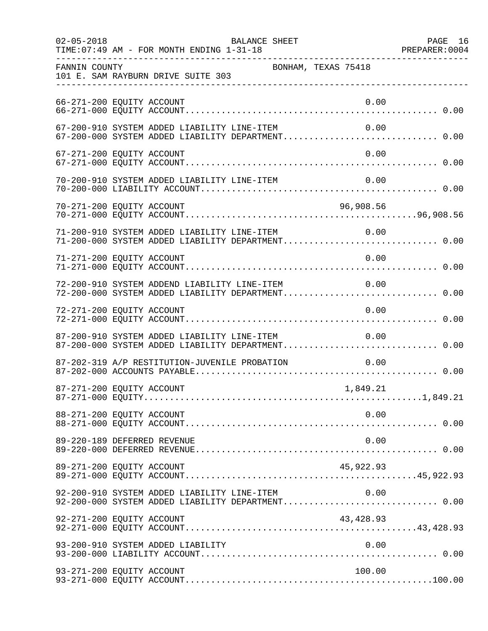| $02 - 05 - 2018$ | BALANCE SHEET<br>TIME: 07:49 AM - FOR MONTH ENDING 1-31-18                                                 | PAGE 16 |
|------------------|------------------------------------------------------------------------------------------------------------|---------|
| FANNIN COUNTY    | BONHAM, TEXAS 75418<br>101 E. SAM RAYBURN DRIVE SUITE 303                                                  |         |
|                  | 66-271-200 EQUITY ACCOUNT<br>0.00                                                                          |         |
|                  | 67-200-910 SYSTEM ADDED LIABILITY LINE-ITEM<br>0.00<br>67-200-000 SYSTEM ADDED LIABILITY DEPARTMENT 0.00   |         |
|                  | 67-271-200 EQUITY ACCOUNT<br>0.00                                                                          |         |
|                  | 70-200-910 SYSTEM ADDED LIABILITY LINE-ITEM<br>0.00                                                        |         |
|                  |                                                                                                            |         |
|                  | 71-200-910 SYSTEM ADDED LIABILITY LINE-ITEM<br>0.00<br>71-200-000 SYSTEM ADDED LIABILITY DEPARTMENT 0.00   |         |
|                  | 0.00<br>71-271-200 EQUITY ACCOUNT                                                                          |         |
|                  | 0.00 72-200-910 SYSTEM ADDEND LIABILITY LINE-ITEM 0.00<br>72-200-000 SYSTEM ADDED LIABILITY DEPARTMENT0.00 |         |
|                  | 72-271-200 EQUITY ACCOUNT<br>0.00                                                                          |         |
|                  | 87-200-910 SYSTEM ADDED LIABILITY LINE-ITEM<br>0.00<br>87-200-000 SYSTEM ADDED LIABILITY DEPARTMENT 0.00   |         |
|                  | 87-202-319 A/P RESTITUTION-JUVENILE PROBATION<br>0.00                                                      |         |
|                  | 87-271-200 EQUITY ACCOUNT<br>1,849.21                                                                      |         |
|                  | 0.00<br>88-271-200 EQUITY ACCOUNT                                                                          |         |
|                  | 89-220-189 DEFERRED REVENUE<br>0.00                                                                        |         |
|                  | 89-271-200 EQUITY ACCOUNT<br>45,922.93                                                                     |         |
|                  | 92-200-910 SYSTEM ADDED LIABILITY LINE-ITEM<br>0.00<br>92-200-000 SYSTEM ADDED LIABILITY DEPARTMENT 0.00   |         |
|                  | 43, 428.93<br>92-271-200 EQUITY ACCOUNT                                                                    |         |
|                  | 93-200-910 SYSTEM ADDED LIABILITY<br>0.00                                                                  |         |
|                  | 93-271-200 EQUITY ACCOUNT<br>100.00                                                                        |         |